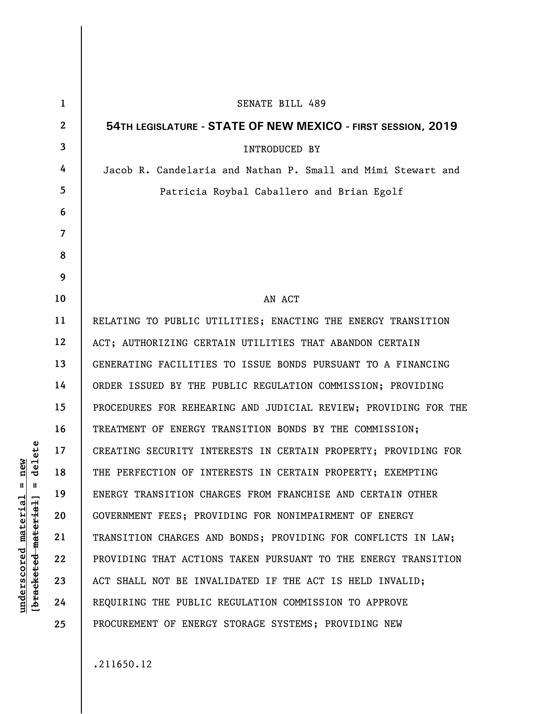| $\mathbf 1$ | <b>SENATE BILL 489</b>                                          |
|-------------|-----------------------------------------------------------------|
| 2           | 54TH LEGISLATURE - STATE OF NEW MEXICO - FIRST SESSION, 2019    |
| 3           | INTRODUCED BY                                                   |
| 4           | Jacob R. Candelaria and Nathan P. Small and Mimi Stewart and    |
| 5           | Patricia Roybal Caballero and Brian Egolf                       |
| 6           |                                                                 |
| 7           |                                                                 |
| 8           |                                                                 |
| 9           |                                                                 |
| 10          | AN ACT                                                          |
| 11          | RELATING TO PUBLIC UTILITIES; ENACTING THE ENERGY TRANSITION    |
| 12          | ACT; AUTHORIZING CERTAIN UTILITIES THAT ABANDON CERTAIN         |
| 13          | GENERATING FACILITIES TO ISSUE BONDS PURSUANT TO A FINANCING    |
| 14          | ORDER ISSUED BY THE PUBLIC REGULATION COMMISSION; PROVIDING     |
| 15          | PROCEDURES FOR REHEARING AND JUDICIAL REVIEW; PROVIDING FOR THE |
| 16          | TREATMENT OF ENERGY TRANSITION BONDS BY THE COMMISSION;         |
| 17          | CREATING SECURITY INTERESTS IN CERTAIN PROPERTY; PROVIDING FOR  |
| 18          | THE PERFECTION OF INTERESTS IN CERTAIN PROPERTY; EXEMPTING      |
| 19          | ENERGY TRANSITION CHARGES FROM FRANCHISE AND CERTAIN OTHER      |
| 20          | GOVERNMENT FEES; PROVIDING FOR NONIMPAIRMENT OF ENERGY          |
| 21          | TRANSITION CHARGES AND BONDS; PROVIDING FOR CONFLICTS IN LAW;   |
| 22          | PROVIDING THAT ACTIONS TAKEN PURSUANT TO THE ENERGY TRANSITION  |
| 23          | ACT SHALL NOT BE INVALIDATED IF THE ACT IS HELD INVALID;        |
| 24          | REQUIRING THE PUBLIC REGULATION COMMISSION TO APPROVE           |
| 25          | PROCUREMENT OF ENERGY STORAGE SYSTEMS; PROVIDING NEW            |

 $[bracketeed-materiat] = delete$ **[bracketed material] = delete**  $underscored material = new$ **underscored material = new**

.211650.12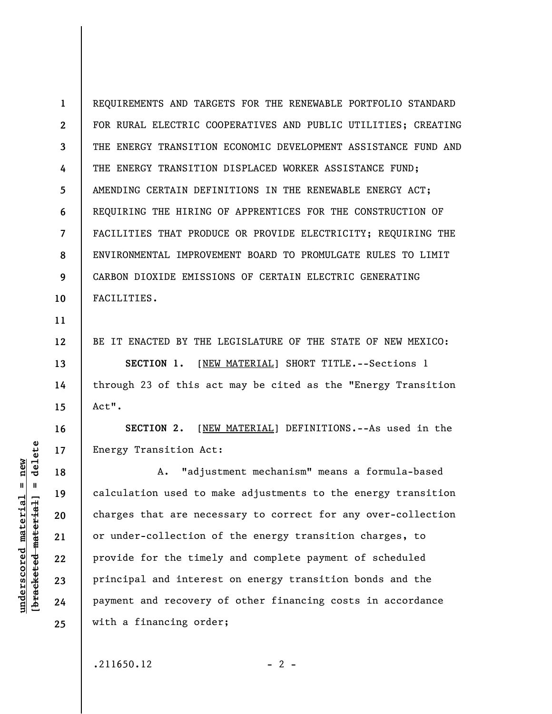**1 2 3 4 5 6 7 8 9 10**  REQUIREMENTS AND TARGETS FOR THE RENEWABLE PORTFOLIO STANDARD FOR RURAL ELECTRIC COOPERATIVES AND PUBLIC UTILITIES; CREATING THE ENERGY TRANSITION ECONOMIC DEVELOPMENT ASSISTANCE FUND AND THE ENERGY TRANSITION DISPLACED WORKER ASSISTANCE FUND; AMENDING CERTAIN DEFINITIONS IN THE RENEWABLE ENERGY ACT; REQUIRING THE HIRING OF APPRENTICES FOR THE CONSTRUCTION OF FACILITIES THAT PRODUCE OR PROVIDE ELECTRICITY; REQUIRING THE ENVIRONMENTAL IMPROVEMENT BOARD TO PROMULGATE RULES TO LIMIT CARBON DIOXIDE EMISSIONS OF CERTAIN ELECTRIC GENERATING FACILITIES.

BE IT ENACTED BY THE LEGISLATURE OF THE STATE OF NEW MEXICO: **SECTION 1.** [NEW MATERIAL] SHORT TITLE.--Sections 1 through 23 of this act may be cited as the "Energy Transition Act".

**SECTION 2.** [NEW MATERIAL] DEFINITIONS.--As used in the Energy Transition Act:

A. "adjustment mechanism" means a formula-based calculation used to make adjustments to the energy transition charges that are necessary to correct for any over-collection or under-collection of the energy transition charges, to provide for the timely and complete payment of scheduled principal and interest on energy transition bonds and the payment and recovery of other financing costs in accordance with a financing order;

delete **[bracketed material] = delete**  $underscored material = new$ **underscored material = new**  $\mathbf{I}$ bracketed material

**11** 

**12** 

**13** 

**14** 

**15** 

**16** 

**17** 

**18** 

**19** 

**20** 

**21** 

**22** 

**23** 

**24**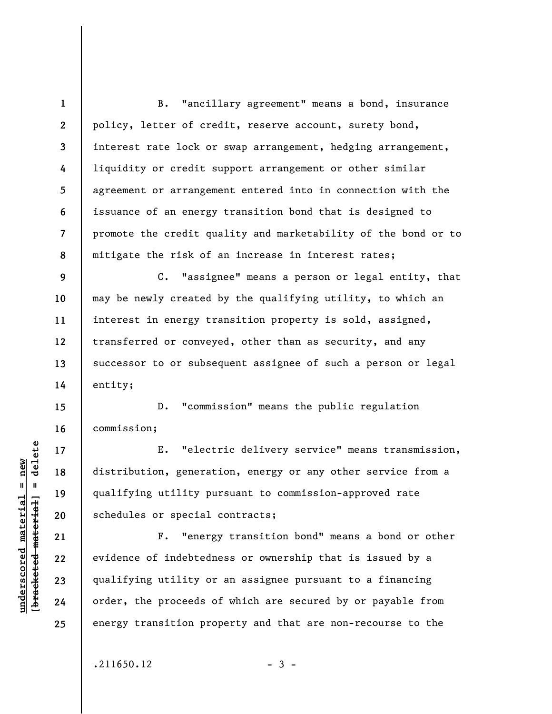**1 2 3 4 5 6 7 8**  B. "ancillary agreement" means a bond, insurance policy, letter of credit, reserve account, surety bond, interest rate lock or swap arrangement, hedging arrangement, liquidity or credit support arrangement or other similar agreement or arrangement entered into in connection with the issuance of an energy transition bond that is designed to promote the credit quality and marketability of the bond or to mitigate the risk of an increase in interest rates;

C. "assignee" means a person or legal entity, that may be newly created by the qualifying utility, to which an interest in energy transition property is sold, assigned, transferred or conveyed, other than as security, and any successor to or subsequent assignee of such a person or legal entity;

D. "commission" means the public regulation commission;

E. "electric delivery service" means transmission, distribution, generation, energy or any other service from a qualifying utility pursuant to commission-approved rate schedules or special contracts;

F. "energy transition bond" means a bond or other evidence of indebtedness or ownership that is issued by a qualifying utility or an assignee pursuant to a financing order, the proceeds of which are secured by or payable from energy transition property and that are non-recourse to the

 $.211650.12$  - 3 -

 $b$ racketed material] = delete **[bracketed material] = delete**  $underscored material = new$ **underscored material = new**

**9** 

**10** 

**11** 

**12** 

**13** 

**14** 

**15** 

**16** 

**17** 

**18** 

**19** 

**20** 

**21** 

**22** 

**23** 

**24**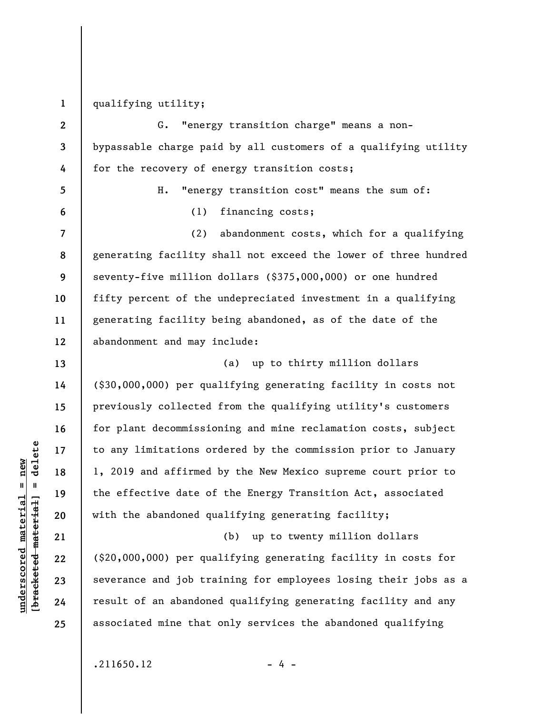**1**  qualifying utility;

**2 3 4 5 6 7 8 9 10 11 12 13 14 15 16 17 18 19 20 21 22 23 24**  G. "energy transition charge" means a nonbypassable charge paid by all customers of a qualifying utility for the recovery of energy transition costs; H. "energy transition cost" means the sum of: (1) financing costs; (2) abandonment costs, which for a qualifying generating facility shall not exceed the lower of three hundred seventy-five million dollars (\$375,000,000) or one hundred fifty percent of the undepreciated investment in a qualifying generating facility being abandoned, as of the date of the abandonment and may include: (a) up to thirty million dollars (\$30,000,000) per qualifying generating facility in costs not previously collected from the qualifying utility's customers for plant decommissioning and mine reclamation costs, subject to any limitations ordered by the commission prior to January 1, 2019 and affirmed by the New Mexico supreme court prior to the effective date of the Energy Transition Act, associated with the abandoned qualifying generating facility; (b) up to twenty million dollars (\$20,000,000) per qualifying generating facility in costs for severance and job training for employees losing their jobs as a result of an abandoned qualifying generating facility and any

 $\frac{1}{2}$  of  $\frac{1}{2}$  and  $\frac{1}{2}$  and  $\frac{1}{2}$  and  $\frac{1}{2}$  and  $\frac{1}{2}$  and  $\frac{1}{2}$  and  $\frac{1}{2}$  and  $\frac{1}{2}$  and  $\frac{1}{2}$  and  $\frac{1}{2}$  and  $\frac{1}{2}$  and  $\frac{1}{2}$  and  $\frac{1}{2}$  and  $\frac{1}{2}$  and  $\frac{1}{2}$  an **[bracketed material] = delete**  $anderscored material = new$ **underscored material = new**

**25** 

 $.211650.12$  - 4 -

associated mine that only services the abandoned qualifying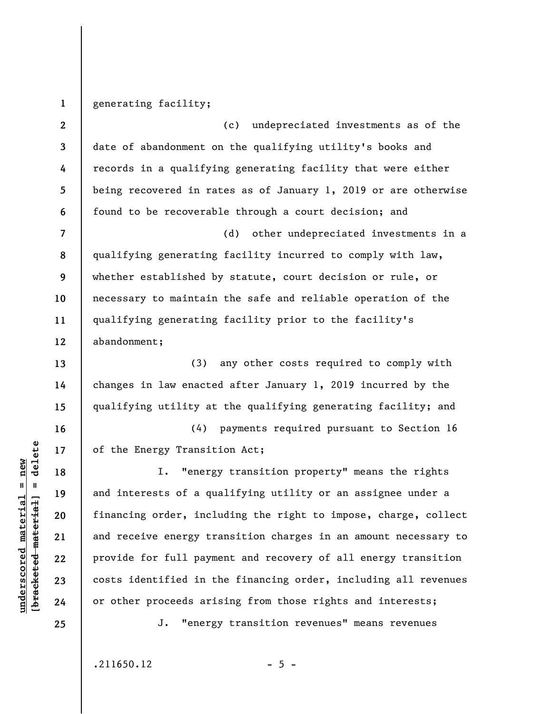**1**  generating facility;

**2 3 4 5 6 7 8 9**  (c) undepreciated investments as of the date of abandonment on the qualifying utility's books and records in a qualifying generating facility that were either being recovered in rates as of January 1, 2019 or are otherwise found to be recoverable through a court decision; and (d) other undepreciated investments in a qualifying generating facility incurred to comply with law, whether established by statute, court decision or rule, or

necessary to maintain the safe and reliable operation of the qualifying generating facility prior to the facility's abandonment;

(3) any other costs required to comply with changes in law enacted after January 1, 2019 incurred by the qualifying utility at the qualifying generating facility; and

(4) payments required pursuant to Section 16 of the Energy Transition Act;

I. "energy transition property" means the rights and interests of a qualifying utility or an assignee under a financing order, including the right to impose, charge, collect and receive energy transition charges in an amount necessary to provide for full payment and recovery of all energy transition costs identified in the financing order, including all revenues or other proceeds arising from those rights and interests;

**25** 

**10** 

**11** 

**12** 

**13** 

**14** 

**15** 

**16** 

**17** 

**18** 

**19** 

**20** 

**21** 

**22** 

**23** 

**24** 

**underscored material = new [bracketed material] = delete**

 $\frac{1}{2}$  intereted material = delete  $underscored material = new$ 

J. "energy transition revenues" means revenues

 $.211650.12$  - 5 -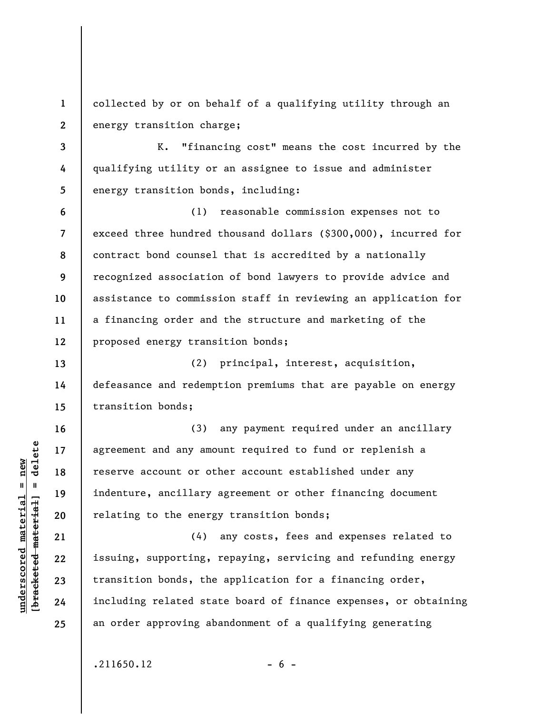**1 2**  collected by or on behalf of a qualifying utility through an energy transition charge;

 K. "financing cost" means the cost incurred by the qualifying utility or an assignee to issue and administer energy transition bonds, including:

**6 7 8 9 10 11 12**  (1) reasonable commission expenses not to exceed three hundred thousand dollars (\$300,000), incurred for contract bond counsel that is accredited by a nationally recognized association of bond lawyers to provide advice and assistance to commission staff in reviewing an application for a financing order and the structure and marketing of the proposed energy transition bonds;

(2) principal, interest, acquisition, defeasance and redemption premiums that are payable on energy transition bonds;

(3) any payment required under an ancillary agreement and any amount required to fund or replenish a reserve account or other account established under any indenture, ancillary agreement or other financing document relating to the energy transition bonds;

(4) any costs, fees and expenses related to issuing, supporting, repaying, servicing and refunding energy transition bonds, the application for a financing order, including related state board of finance expenses, or obtaining an order approving abandonment of a qualifying generating

 $.211650.12$  - 6 -

 $\frac{1}{2}$  of  $\frac{1}{2}$  and  $\frac{1}{2}$  and  $\frac{1}{2}$  and  $\frac{1}{2}$  and  $\frac{1}{2}$  and  $\frac{1}{2}$  and  $\frac{1}{2}$  and  $\frac{1}{2}$  and  $\frac{1}{2}$  and  $\frac{1}{2}$  and  $\frac{1}{2}$  and  $\frac{1}{2}$  and  $\frac{1}{2}$  and  $\frac{1}{2}$  and  $\frac{1}{2}$  an **[bracketed material] = delete**  $anderscored material = new$ **underscored material = new**

**3** 

**4** 

**5** 

**13** 

**14** 

**15** 

**16** 

**17** 

**18** 

**19** 

**20** 

**21** 

**22** 

**23** 

**24**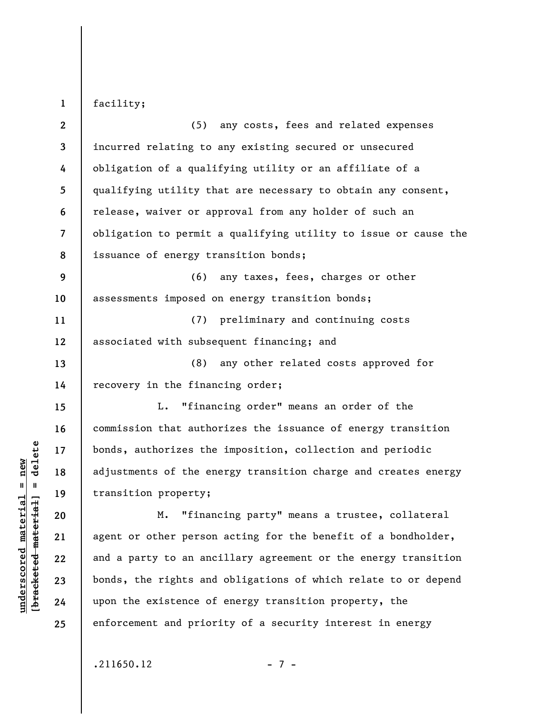facility;

**1** 

**2 3 4 5 6 7 8 9 10 11 12 13 14 15 16 17 18 19 20 21 22 23 24 25**  (5) any costs, fees and related expenses incurred relating to any existing secured or unsecured obligation of a qualifying utility or an affiliate of a qualifying utility that are necessary to obtain any consent, release, waiver or approval from any holder of such an obligation to permit a qualifying utility to issue or cause the issuance of energy transition bonds; (6) any taxes, fees, charges or other assessments imposed on energy transition bonds; (7) preliminary and continuing costs associated with subsequent financing; and (8) any other related costs approved for recovery in the financing order; L. "financing order" means an order of the commission that authorizes the issuance of energy transition bonds, authorizes the imposition, collection and periodic adjustments of the energy transition charge and creates energy transition property; M. "financing party" means a trustee, collateral agent or other person acting for the benefit of a bondholder, and a party to an ancillary agreement or the energy transition bonds, the rights and obligations of which relate to or depend upon the existence of energy transition property, the enforcement and priority of a security interest in energy

 $b$ racketed material] = delete **[bracketed material] = delete**  $anderscored material = new$ **underscored material = new**

 $.211650.12$  - 7 -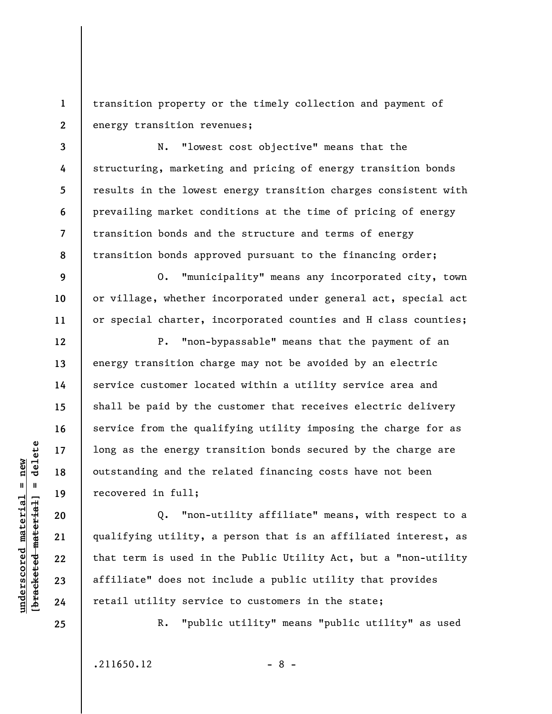**1 2**  transition property or the timely collection and payment of energy transition revenues;

**3 4 5 6 7 8**  N. "lowest cost objective" means that the structuring, marketing and pricing of energy transition bonds results in the lowest energy transition charges consistent with prevailing market conditions at the time of pricing of energy transition bonds and the structure and terms of energy transition bonds approved pursuant to the financing order;

O. "municipality" means any incorporated city, town or village, whether incorporated under general act, special act or special charter, incorporated counties and H class counties;

P. "non-bypassable" means that the payment of an energy transition charge may not be avoided by an electric service customer located within a utility service area and shall be paid by the customer that receives electric delivery service from the qualifying utility imposing the charge for as long as the energy transition bonds secured by the charge are outstanding and the related financing costs have not been recovered in full;

Q. "non-utility affiliate" means, with respect to a qualifying utility, a person that is an affiliated interest, as that term is used in the Public Utility Act, but a "non-utility affiliate" does not include a public utility that provides retail utility service to customers in the state;

**25** 

**9** 

**10** 

**11** 

**12** 

**13** 

**14** 

**15** 

**16** 

**17** 

**18** 

**19** 

**20** 

**21** 

**22** 

**23** 

**24** 

**underscored material = new [bracketed material] = delete**

 $\frac{1}{2}$  of  $\frac{1}{2}$  and  $\frac{1}{2}$  and  $\frac{1}{2}$  and  $\frac{1}{2}$  and  $\frac{1}{2}$  and  $\frac{1}{2}$  and  $\frac{1}{2}$  and  $\frac{1}{2}$  and  $\frac{1}{2}$  and  $\frac{1}{2}$  and  $\frac{1}{2}$  and  $\frac{1}{2}$  and  $\frac{1}{2}$  and  $\frac{1}{2}$  and  $\frac{1}{2}$  an  $underscored material = new$ 

R. "public utility" means "public utility" as used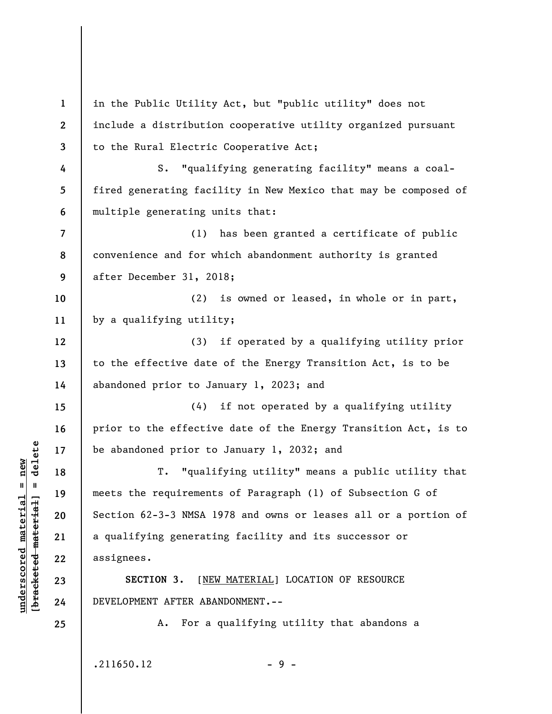**1 2 3 4 5 6 7 8 9 10 11 12 13 14 15 16 17 18 19 20 21 22 23 24 25**  in the Public Utility Act, but "public utility" does not include a distribution cooperative utility organized pursuant to the Rural Electric Cooperative Act; S. "qualifying generating facility" means a coalfired generating facility in New Mexico that may be composed of multiple generating units that: (1) has been granted a certificate of public convenience and for which abandonment authority is granted after December 31, 2018; (2) is owned or leased, in whole or in part, by a qualifying utility; (3) if operated by a qualifying utility prior to the effective date of the Energy Transition Act, is to be abandoned prior to January 1, 2023; and (4) if not operated by a qualifying utility prior to the effective date of the Energy Transition Act, is to be abandoned prior to January 1, 2032; and T. "qualifying utility" means a public utility that meets the requirements of Paragraph (1) of Subsection G of Section 62-3-3 NMSA 1978 and owns or leases all or a portion of a qualifying generating facility and its successor or assignees. **SECTION 3.** [NEW MATERIAL] LOCATION OF RESOURCE DEVELOPMENT AFTER ABANDONMENT.-- A. For a qualifying utility that abandons a

 $.211650.12$  - 9 -

**underscored material = new [bracketed material] = delete**

 $\frac{1}{2}$  of  $\frac{1}{2}$  and  $\frac{1}{2}$  and  $\frac{1}{2}$  and  $\frac{1}{2}$  and  $\frac{1}{2}$  and  $\frac{1}{2}$  and  $\frac{1}{2}$  and  $\frac{1}{2}$  and  $\frac{1}{2}$  and  $\frac{1}{2}$  and  $\frac{1}{2}$  and  $\frac{1}{2}$  and  $\frac{1}{2}$  and  $\frac{1}{2}$  and  $\frac{1}{2}$  an  $underscored material = new$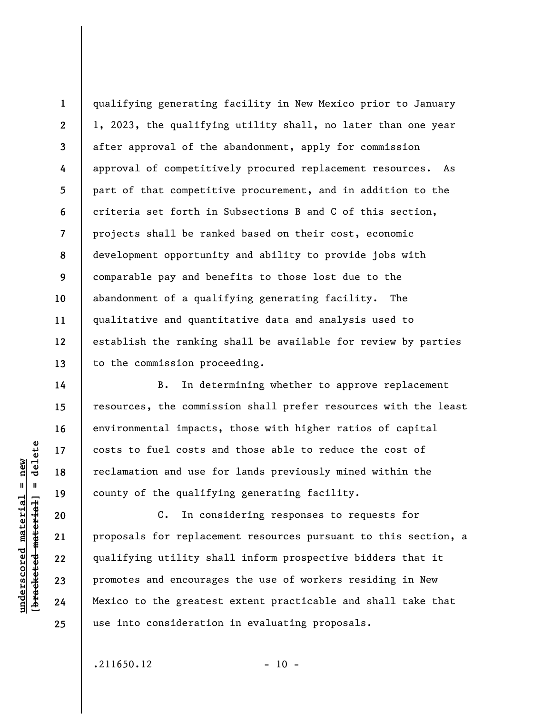**8**  qualifying generating facility in New Mexico prior to January 1, 2023, the qualifying utility shall, no later than one year after approval of the abandonment, apply for commission approval of competitively procured replacement resources. As part of that competitive procurement, and in addition to the criteria set forth in Subsections B and C of this section, projects shall be ranked based on their cost, economic development opportunity and ability to provide jobs with comparable pay and benefits to those lost due to the abandonment of a qualifying generating facility. The qualitative and quantitative data and analysis used to establish the ranking shall be available for review by parties to the commission proceeding.

B. In determining whether to approve replacement resources, the commission shall prefer resources with the least environmental impacts, those with higher ratios of capital costs to fuel costs and those able to reduce the cost of reclamation and use for lands previously mined within the county of the qualifying generating facility.

C. In considering responses to requests for proposals for replacement resources pursuant to this section, a qualifying utility shall inform prospective bidders that it promotes and encourages the use of workers residing in New Mexico to the greatest extent practicable and shall take that use into consideration in evaluating proposals.

 $.211650.12$  - 10 -

delete **[bracketed material] = delete**  $anderscored material = new$ **underscored material = new**  $\mathbf{u}$ bracketed material

**1** 

**2** 

**3** 

**4** 

**5** 

**6** 

**7** 

**9** 

**10** 

**11** 

**12** 

**13** 

**14** 

**15** 

**16** 

**17** 

**18** 

**19** 

**20** 

**21** 

**22** 

**23** 

**24**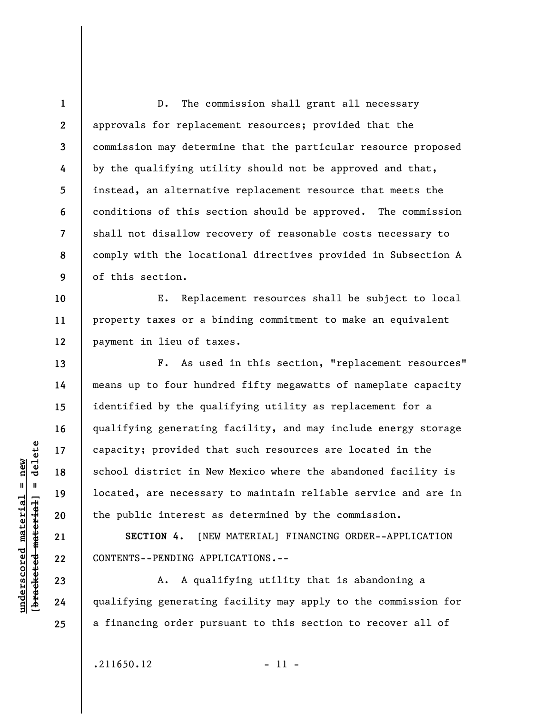**1 2 3 4 5 6 7 8 9**  D. The commission shall grant all necessary approvals for replacement resources; provided that the commission may determine that the particular resource proposed by the qualifying utility should not be approved and that, instead, an alternative replacement resource that meets the conditions of this section should be approved. The commission shall not disallow recovery of reasonable costs necessary to comply with the locational directives provided in Subsection A of this section.

**10 11 12**  E. Replacement resources shall be subject to local property taxes or a binding commitment to make an equivalent payment in lieu of taxes.

F. As used in this section, "replacement resources" means up to four hundred fifty megawatts of nameplate capacity identified by the qualifying utility as replacement for a qualifying generating facility, and may include energy storage capacity; provided that such resources are located in the school district in New Mexico where the abandoned facility is located, are necessary to maintain reliable service and are in the public interest as determined by the commission.

**SECTION 4.** [NEW MATERIAL] FINANCING ORDER--APPLICATION CONTENTS--PENDING APPLICATIONS.--

A. A qualifying utility that is abandoning a qualifying generating facility may apply to the commission for a financing order pursuant to this section to recover all of

delete **[bracketed material] = delete**  $underscored material = new$ **underscored material = new**  $\frac{1}{2}$ 

**24 25** 

**13** 

**14** 

**15** 

**16** 

**17** 

**18** 

**19** 

**20** 

**21** 

**22** 

**23** 

 $.211650.12$  - 11 -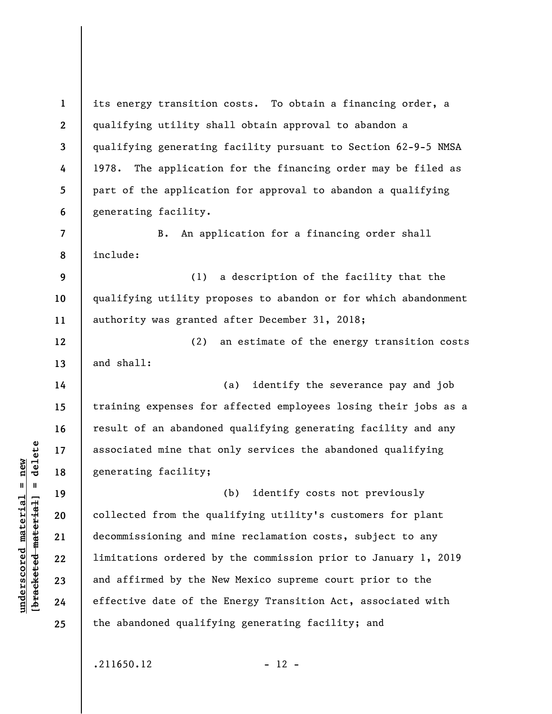**1 2 3 4 5 6**  its energy transition costs. To obtain a financing order, a qualifying utility shall obtain approval to abandon a qualifying generating facility pursuant to Section 62-9-5 NMSA 1978. The application for the financing order may be filed as part of the application for approval to abandon a qualifying generating facility.

B. An application for a financing order shall include:

**9 10 11**  (1) a description of the facility that the qualifying utility proposes to abandon or for which abandonment authority was granted after December 31, 2018;

(2) an estimate of the energy transition costs and shall:

(a) identify the severance pay and job training expenses for affected employees losing their jobs as a result of an abandoned qualifying generating facility and any associated mine that only services the abandoned qualifying generating facility;

(b) identify costs not previously collected from the qualifying utility's customers for plant decommissioning and mine reclamation costs, subject to any limitations ordered by the commission prior to January 1, 2019 and affirmed by the New Mexico supreme court prior to the effective date of the Energy Transition Act, associated with the abandoned qualifying generating facility; and

 $.211650.12$  - 12 -

 $\frac{1}{2}$  of  $\frac{1}{2}$  and  $\frac{1}{2}$  and  $\frac{1}{2}$  and  $\frac{1}{2}$  and  $\frac{1}{2}$  and  $\frac{1}{2}$  and  $\frac{1}{2}$  and  $\frac{1}{2}$  and  $\frac{1}{2}$  and  $\frac{1}{2}$  and  $\frac{1}{2}$  and  $\frac{1}{2}$  and  $\frac{1}{2}$  and  $\frac{1}{2}$  and  $\frac{1}{2}$  an **[bracketed material] = delete**  $anderscored material = new$ **underscored material = new**

**7** 

**8** 

**12** 

**13** 

**14** 

**15** 

**16** 

**17** 

**18** 

**19** 

**20** 

**21** 

**22** 

**23** 

**24**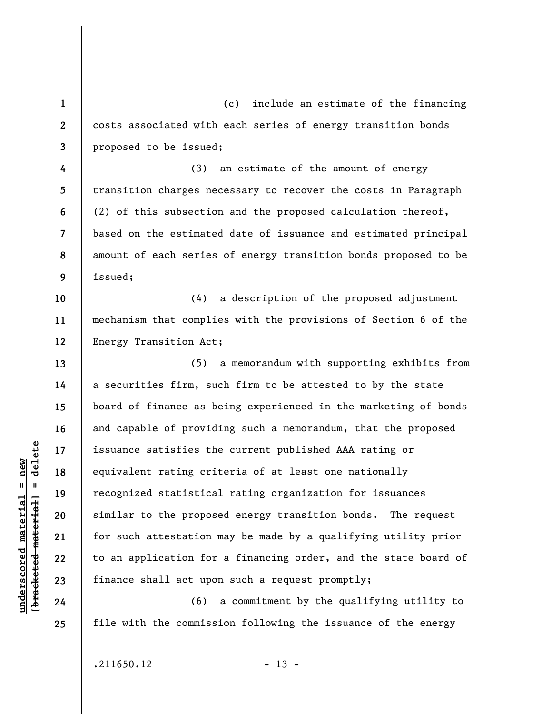**1 2 3 4 5 6 7 8 9 10 11**  (c) include an estimate of the financing costs associated with each series of energy transition bonds proposed to be issued; (3) an estimate of the amount of energy transition charges necessary to recover the costs in Paragraph (2) of this subsection and the proposed calculation thereof, based on the estimated date of issuance and estimated principal amount of each series of energy transition bonds proposed to be issued; (4) a description of the proposed adjustment mechanism that complies with the provisions of Section 6 of the

**12**  Energy Transition Act;

(5) a memorandum with supporting exhibits from a securities firm, such firm to be attested to by the state board of finance as being experienced in the marketing of bonds and capable of providing such a memorandum, that the proposed issuance satisfies the current published AAA rating or equivalent rating criteria of at least one nationally recognized statistical rating organization for issuances similar to the proposed energy transition bonds. The request for such attestation may be made by a qualifying utility prior to an application for a financing order, and the state board of finance shall act upon such a request promptly;

(6) a commitment by the qualifying utility to file with the commission following the issuance of the energy

 $\frac{1}{2}$  intereted material = delete **[bracketed material] = delete**  $underscored material = new$ **underscored material = new**

**13** 

**14** 

**15** 

**16** 

**17** 

**18** 

**19** 

**20** 

**21** 

**22** 

**23** 

**24** 

**25** 

 $.211650.12$  - 13 -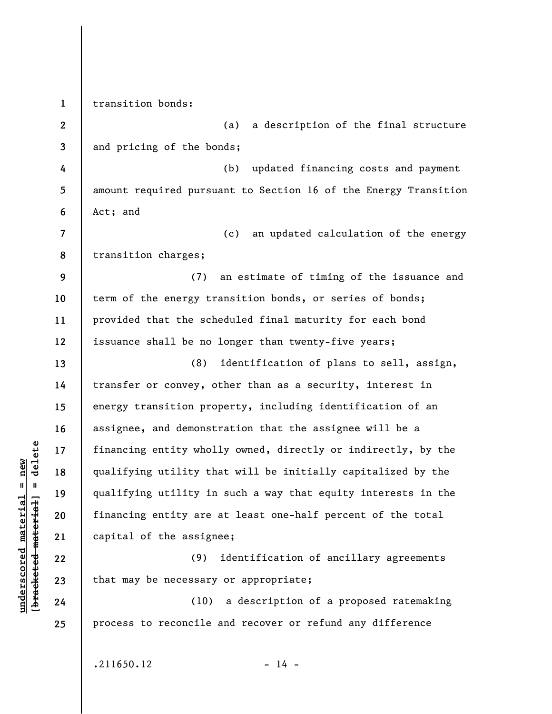**1 2 3 4 5 6 7 8 9 10 11 12 13 14 15 16 17 18 19 20 21 22 23 24 25**  transition bonds: (a) a description of the final structure and pricing of the bonds; (b) updated financing costs and payment amount required pursuant to Section 16 of the Energy Transition Act; and (c) an updated calculation of the energy transition charges; (7) an estimate of timing of the issuance and term of the energy transition bonds, or series of bonds; provided that the scheduled final maturity for each bond issuance shall be no longer than twenty-five years; (8) identification of plans to sell, assign, transfer or convey, other than as a security, interest in energy transition property, including identification of an assignee, and demonstration that the assignee will be a financing entity wholly owned, directly or indirectly, by the qualifying utility that will be initially capitalized by the qualifying utility in such a way that equity interests in the financing entity are at least one-half percent of the total capital of the assignee; (9) identification of ancillary agreements that may be necessary or appropriate; (10) a description of a proposed ratemaking process to reconcile and recover or refund any difference

**underscored material = new [bracketed material] = delete**

 $\frac{1}{2}$  $underscored material = new$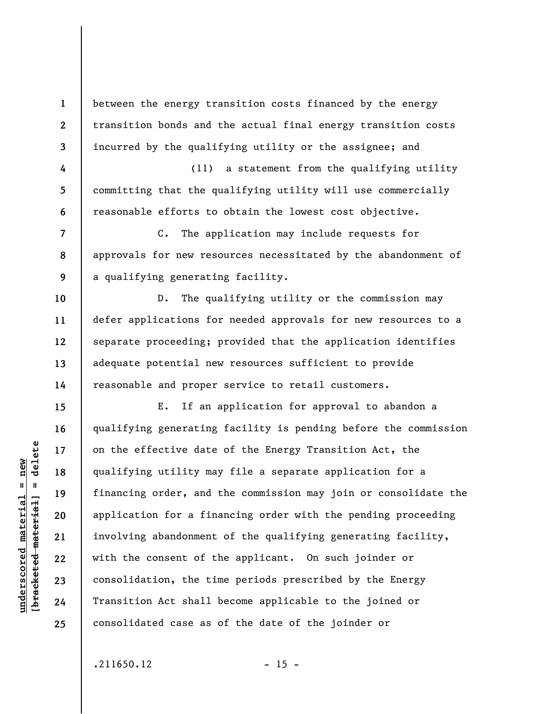between the energy transition costs financed by the energy transition bonds and the actual final energy transition costs incurred by the qualifying utility or the assignee; and

(11) a statement from the qualifying utility committing that the qualifying utility will use commercially reasonable efforts to obtain the lowest cost objective.

**8 9**  C. The application may include requests for approvals for new resources necessitated by the abandonment of a qualifying generating facility.

D. The qualifying utility or the commission may defer applications for needed approvals for new resources to a separate proceeding; provided that the application identifies adequate potential new resources sufficient to provide reasonable and proper service to retail customers.

E. If an application for approval to abandon a qualifying generating facility is pending before the commission on the effective date of the Energy Transition Act, the qualifying utility may file a separate application for a financing order, and the commission may join or consolidate the application for a financing order with the pending proceeding involving abandonment of the qualifying generating facility, with the consent of the applicant. On such joinder or consolidation, the time periods prescribed by the Energy Transition Act shall become applicable to the joined or consolidated case as of the date of the joinder or

 $.211650.12$  - 15 -

 $\frac{1}{2}$  of  $\frac{1}{2}$  and  $\frac{1}{2}$  and  $\frac{1}{2}$  and  $\frac{1}{2}$  and  $\frac{1}{2}$  and  $\frac{1}{2}$  and  $\frac{1}{2}$  and  $\frac{1}{2}$  and  $\frac{1}{2}$  and  $\frac{1}{2}$  and  $\frac{1}{2}$  and  $\frac{1}{2}$  and  $\frac{1}{2}$  and  $\frac{1}{2}$  and  $\frac{1}{2}$  an **[bracketed material] = delete**  $anderscored material = new$ **underscored material = new**

**1** 

**2** 

**3** 

**4** 

**5** 

**6** 

**7** 

**10** 

**11** 

**12** 

**13** 

**14** 

**15** 

**16** 

**17** 

**18** 

**19** 

**20** 

**21** 

**22** 

**23** 

**24**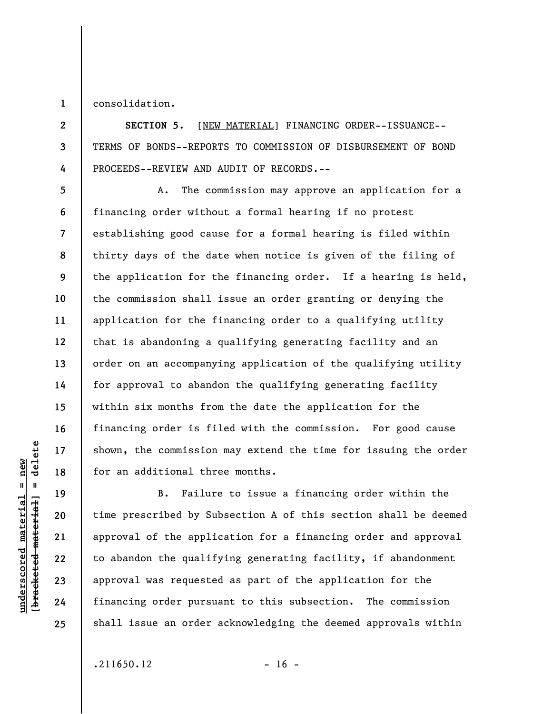**1**  consolidation.

**2** 

**3** 

**4** 

**5** 

**6** 

**7** 

**8** 

**9** 

**10** 

**11** 

**12** 

**13** 

**14** 

**15** 

**16** 

**17** 

**18** 

**19** 

**20** 

**21** 

**22** 

**23** 

**24** 

**25** 

**SECTION 5.** [NEW MATERIAL] FINANCING ORDER--ISSUANCE-- TERMS OF BONDS--REPORTS TO COMMISSION OF DISBURSEMENT OF BOND PROCEEDS--REVIEW AND AUDIT OF RECORDS.--

A. The commission may approve an application for a financing order without a formal hearing if no protest establishing good cause for a formal hearing is filed within thirty days of the date when notice is given of the filing of the application for the financing order. If a hearing is held, the commission shall issue an order granting or denying the application for the financing order to a qualifying utility that is abandoning a qualifying generating facility and an order on an accompanying application of the qualifying utility for approval to abandon the qualifying generating facility within six months from the date the application for the financing order is filed with the commission. For good cause shown, the commission may extend the time for issuing the order for an additional three months.

B. Failure to issue a financing order within the time prescribed by Subsection A of this section shall be deemed approval of the application for a financing order and approval to abandon the qualifying generating facility, if abandonment approval was requested as part of the application for the financing order pursuant to this subsection. The commission shall issue an order acknowledging the deemed approvals within

 $\frac{1}{2}$  of  $\frac{1}{2}$  and  $\frac{1}{2}$  and  $\frac{1}{2}$  and  $\frac{1}{2}$  and  $\frac{1}{2}$  and  $\frac{1}{2}$  and  $\frac{1}{2}$  and  $\frac{1}{2}$  and  $\frac{1}{2}$  and  $\frac{1}{2}$  and  $\frac{1}{2}$  and  $\frac{1}{2}$  and  $\frac{1}{2}$  and  $\frac{1}{2}$  and  $\frac{1}{2}$  an **[bracketed material] = delete**  $underscored material = new$ **underscored material = new**

 $.211650.12$  - 16 -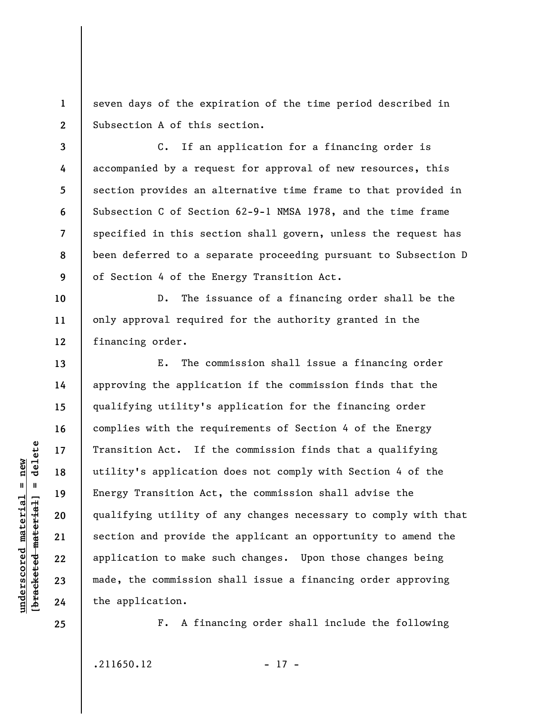**1 2**  seven days of the expiration of the time period described in Subsection A of this section.

**3 4 5 6 7 8 9**  C. If an application for a financing order is accompanied by a request for approval of new resources, this section provides an alternative time frame to that provided in Subsection C of Section 62-9-1 NMSA 1978, and the time frame specified in this section shall govern, unless the request has been deferred to a separate proceeding pursuant to Subsection D of Section 4 of the Energy Transition Act.

D. The issuance of a financing order shall be the only approval required for the authority granted in the financing order.

E. The commission shall issue a financing order approving the application if the commission finds that the qualifying utility's application for the financing order complies with the requirements of Section 4 of the Energy Transition Act. If the commission finds that a qualifying utility's application does not comply with Section 4 of the Energy Transition Act, the commission shall advise the qualifying utility of any changes necessary to comply with that section and provide the applicant an opportunity to amend the application to make such changes. Upon those changes being made, the commission shall issue a financing order approving the application.

**25** 

**10** 

**11** 

**12** 

**13** 

**14** 

**15** 

**16** 

**17** 

**18** 

**19** 

**20** 

**21** 

**22** 

**23** 

**24** 

**underscored material = new [bracketed material] = delete**

 $\frac{1}{2}$  of  $\frac{1}{2}$  and  $\frac{1}{2}$  and  $\frac{1}{2}$  and  $\frac{1}{2}$  and  $\frac{1}{2}$  and  $\frac{1}{2}$  and  $\frac{1}{2}$  and  $\frac{1}{2}$  and  $\frac{1}{2}$  and  $\frac{1}{2}$  and  $\frac{1}{2}$  and  $\frac{1}{2}$  and  $\frac{1}{2}$  and  $\frac{1}{2}$  and  $\frac{1}{2}$  an  $anderscored material = new$ 

F. A financing order shall include the following

 $.211650.12$  - 17 -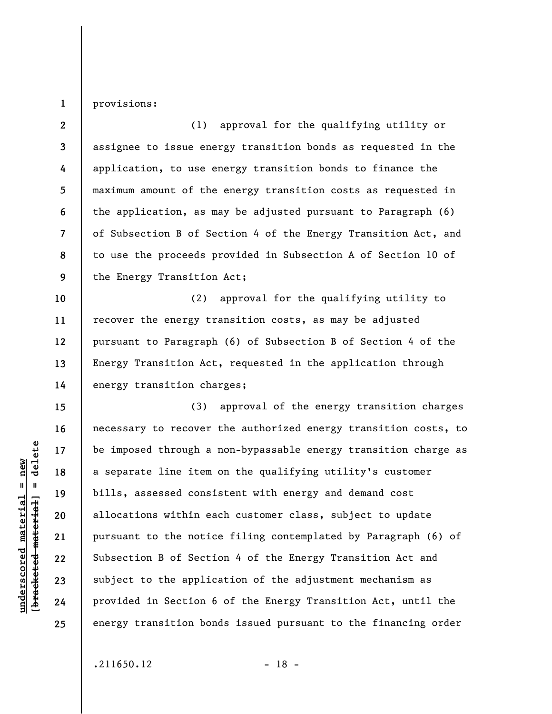**1**  provisions:

**2 3 4 5 6 7 8 9**  (1) approval for the qualifying utility or assignee to issue energy transition bonds as requested in the application, to use energy transition bonds to finance the maximum amount of the energy transition costs as requested in the application, as may be adjusted pursuant to Paragraph (6) of Subsection B of Section 4 of the Energy Transition Act, and to use the proceeds provided in Subsection A of Section 10 of the Energy Transition Act;

**10 11 12 13 14**  (2) approval for the qualifying utility to recover the energy transition costs, as may be adjusted pursuant to Paragraph (6) of Subsection B of Section 4 of the Energy Transition Act, requested in the application through energy transition charges;

(3) approval of the energy transition charges necessary to recover the authorized energy transition costs, to be imposed through a non-bypassable energy transition charge as a separate line item on the qualifying utility's customer bills, assessed consistent with energy and demand cost allocations within each customer class, subject to update pursuant to the notice filing contemplated by Paragraph (6) of Subsection B of Section 4 of the Energy Transition Act and subject to the application of the adjustment mechanism as provided in Section 6 of the Energy Transition Act, until the energy transition bonds issued pursuant to the financing order

 $\frac{1}{2}$  intereted material = delete **[bracketed material] = delete**  $anderscored material = new$ **underscored material = new**

**15** 

**16** 

**17** 

**18** 

**19** 

**20** 

**21** 

**22** 

**23** 

**24**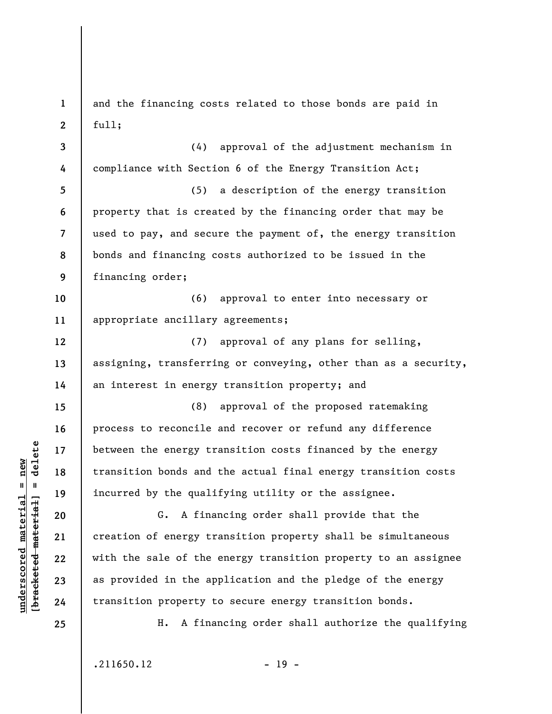**1 2 3 4 5 6 7 8 9 10 11 12 13 14 15 16 17 18 19 20 21 22 23 24 25**  and the financing costs related to those bonds are paid in full; (4) approval of the adjustment mechanism in compliance with Section 6 of the Energy Transition Act; (5) a description of the energy transition property that is created by the financing order that may be used to pay, and secure the payment of, the energy transition bonds and financing costs authorized to be issued in the financing order; (6) approval to enter into necessary or appropriate ancillary agreements; (7) approval of any plans for selling, assigning, transferring or conveying, other than as a security, an interest in energy transition property; and (8) approval of the proposed ratemaking process to reconcile and recover or refund any difference between the energy transition costs financed by the energy transition bonds and the actual final energy transition costs incurred by the qualifying utility or the assignee. G. A financing order shall provide that the creation of energy transition property shall be simultaneous with the sale of the energy transition property to an assignee as provided in the application and the pledge of the energy transition property to secure energy transition bonds. H. A financing order shall authorize the qualifying

 $.211650.12$  - 19 -

**underscored material = new [bracketed material] = delete**

 $\frac{1}{2}$  of  $\frac{1}{2}$  and  $\frac{1}{2}$  and  $\frac{1}{2}$  and  $\frac{1}{2}$  and  $\frac{1}{2}$  and  $\frac{1}{2}$  and  $\frac{1}{2}$  and  $\frac{1}{2}$  and  $\frac{1}{2}$  and  $\frac{1}{2}$  and  $\frac{1}{2}$  and  $\frac{1}{2}$  and  $\frac{1}{2}$  and  $\frac{1}{2}$  and  $\frac{1}{2}$  an  $anderscored material = new$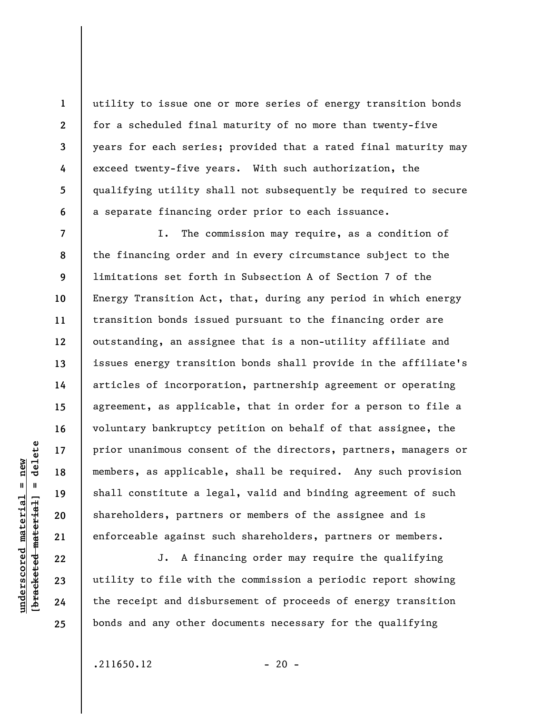utility to issue one or more series of energy transition bonds for a scheduled final maturity of no more than twenty-five years for each series; provided that a rated final maturity may exceed twenty-five years. With such authorization, the qualifying utility shall not subsequently be required to secure a separate financing order prior to each issuance.

I. The commission may require, as a condition of the financing order and in every circumstance subject to the limitations set forth in Subsection A of Section 7 of the Energy Transition Act, that, during any period in which energy transition bonds issued pursuant to the financing order are outstanding, an assignee that is a non-utility affiliate and issues energy transition bonds shall provide in the affiliate's articles of incorporation, partnership agreement or operating agreement, as applicable, that in order for a person to file a voluntary bankruptcy petition on behalf of that assignee, the prior unanimous consent of the directors, partners, managers or members, as applicable, shall be required. Any such provision shall constitute a legal, valid and binding agreement of such shareholders, partners or members of the assignee and is enforceable against such shareholders, partners or members.

J. A financing order may require the qualifying utility to file with the commission a periodic report showing the receipt and disbursement of proceeds of energy transition bonds and any other documents necessary for the qualifying

 $\frac{1}{2}$  of  $\frac{1}{2}$  and  $\frac{1}{2}$  and  $\frac{1}{2}$  and  $\frac{1}{2}$  and  $\frac{1}{2}$  and  $\frac{1}{2}$  and  $\frac{1}{2}$  and  $\frac{1}{2}$  and  $\frac{1}{2}$  and  $\frac{1}{2}$  and  $\frac{1}{2}$  and  $\frac{1}{2}$  and  $\frac{1}{2}$  and  $\frac{1}{2}$  and  $\frac{1}{2}$  an **[bracketed material] = delete**  $anderscored material = new$ **underscored material = new**

**1** 

**2** 

**3** 

**4** 

**5** 

**6** 

**7** 

**8** 

**9** 

**10** 

**11** 

**12** 

**13** 

**14** 

**15** 

**16** 

**17** 

**18** 

**19** 

**20** 

**21** 

**22** 

**23** 

**24**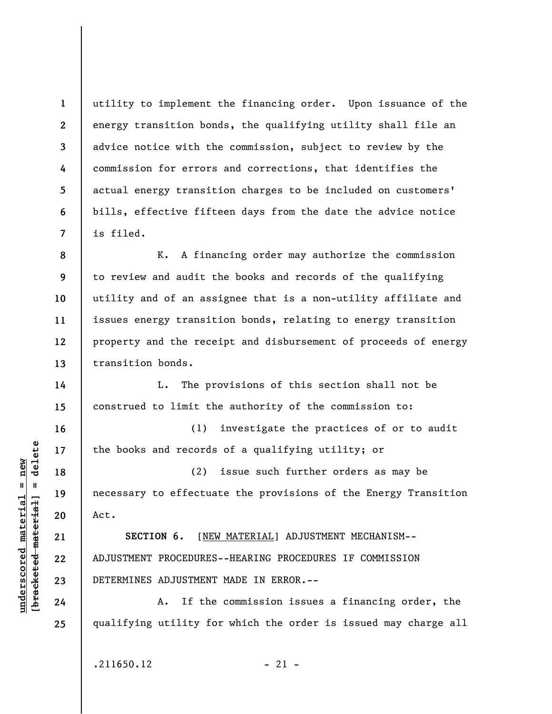utility to implement the financing order. Upon issuance of the energy transition bonds, the qualifying utility shall file an advice notice with the commission, subject to review by the commission for errors and corrections, that identifies the actual energy transition charges to be included on customers' bills, effective fifteen days from the date the advice notice is filed.

**8 9 10 11 12 13**  K. A financing order may authorize the commission to review and audit the books and records of the qualifying utility and of an assignee that is a non-utility affiliate and issues energy transition bonds, relating to energy transition property and the receipt and disbursement of proceeds of energy transition bonds.

L. The provisions of this section shall not be construed to limit the authority of the commission to:

(1) investigate the practices of or to audit the books and records of a qualifying utility; or

(2) issue such further orders as may be necessary to effectuate the provisions of the Energy Transition Act.

**SECTION 6.** [NEW MATERIAL] ADJUSTMENT MECHANISM-- ADJUSTMENT PROCEDURES--HEARING PROCEDURES IF COMMISSION DETERMINES ADJUSTMENT MADE IN ERROR.--

A. If the commission issues a financing order, the qualifying utility for which the order is issued may charge all

 $.211650.12$  - 21 -

 $\frac{1}{2}$  intereted material = delete **[bracketed material] = delete**  $underscored material = new$ **underscored material = new**

**1** 

**2** 

**3** 

**4** 

**5** 

**6** 

**7** 

**14** 

**15** 

**16** 

**17** 

**18** 

**19** 

**20** 

**21** 

**22** 

**23** 

**24**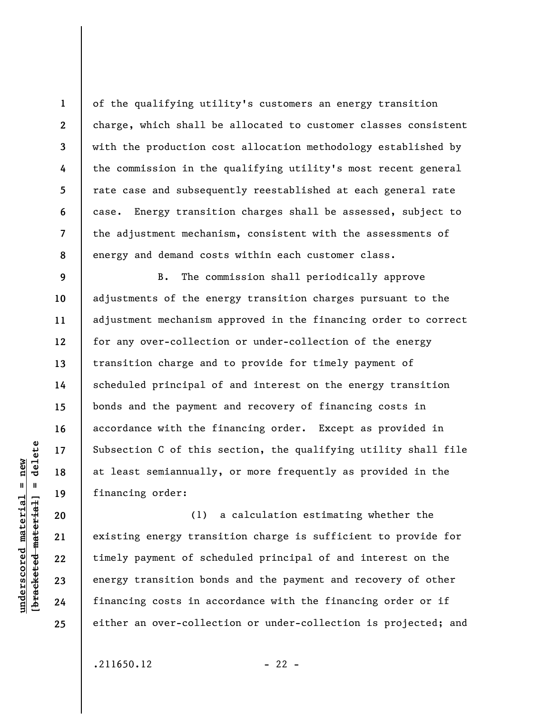of the qualifying utility's customers an energy transition charge, which shall be allocated to customer classes consistent with the production cost allocation methodology established by the commission in the qualifying utility's most recent general rate case and subsequently reestablished at each general rate case. Energy transition charges shall be assessed, subject to the adjustment mechanism, consistent with the assessments of energy and demand costs within each customer class.

B. The commission shall periodically approve adjustments of the energy transition charges pursuant to the adjustment mechanism approved in the financing order to correct for any over-collection or under-collection of the energy transition charge and to provide for timely payment of scheduled principal of and interest on the energy transition bonds and the payment and recovery of financing costs in accordance with the financing order. Except as provided in Subsection C of this section, the qualifying utility shall file at least semiannually, or more frequently as provided in the financing order:

(1) a calculation estimating whether the existing energy transition charge is sufficient to provide for timely payment of scheduled principal of and interest on the energy transition bonds and the payment and recovery of other financing costs in accordance with the financing order or if either an over-collection or under-collection is projected; and

 $.211650.12$  - 22 -

 $\frac{1}{2}$  of  $\frac{1}{2}$  and  $\frac{1}{2}$  and  $\frac{1}{2}$  and  $\frac{1}{2}$  and  $\frac{1}{2}$  and  $\frac{1}{2}$  and  $\frac{1}{2}$  and  $\frac{1}{2}$  and  $\frac{1}{2}$  and  $\frac{1}{2}$  and  $\frac{1}{2}$  and  $\frac{1}{2}$  and  $\frac{1}{2}$  and  $\frac{1}{2}$  and  $\frac{1}{2}$  an **[bracketed material] = delete**  $anderscored material = new$ **underscored material = new**

**1** 

**2** 

**3** 

**4** 

**5** 

**6** 

**7** 

**8** 

**9** 

**10** 

**11** 

**12** 

**13** 

**14** 

**15** 

**16** 

**17** 

**18** 

**19** 

**20** 

**21** 

**22** 

**23** 

**24**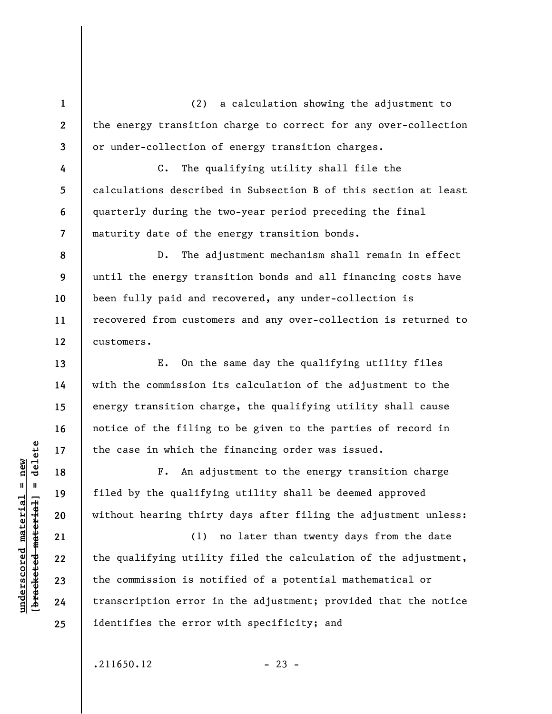(2) a calculation showing the adjustment to the energy transition charge to correct for any over-collection or under-collection of energy transition charges.

C. The qualifying utility shall file the calculations described in Subsection B of this section at least quarterly during the two-year period preceding the final maturity date of the energy transition bonds.

D. The adjustment mechanism shall remain in effect until the energy transition bonds and all financing costs have been fully paid and recovered, any under-collection is recovered from customers and any over-collection is returned to customers.

E. On the same day the qualifying utility files with the commission its calculation of the adjustment to the energy transition charge, the qualifying utility shall cause notice of the filing to be given to the parties of record in the case in which the financing order was issued.

F. An adjustment to the energy transition charge filed by the qualifying utility shall be deemed approved without hearing thirty days after filing the adjustment unless:

(1) no later than twenty days from the date the qualifying utility filed the calculation of the adjustment, the commission is notified of a potential mathematical or transcription error in the adjustment; provided that the notice identifies the error with specificity; and

 $.211650.12$  - 23 -

 $\frac{1}{2}$  of  $\frac{1}{2}$  and  $\frac{1}{2}$  and  $\frac{1}{2}$  and  $\frac{1}{2}$  and  $\frac{1}{2}$  and  $\frac{1}{2}$  and  $\frac{1}{2}$  and  $\frac{1}{2}$  and  $\frac{1}{2}$  and  $\frac{1}{2}$  and  $\frac{1}{2}$  and  $\frac{1}{2}$  and  $\frac{1}{2}$  and  $\frac{1}{2}$  and  $\frac{1}{2}$  an **[bracketed material] = delete**  $anderscored material = new$ **underscored material = new**

**1** 

**2** 

**3** 

**4** 

**5** 

**6** 

**7** 

**8** 

**9** 

**10** 

**11** 

**12** 

**13** 

**14** 

**15** 

**16** 

**17** 

**18** 

**19** 

**20** 

**21** 

**22** 

**23** 

**24**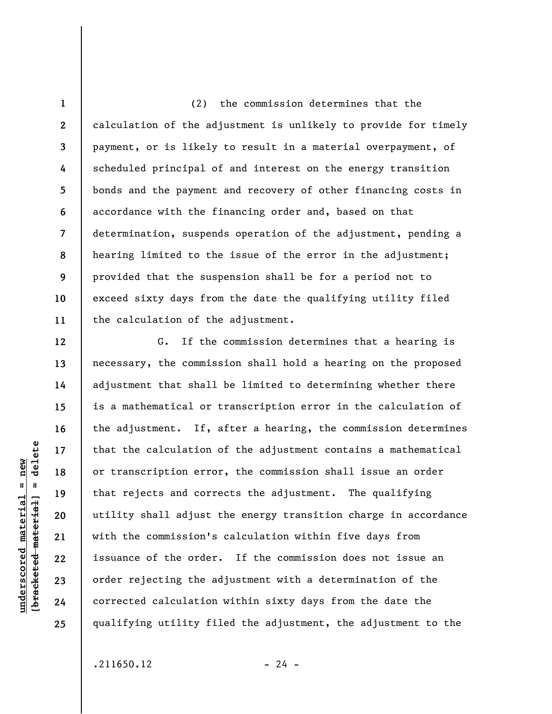**1 2 3 4 5 6 7 8 9 10 11**  (2) the commission determines that the calculation of the adjustment is unlikely to provide for timely payment, or is likely to result in a material overpayment, of scheduled principal of and interest on the energy transition bonds and the payment and recovery of other financing costs in accordance with the financing order and, based on that determination, suspends operation of the adjustment, pending a hearing limited to the issue of the error in the adjustment; provided that the suspension shall be for a period not to exceed sixty days from the date the qualifying utility filed the calculation of the adjustment.

G. If the commission determines that a hearing is necessary, the commission shall hold a hearing on the proposed adjustment that shall be limited to determining whether there is a mathematical or transcription error in the calculation of the adjustment. If, after a hearing, the commission determines that the calculation of the adjustment contains a mathematical or transcription error, the commission shall issue an order that rejects and corrects the adjustment. The qualifying utility shall adjust the energy transition charge in accordance with the commission's calculation within five days from issuance of the order. If the commission does not issue an order rejecting the adjustment with a determination of the corrected calculation within sixty days from the date the qualifying utility filed the adjustment, the adjustment to the

delete **[bracketed material] = delete**  $anderscored material = new$ **underscored material = new**  $\mathbf{I}$ bracketed material

**12** 

**13** 

**14** 

**15** 

**16** 

**17** 

**18** 

**19** 

**20** 

**21** 

**22** 

**23** 

**24**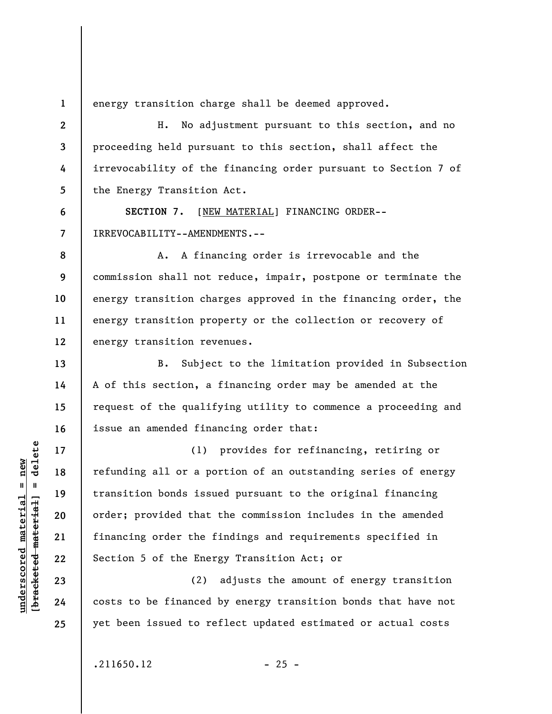**1 2** 

**3** 

**4** 

**5** 

**6** 

**7** 

**8** 

**9** 

**10** 

**11** 

**12** 

**13** 

**14** 

**15** 

**16** 

**17** 

**18** 

**19** 

**20** 

energy transition charge shall be deemed approved.

H. No adjustment pursuant to this section, and no proceeding held pursuant to this section, shall affect the irrevocability of the financing order pursuant to Section 7 of the Energy Transition Act.

SECTION 7. [NEW MATERIAL] FINANCING ORDER--IRREVOCABILITY--AMENDMENTS.--

A. A financing order is irrevocable and the commission shall not reduce, impair, postpone or terminate the energy transition charges approved in the financing order, the energy transition property or the collection or recovery of energy transition revenues.

B. Subject to the limitation provided in Subsection A of this section, a financing order may be amended at the request of the qualifying utility to commence a proceeding and issue an amended financing order that:

(1) provides for refinancing, retiring or refunding all or a portion of an outstanding series of energy transition bonds issued pursuant to the original financing order; provided that the commission includes in the amended financing order the findings and requirements specified in Section 5 of the Energy Transition Act; or

(2) adjusts the amount of energy transition costs to be financed by energy transition bonds that have not yet been issued to reflect updated estimated or actual costs

 $.211650.12$  - 25 -

**underscored material = new [bracketed material] = delete**

 $\frac{1}{2}$  intereted material = delete  $anderscored material = new$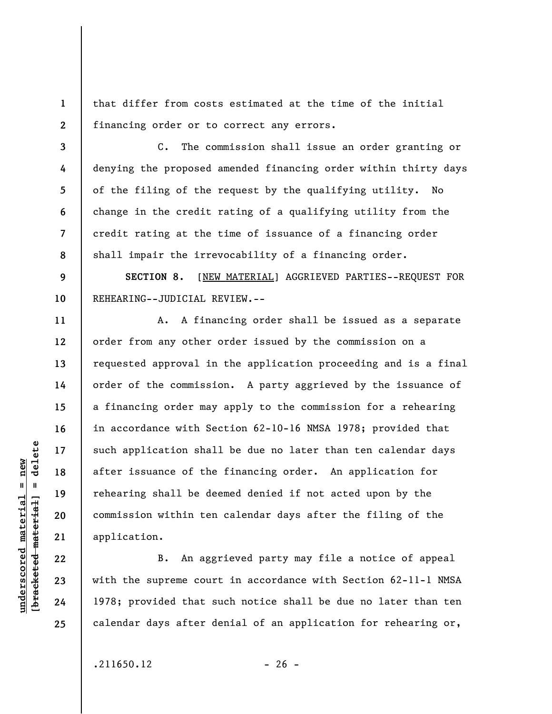**1 2**  that differ from costs estimated at the time of the initial financing order or to correct any errors.

**3 4 5 6 7 8**  C. The commission shall issue an order granting or denying the proposed amended financing order within thirty days of the filing of the request by the qualifying utility. No change in the credit rating of a qualifying utility from the credit rating at the time of issuance of a financing order shall impair the irrevocability of a financing order.

**9 10 SECTION 8.** [NEW MATERIAL] AGGRIEVED PARTIES--REQUEST FOR REHEARING--JUDICIAL REVIEW.--

A. A financing order shall be issued as a separate order from any other order issued by the commission on a requested approval in the application proceeding and is a final order of the commission. A party aggrieved by the issuance of a financing order may apply to the commission for a rehearing in accordance with Section 62-10-16 NMSA 1978; provided that such application shall be due no later than ten calendar days after issuance of the financing order. An application for rehearing shall be deemed denied if not acted upon by the commission within ten calendar days after the filing of the application.

B. An aggrieved party may file a notice of appeal with the supreme court in accordance with Section 62-11-1 NMSA 1978; provided that such notice shall be due no later than ten calendar days after denial of an application for rehearing or,

 $\frac{1}{2}$  of  $\frac{1}{2}$  and  $\frac{1}{2}$  and  $\frac{1}{2}$  and  $\frac{1}{2}$  and  $\frac{1}{2}$  and  $\frac{1}{2}$  and  $\frac{1}{2}$  and  $\frac{1}{2}$  and  $\frac{1}{2}$  and  $\frac{1}{2}$  and  $\frac{1}{2}$  and  $\frac{1}{2}$  and  $\frac{1}{2}$  and  $\frac{1}{2}$  and  $\frac{1}{2}$  an **[bracketed material] = delete**  $underscored material = new$ **underscored material = new**

**11** 

**12** 

**13** 

**14** 

**15** 

**16** 

**17** 

**18** 

**19** 

**20** 

**21** 

**22** 

**23** 

**24** 

**25** 

 $.211650.12$  - 26 -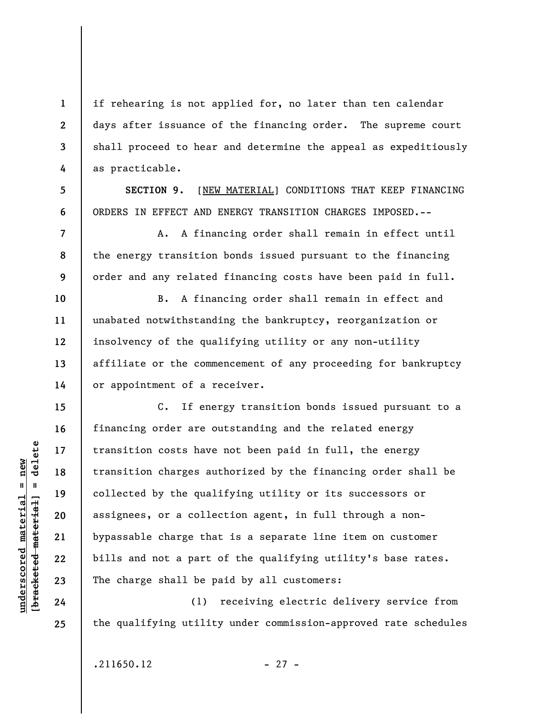if rehearing is not applied for, no later than ten calendar days after issuance of the financing order. The supreme court shall proceed to hear and determine the appeal as expeditiously as practicable.

**SECTION 9.** [NEW MATERIAL] CONDITIONS THAT KEEP FINANCING ORDERS IN EFFECT AND ENERGY TRANSITION CHARGES IMPOSED.--

A. A financing order shall remain in effect until the energy transition bonds issued pursuant to the financing order and any related financing costs have been paid in full.

B. A financing order shall remain in effect and unabated notwithstanding the bankruptcy, reorganization or insolvency of the qualifying utility or any non-utility affiliate or the commencement of any proceeding for bankruptcy or appointment of a receiver.

C. If energy transition bonds issued pursuant to a financing order are outstanding and the related energy transition costs have not been paid in full, the energy transition charges authorized by the financing order shall be collected by the qualifying utility or its successors or assignees, or a collection agent, in full through a nonbypassable charge that is a separate line item on customer bills and not a part of the qualifying utility's base rates. The charge shall be paid by all customers:

(1) receiving electric delivery service from the qualifying utility under commission-approved rate schedules

 $\frac{1}{2}$  of  $\frac{1}{2}$  and  $\frac{1}{2}$  and  $\frac{1}{2}$  and  $\frac{1}{2}$  and  $\frac{1}{2}$  and  $\frac{1}{2}$  and  $\frac{1}{2}$  and  $\frac{1}{2}$  and  $\frac{1}{2}$  and  $\frac{1}{2}$  and  $\frac{1}{2}$  and  $\frac{1}{2}$  and  $\frac{1}{2}$  and  $\frac{1}{2}$  and  $\frac{1}{2}$  an **[bracketed material] = delete**  $underscored material = new$ **underscored material = new**

**1** 

**2** 

**3** 

**4** 

**5** 

**6** 

**7** 

**8** 

**9** 

**10** 

**11** 

**12** 

**13** 

**14** 

**15** 

**16** 

**17** 

**18** 

**19** 

**20** 

**21** 

**22** 

**23** 

**24** 

**25** 

 $.211650.12$  - 27 -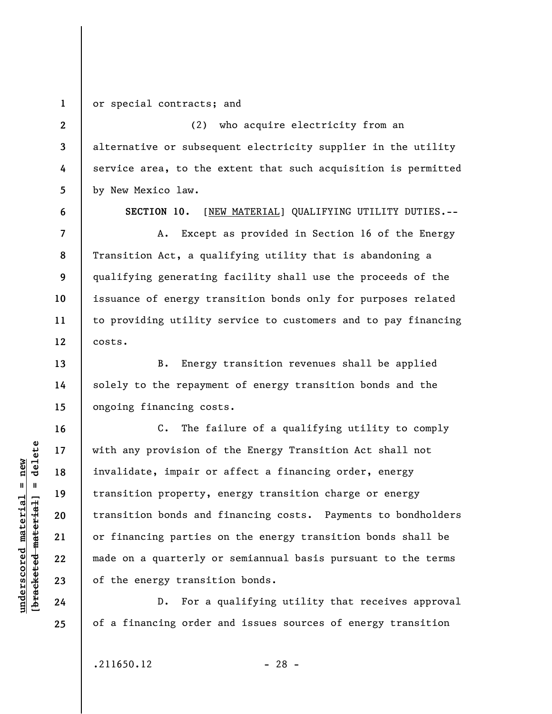**1 2** 

**3** 

**4** 

**5** 

**6** 

**7** 

**8** 

**9** 

**10** 

**11** 

**12** 

**13** 

**14** 

**15** 

**16** 

**17** 

**18** 

**19** 

**20** 

**21** 

**22** 

**23** 

**24** 

**25** 

or special contracts; and

(2) who acquire electricity from an alternative or subsequent electricity supplier in the utility service area, to the extent that such acquisition is permitted by New Mexico law.

**SECTION 10.** [NEW MATERIAL] QUALIFYING UTILITY DUTIES.--

A. Except as provided in Section 16 of the Energy Transition Act, a qualifying utility that is abandoning a qualifying generating facility shall use the proceeds of the issuance of energy transition bonds only for purposes related to providing utility service to customers and to pay financing costs.

B. Energy transition revenues shall be applied solely to the repayment of energy transition bonds and the ongoing financing costs.

C. The failure of a qualifying utility to comply with any provision of the Energy Transition Act shall not invalidate, impair or affect a financing order, energy transition property, energy transition charge or energy transition bonds and financing costs. Payments to bondholders or financing parties on the energy transition bonds shall be made on a quarterly or semiannual basis pursuant to the terms of the energy transition bonds.

D. For a qualifying utility that receives approval of a financing order and issues sources of energy transition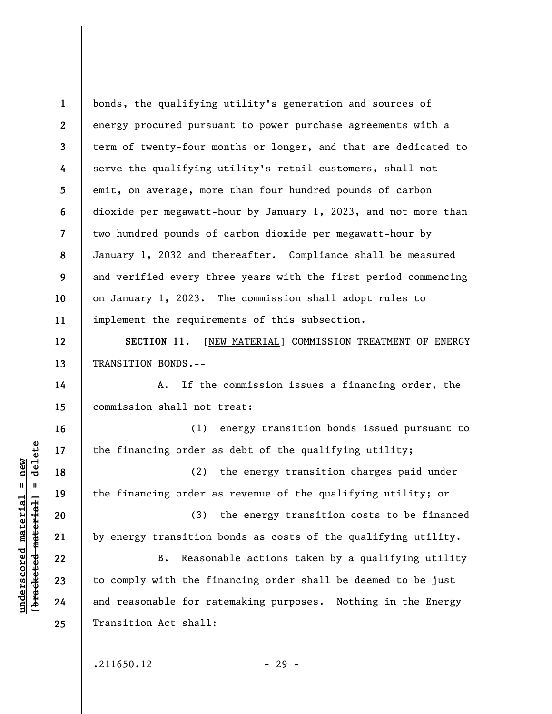**1 2 3 4 5 6 7 8 9 10 11**  bonds, the qualifying utility's generation and sources of energy procured pursuant to power purchase agreements with a term of twenty-four months or longer, and that are dedicated to serve the qualifying utility's retail customers, shall not emit, on average, more than four hundred pounds of carbon dioxide per megawatt-hour by January 1, 2023, and not more than two hundred pounds of carbon dioxide per megawatt-hour by January 1, 2032 and thereafter. Compliance shall be measured and verified every three years with the first period commencing on January 1, 2023. The commission shall adopt rules to implement the requirements of this subsection.

SECTION 11. [NEW MATERIAL] COMMISSION TREATMENT OF ENERGY TRANSITION BONDS.--

A. If the commission issues a financing order, the commission shall not treat:

(1) energy transition bonds issued pursuant to the financing order as debt of the qualifying utility;

(2) the energy transition charges paid under the financing order as revenue of the qualifying utility; or

(3) the energy transition costs to be financed by energy transition bonds as costs of the qualifying utility.

B. Reasonable actions taken by a qualifying utility to comply with the financing order shall be deemed to be just and reasonable for ratemaking purposes. Nothing in the Energy Transition Act shall:

 $.211650.12$  - 29 -

 $\frac{1}{2}$  intereted material = delete **[bracketed material] = delete**  $underscored material = new$ **underscored material = new**

**12** 

**13** 

**14** 

**15** 

**16** 

**17** 

**18** 

**19** 

**20** 

**21** 

**22** 

**23** 

**24**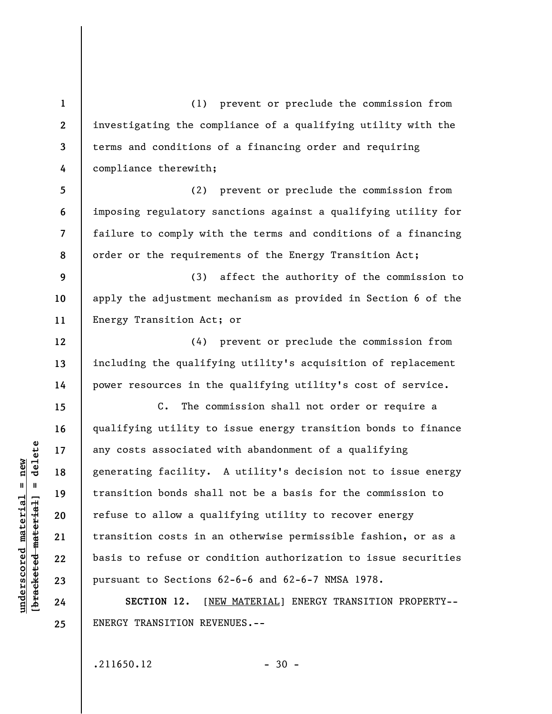(1) prevent or preclude the commission from investigating the compliance of a qualifying utility with the terms and conditions of a financing order and requiring compliance therewith;

**5 6 7 8**  (2) prevent or preclude the commission from imposing regulatory sanctions against a qualifying utility for failure to comply with the terms and conditions of a financing order or the requirements of the Energy Transition Act;

**9 10 11**  (3) affect the authority of the commission to apply the adjustment mechanism as provided in Section 6 of the Energy Transition Act; or

(4) prevent or preclude the commission from including the qualifying utility's acquisition of replacement power resources in the qualifying utility's cost of service.

C. The commission shall not order or require a qualifying utility to issue energy transition bonds to finance any costs associated with abandonment of a qualifying generating facility. A utility's decision not to issue energy transition bonds shall not be a basis for the commission to refuse to allow a qualifying utility to recover energy transition costs in an otherwise permissible fashion, or as a basis to refuse or condition authorization to issue securities pursuant to Sections 62-6-6 and 62-6-7 NMSA 1978.

**SECTION 12.** [NEW MATERIAL] ENERGY TRANSITION PROPERTY-- ENERGY TRANSITION REVENUES.--

 $.211650.12$  - 30 -

 $\frac{1}{2}$  of  $\frac{1}{2}$  and  $\frac{1}{2}$  and  $\frac{1}{2}$  and  $\frac{1}{2}$  and  $\frac{1}{2}$  and  $\frac{1}{2}$  and  $\frac{1}{2}$  and  $\frac{1}{2}$  and  $\frac{1}{2}$  and  $\frac{1}{2}$  and  $\frac{1}{2}$  and  $\frac{1}{2}$  and  $\frac{1}{2}$  and  $\frac{1}{2}$  and  $\frac{1}{2}$  an **[bracketed material] = delete**  $underscored material = new$ **underscored material = new**

**1** 

**2** 

**3** 

**4** 

**12** 

**13** 

**14** 

**15** 

**16** 

**17** 

**18** 

**19** 

**20** 

**21** 

**22** 

**23** 

**24**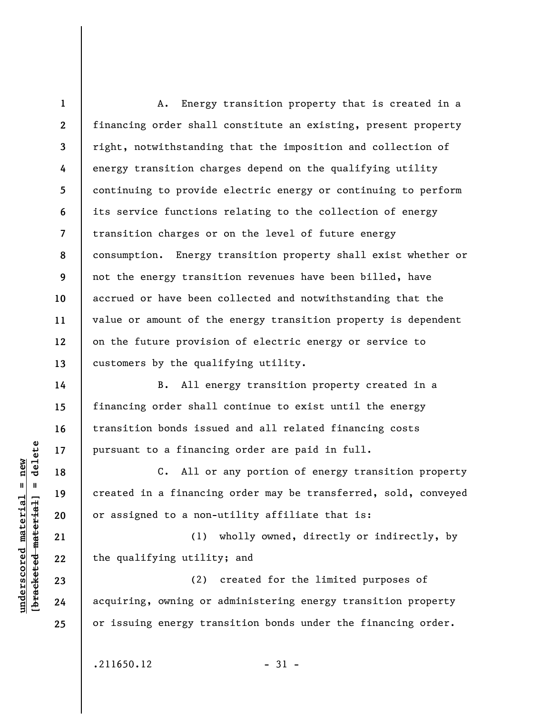**1 2 3 4 5 6 7 8 9 10 11 12 13**  A. Energy transition property that is created in a financing order shall constitute an existing, present property right, notwithstanding that the imposition and collection of energy transition charges depend on the qualifying utility continuing to provide electric energy or continuing to perform its service functions relating to the collection of energy transition charges or on the level of future energy consumption. Energy transition property shall exist whether or not the energy transition revenues have been billed, have accrued or have been collected and notwithstanding that the value or amount of the energy transition property is dependent on the future provision of electric energy or service to customers by the qualifying utility.

B. All energy transition property created in a financing order shall continue to exist until the energy transition bonds issued and all related financing costs pursuant to a financing order are paid in full.

C. All or any portion of energy transition property created in a financing order may be transferred, sold, conveyed or assigned to a non-utility affiliate that is:

(1) wholly owned, directly or indirectly, by the qualifying utility; and

(2) created for the limited purposes of acquiring, owning or administering energy transition property or issuing energy transition bonds under the financing order.

 $.211650.12$  - 31 -

 $\frac{1}{2}$  intereted material = delete **[bracketed material] = delete**  $anderscored material = new$ **underscored material = new**

**14** 

**15** 

**16** 

**17** 

**18** 

**19** 

**20** 

**21** 

**22** 

**23** 

**24**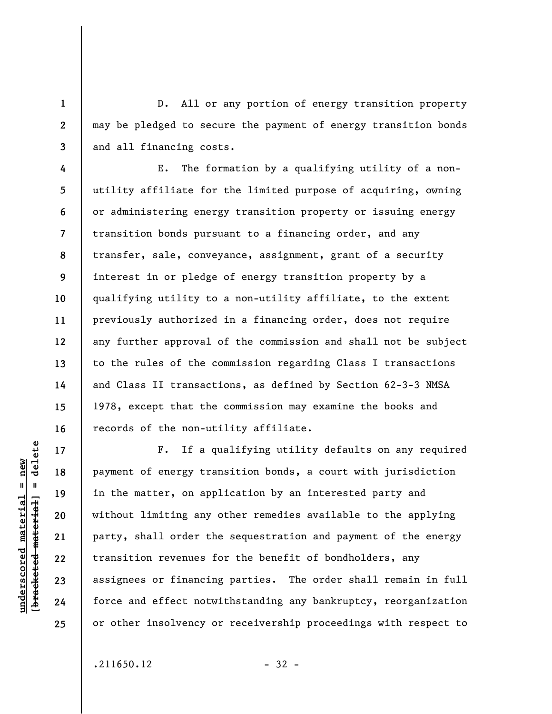D. All or any portion of energy transition property may be pledged to secure the payment of energy transition bonds and all financing costs.

**4 5 6 7 8 9 10 11 12 13 14 15 16**  E. The formation by a qualifying utility of a nonutility affiliate for the limited purpose of acquiring, owning or administering energy transition property or issuing energy transition bonds pursuant to a financing order, and any transfer, sale, conveyance, assignment, grant of a security interest in or pledge of energy transition property by a qualifying utility to a non-utility affiliate, to the extent previously authorized in a financing order, does not require any further approval of the commission and shall not be subject to the rules of the commission regarding Class I transactions and Class II transactions, as defined by Section 62-3-3 NMSA 1978, except that the commission may examine the books and records of the non-utility affiliate.

**17 18 19 20 21 22 23 24 25**  F. If a qualifying utility defaults on any required payment of energy transition bonds, a court with jurisdiction in the matter, on application by an interested party and without limiting any other remedies available to the applying party, shall order the sequestration and payment of the energy transition revenues for the benefit of bondholders, any assignees or financing parties. The order shall remain in full force and effect notwithstanding any bankruptcy, reorganization or other insolvency or receivership proceedings with respect to

 $.211650.12$  - 32 -

 $\frac{1}{2}$  of  $\frac{1}{2}$  and  $\frac{1}{2}$  and  $\frac{1}{2}$  and  $\frac{1}{2}$  and  $\frac{1}{2}$  and  $\frac{1}{2}$  and  $\frac{1}{2}$  and  $\frac{1}{2}$  and  $\frac{1}{2}$  and  $\frac{1}{2}$  and  $\frac{1}{2}$  and  $\frac{1}{2}$  and  $\frac{1}{2}$  and  $\frac{1}{2}$  and  $\frac{1}{2}$  an **[bracketed material] = delete**  $anderscored material = new$ **underscored material = new**

**1** 

**2**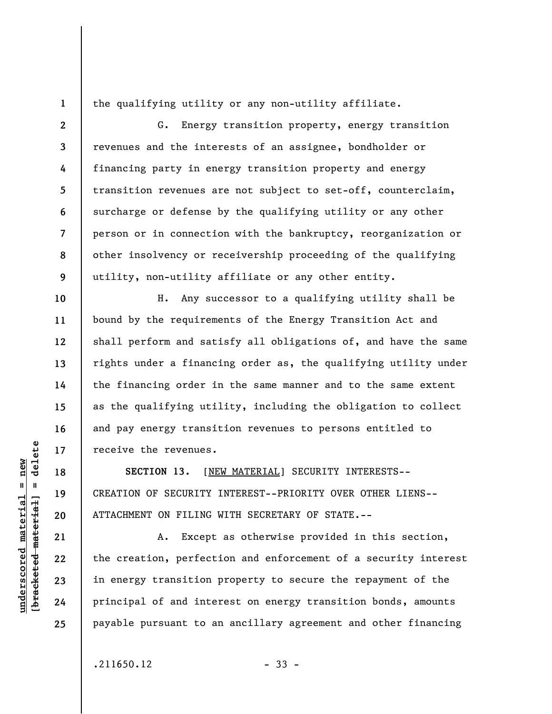**1** 

**10** 

**11** 

**12** 

**13** 

**14** 

**15** 

**16** 

**17** 

**18** 

**19** 

**20** 

the qualifying utility or any non-utility affiliate.

**2 3 4 5 6 7 8 9**  G. Energy transition property, energy transition revenues and the interests of an assignee, bondholder or financing party in energy transition property and energy transition revenues are not subject to set-off, counterclaim, surcharge or defense by the qualifying utility or any other person or in connection with the bankruptcy, reorganization or other insolvency or receivership proceeding of the qualifying utility, non-utility affiliate or any other entity.

H. Any successor to a qualifying utility shall be bound by the requirements of the Energy Transition Act and shall perform and satisfy all obligations of, and have the same rights under a financing order as, the qualifying utility under the financing order in the same manner and to the same extent as the qualifying utility, including the obligation to collect and pay energy transition revenues to persons entitled to receive the revenues.

**SECTION 13.** [NEW MATERIAL] SECURITY INTERESTS-- CREATION OF SECURITY INTEREST--PRIORITY OVER OTHER LIENS-- ATTACHMENT ON FILING WITH SECRETARY OF STATE.--

A. Except as otherwise provided in this section, the creation, perfection and enforcement of a security interest in energy transition property to secure the repayment of the principal of and interest on energy transition bonds, amounts payable pursuant to an ancillary agreement and other financing

 $.211650.12$  - 33 -

 $\frac{1}{2}$  of  $\frac{1}{2}$  and  $\frac{1}{2}$  and  $\frac{1}{2}$  and  $\frac{1}{2}$  and  $\frac{1}{2}$  and  $\frac{1}{2}$  and  $\frac{1}{2}$  and  $\frac{1}{2}$  and  $\frac{1}{2}$  and  $\frac{1}{2}$  and  $\frac{1}{2}$  and  $\frac{1}{2}$  and  $\frac{1}{2}$  and  $\frac{1}{2}$  and  $\frac{1}{2}$  an **[bracketed material] = delete 21 22 23 24 25** 

**underscored material = new**

inderscored material = new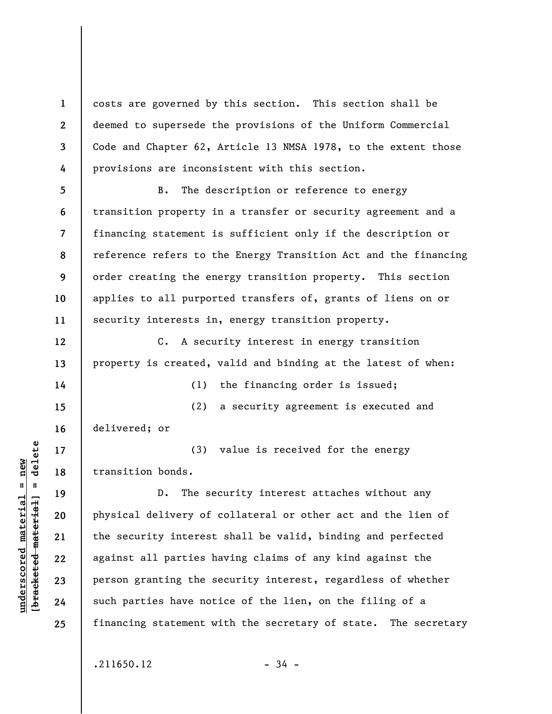costs are governed by this section. This section shall be deemed to supersede the provisions of the Uniform Commercial Code and Chapter 62, Article 13 NMSA 1978, to the extent those provisions are inconsistent with this section.

**5 6 7 8 9 10 11**  B. The description or reference to energy transition property in a transfer or security agreement and a financing statement is sufficient only if the description or reference refers to the Energy Transition Act and the financing order creating the energy transition property. This section applies to all purported transfers of, grants of liens on or security interests in, energy transition property.

C. A security interest in energy transition property is created, valid and binding at the latest of when:

(1) the financing order is issued;

(2) a security agreement is executed and delivered; or

(3) value is received for the energy transition bonds.

D. The security interest attaches without any physical delivery of collateral or other act and the lien of the security interest shall be valid, binding and perfected against all parties having claims of any kind against the person granting the security interest, regardless of whether such parties have notice of the lien, on the filing of a financing statement with the secretary of state. The secretary

 $.211650.12$  - 34 -

 $\frac{1}{2}$  intereted material = delete **[bracketed material] = delete**  $underscored material = new$ **underscored material = new**

**1** 

**2** 

**3** 

**4** 

**12** 

**13** 

**14** 

**15** 

**16** 

**17** 

**18** 

**19** 

**20** 

**21** 

**22** 

**23** 

**24**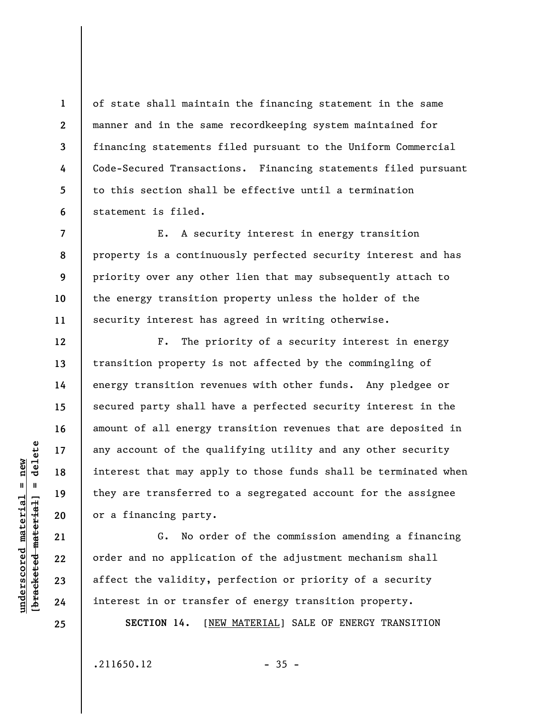of state shall maintain the financing statement in the same manner and in the same recordkeeping system maintained for financing statements filed pursuant to the Uniform Commercial Code-Secured Transactions. Financing statements filed pursuant to this section shall be effective until a termination statement is filed.

E. A security interest in energy transition property is a continuously perfected security interest and has priority over any other lien that may subsequently attach to the energy transition property unless the holder of the security interest has agreed in writing otherwise.

F. The priority of a security interest in energy transition property is not affected by the commingling of energy transition revenues with other funds. Any pledgee or secured party shall have a perfected security interest in the amount of all energy transition revenues that are deposited in any account of the qualifying utility and any other security interest that may apply to those funds shall be terminated when they are transferred to a segregated account for the assignee or a financing party.

G. No order of the commission amending a financing order and no application of the adjustment mechanism shall affect the validity, perfection or priority of a security interest in or transfer of energy transition property.

**SECTION 14.** [NEW MATERIAL] SALE OF ENERGY TRANSITION

 $.211650.12$  - 35 -

 $\frac{1}{2}$  of  $\frac{1}{2}$  and  $\frac{1}{2}$  and  $\frac{1}{2}$  and  $\frac{1}{2}$  and  $\frac{1}{2}$  and  $\frac{1}{2}$  and  $\frac{1}{2}$  and  $\frac{1}{2}$  and  $\frac{1}{2}$  and  $\frac{1}{2}$  and  $\frac{1}{2}$  and  $\frac{1}{2}$  and  $\frac{1}{2}$  and  $\frac{1}{2}$  and  $\frac{1}{2}$  an **[bracketed material] = delete**  $underscored material = new$ **underscored material = new**

**1** 

**2** 

**3** 

**4** 

**5** 

**6** 

**7** 

**8** 

**9** 

**10** 

**11** 

**12** 

**13** 

**14** 

**15** 

**16** 

**17** 

**18** 

**19** 

**20** 

**21** 

**22** 

**23** 

**24**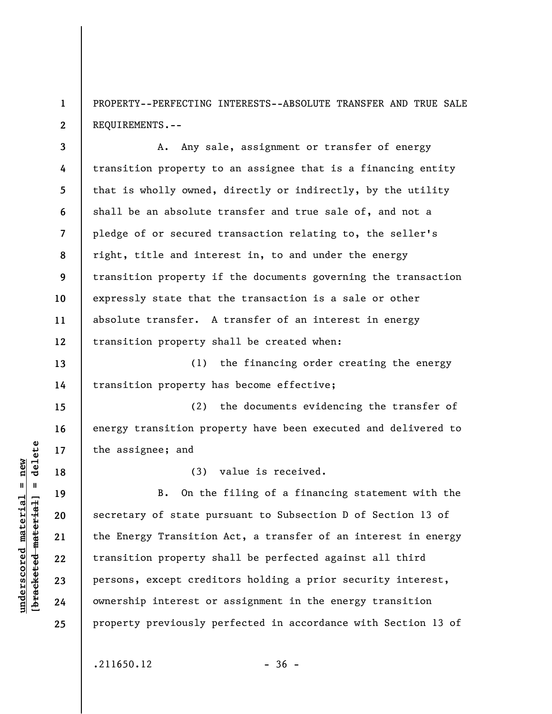**1 2**  PROPERTY--PERFECTING INTERESTS--ABSOLUTE TRANSFER AND TRUE SALE REQUIREMENTS.--

**3 4 5 6 7 8 9 10 11 12**  A. Any sale, assignment or transfer of energy transition property to an assignee that is a financing entity that is wholly owned, directly or indirectly, by the utility shall be an absolute transfer and true sale of, and not a pledge of or secured transaction relating to, the seller's right, title and interest in, to and under the energy transition property if the documents governing the transaction expressly state that the transaction is a sale or other absolute transfer. A transfer of an interest in energy transition property shall be created when:

**13 14**  (1) the financing order creating the energy transition property has become effective;

(2) the documents evidencing the transfer of energy transition property have been executed and delivered to the assignee; and

(3) value is received.

B. On the filing of a financing statement with the secretary of state pursuant to Subsection D of Section 13 of the Energy Transition Act, a transfer of an interest in energy transition property shall be perfected against all third persons, except creditors holding a prior security interest, ownership interest or assignment in the energy transition property previously perfected in accordance with Section 13 of

 $.211650.12$  - 36 -

 $\frac{1}{2}$  of  $\frac{1}{2}$  and  $\frac{1}{2}$  and  $\frac{1}{2}$  and  $\frac{1}{2}$  and  $\frac{1}{2}$  and  $\frac{1}{2}$  and  $\frac{1}{2}$  and  $\frac{1}{2}$  and  $\frac{1}{2}$  and  $\frac{1}{2}$  and  $\frac{1}{2}$  and  $\frac{1}{2}$  and  $\frac{1}{2}$  and  $\frac{1}{2}$  and  $\frac{1}{2}$  an **[bracketed material] = delete**  $anderscored material = new$ **underscored material = new**

**15** 

**16** 

**17** 

**18** 

**19** 

**20** 

**21** 

**22** 

**23** 

**24**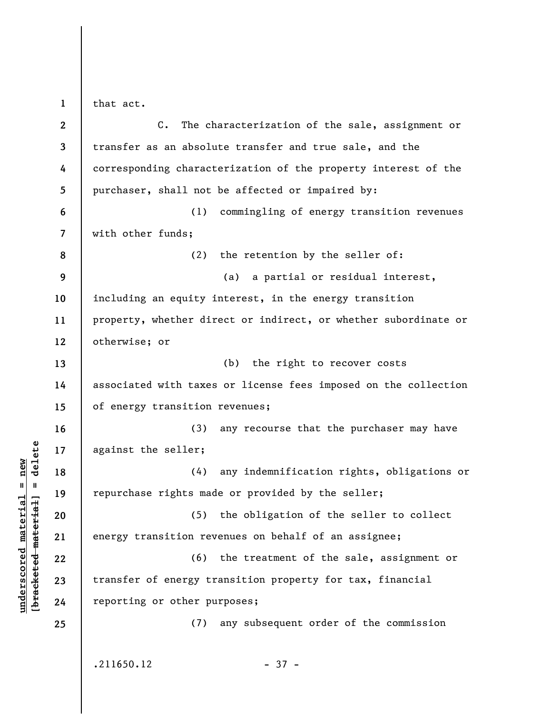that act.

**1** 

**underscored material = new [bracketed material] = delete**

 $\frac{\text{underscored material} = \text{new}}{(\text{bracketed material}) = \text{dev}}$ 

| $\mathbf{2}$   | $C_{\bullet}$<br>The characterization of the sale, assignment or |
|----------------|------------------------------------------------------------------|
| 3              | transfer as an absolute transfer and true sale, and the          |
| 4              | corresponding characterization of the property interest of the   |
| 5              | purchaser, shall not be affected or impaired by:                 |
| 6              | (1)<br>commingling of energy transition revenues                 |
| $\overline{7}$ | with other funds;                                                |
| 8              | (2)<br>the retention by the seller of:                           |
| 9              | a partial or residual interest,<br>(a)                           |
| 10             | including an equity interest, in the energy transition           |
| 11             | property, whether direct or indirect, or whether subordinate or  |
| 12             | otherwise; or                                                    |
| 13             | (b) the right to recover costs                                   |
| 14             | associated with taxes or license fees imposed on the collection  |
| 15             | of energy transition revenues;                                   |
| 16             | any recourse that the purchaser may have<br>(3)                  |
| 17             | against the seller;                                              |
| 18             | any indemnification rights, obligations or<br>(4)                |
| 19             | repurchase rights made or provided by the seller;                |
| 20             | (5) the obligation of the seller to collect                      |
| 21             | energy transition revenues on behalf of an assignee;             |
| 22             | (6) the treatment of the sale, assignment or                     |
| 23             | transfer of energy transition property for tax, financial        |
| 24             | reporting or other purposes;                                     |
| 25             | any subsequent order of the commission<br>(7)                    |
|                |                                                                  |
|                | .211650.12<br>$-37 -$                                            |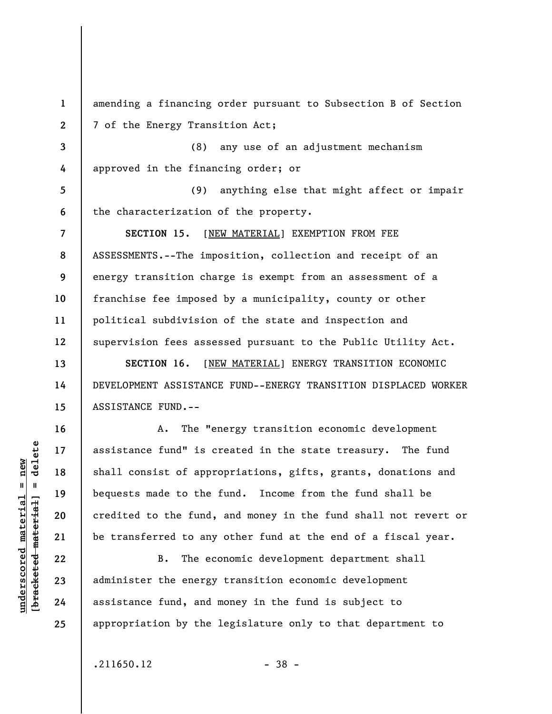**1 2 3 4 5 6 7 8 9 10 11 12 13 14**  amending a financing order pursuant to Subsection B of Section 7 of the Energy Transition Act; (8) any use of an adjustment mechanism approved in the financing order; or (9) anything else that might affect or impair the characterization of the property. **SECTION 15.** [NEW MATERIAL] EXEMPTION FROM FEE ASSESSMENTS.--The imposition, collection and receipt of an energy transition charge is exempt from an assessment of a franchise fee imposed by a municipality, county or other political subdivision of the state and inspection and supervision fees assessed pursuant to the Public Utility Act. **SECTION 16.** [NEW MATERIAL] ENERGY TRANSITION ECONOMIC

DEVELOPMENT ASSISTANCE FUND--ENERGY TRANSITION DISPLACED WORKER ASSISTANCE FUND.--

A. The "energy transition economic development assistance fund" is created in the state treasury. The fund shall consist of appropriations, gifts, grants, donations and bequests made to the fund. Income from the fund shall be credited to the fund, and money in the fund shall not revert or be transferred to any other fund at the end of a fiscal year.

B. The economic development department shall administer the energy transition economic development assistance fund, and money in the fund is subject to appropriation by the legislature only to that department to

 $.211650.12$  - 38 -

 $\frac{1}{2}$  intereted material = delete **[bracketed material] = delete**  $underscored material = new$ **underscored material = new**

**15** 

**16** 

**17** 

**18** 

**19** 

**20** 

**21** 

**22** 

**23** 

**24**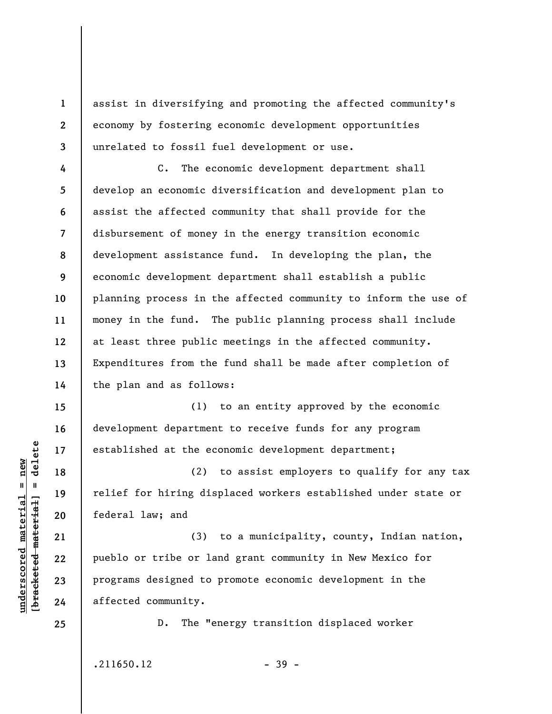assist in diversifying and promoting the affected community's economy by fostering economic development opportunities unrelated to fossil fuel development or use.

**4 5 6 7 8 9 10 11 12 13 14**  C. The economic development department shall develop an economic diversification and development plan to assist the affected community that shall provide for the disbursement of money in the energy transition economic development assistance fund. In developing the plan, the economic development department shall establish a public planning process in the affected community to inform the use of money in the fund. The public planning process shall include at least three public meetings in the affected community. Expenditures from the fund shall be made after completion of the plan and as follows:

(1) to an entity approved by the economic development department to receive funds for any program established at the economic development department;

(2) to assist employers to qualify for any tax relief for hiring displaced workers established under state or federal law; and

(3) to a municipality, county, Indian nation, pueblo or tribe or land grant community in New Mexico for programs designed to promote economic development in the affected community.

D. The "energy transition displaced worker

 $.211650.12$  - 39 -

 $\frac{1}{2}$  of  $\frac{1}{2}$  and  $\frac{1}{2}$  and  $\frac{1}{2}$  and  $\frac{1}{2}$  and  $\frac{1}{2}$  and  $\frac{1}{2}$  and  $\frac{1}{2}$  and  $\frac{1}{2}$  and  $\frac{1}{2}$  and  $\frac{1}{2}$  and  $\frac{1}{2}$  and  $\frac{1}{2}$  and  $\frac{1}{2}$  and  $\frac{1}{2}$  and  $\frac{1}{2}$  an **[bracketed material] = delete**  $underscored material = new$ **underscored material = new**

**15** 

**16** 

**17** 

**18** 

**19** 

**20** 

**21** 

**22** 

**23** 

**24** 

**25** 

**1** 

**2**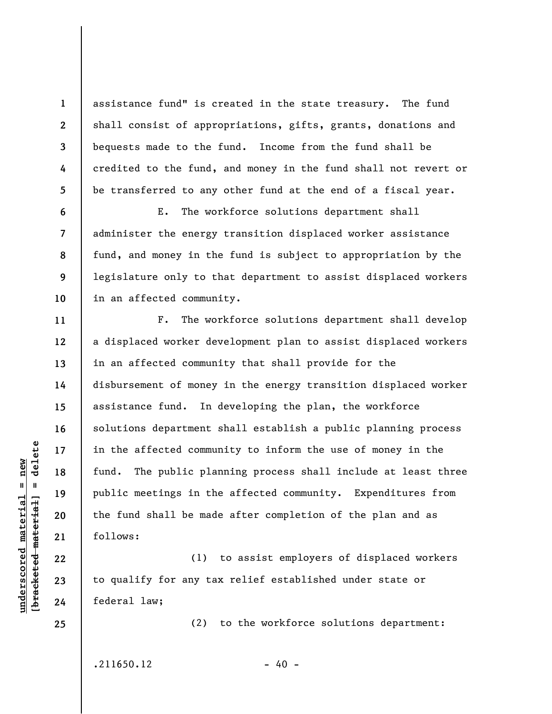assistance fund" is created in the state treasury. The fund shall consist of appropriations, gifts, grants, donations and bequests made to the fund. Income from the fund shall be credited to the fund, and money in the fund shall not revert or be transferred to any other fund at the end of a fiscal year.

E. The workforce solutions department shall administer the energy transition displaced worker assistance fund, and money in the fund is subject to appropriation by the legislature only to that department to assist displaced workers in an affected community.

F. The workforce solutions department shall develop a displaced worker development plan to assist displaced workers in an affected community that shall provide for the disbursement of money in the energy transition displaced worker assistance fund. In developing the plan, the workforce solutions department shall establish a public planning process in the affected community to inform the use of money in the fund. The public planning process shall include at least three public meetings in the affected community. Expenditures from the fund shall be made after completion of the plan and as follows:

(1) to assist employers of displaced workers to qualify for any tax relief established under state or federal law;

 $.211650.12$  - 40 -

(2) to the workforce solutions department:

 $\frac{1}{2}$  of  $\frac{1}{2}$  and  $\frac{1}{2}$  and  $\frac{1}{2}$  and  $\frac{1}{2}$  and  $\frac{1}{2}$  and  $\frac{1}{2}$  and  $\frac{1}{2}$  and  $\frac{1}{2}$  and  $\frac{1}{2}$  and  $\frac{1}{2}$  and  $\frac{1}{2}$  and  $\frac{1}{2}$  and  $\frac{1}{2}$  and  $\frac{1}{2}$  and  $\frac{1}{2}$  an **[bracketed material] = delete**  $underscored material = new$ **underscored material = new**

**1** 

**2** 

**3** 

**4** 

**5** 

**6** 

**7** 

**8** 

**9** 

**10** 

**11** 

**12** 

**13** 

**14** 

**15** 

**16** 

**17** 

**18** 

**19** 

**20** 

**21** 

**22** 

**23** 

**24**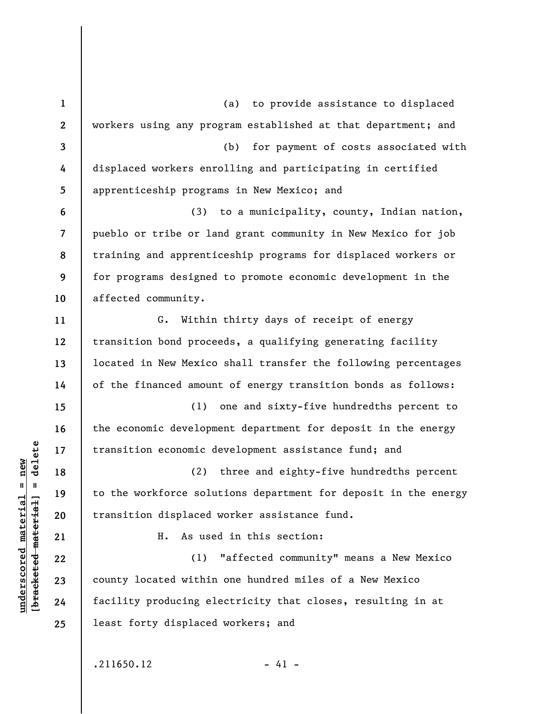**1 2 3 4 5 6 7 8 9 10 11 12 13 14 15 16 17 18 19 20 21 22 23 24 25**  (a) to provide assistance to displaced workers using any program established at that department; and (b) for payment of costs associated with displaced workers enrolling and participating in certified apprenticeship programs in New Mexico; and (3) to a municipality, county, Indian nation, pueblo or tribe or land grant community in New Mexico for job training and apprenticeship programs for displaced workers or for programs designed to promote economic development in the affected community. G. Within thirty days of receipt of energy transition bond proceeds, a qualifying generating facility located in New Mexico shall transfer the following percentages of the financed amount of energy transition bonds as follows: (1) one and sixty-five hundredths percent to the economic development department for deposit in the energy transition economic development assistance fund; and (2) three and eighty-five hundredths percent to the workforce solutions department for deposit in the energy transition displaced worker assistance fund. H. As used in this section: (1) "affected community" means a New Mexico county located within one hundred miles of a New Mexico facility producing electricity that closes, resulting in at least forty displaced workers; and

 $.211650.12$  - 41 -

 $\frac{1}{2}$  of  $\frac{1}{2}$  and  $\frac{1}{2}$  and  $\frac{1}{2}$  and  $\frac{1}{2}$  and  $\frac{1}{2}$  and  $\frac{1}{2}$  and  $\frac{1}{2}$  and  $\frac{1}{2}$  and  $\frac{1}{2}$  and  $\frac{1}{2}$  and  $\frac{1}{2}$  and  $\frac{1}{2}$  and  $\frac{1}{2}$  and  $\frac{1}{2}$  and  $\frac{1}{2}$  an **[bracketed material] = delete**  $anderscored material = new$ **underscored material = new**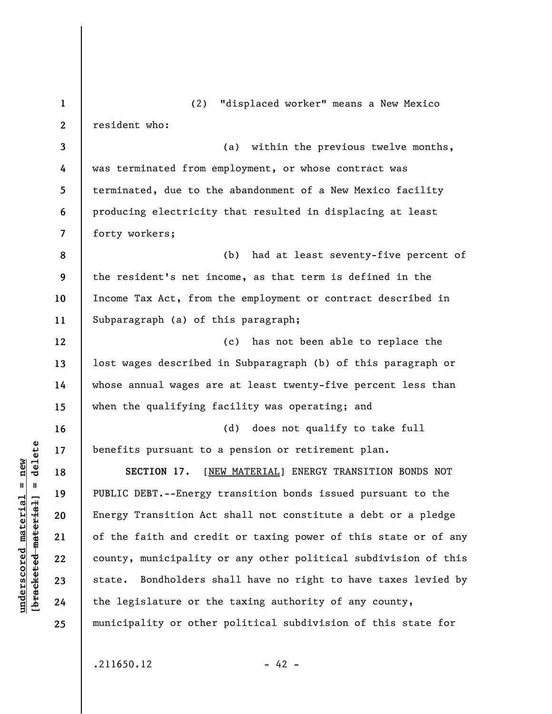**1 2 3 4 5 6 7 8 9 10 11 12 13 14 15 16 17 18 19 20 21 22 23 24 25**  (2) "displaced worker" means a New Mexico resident who: (a) within the previous twelve months, was terminated from employment, or whose contract was terminated, due to the abandonment of a New Mexico facility producing electricity that resulted in displacing at least forty workers; (b) had at least seventy-five percent of the resident's net income, as that term is defined in the Income Tax Act, from the employment or contract described in Subparagraph (a) of this paragraph; (c) has not been able to replace the lost wages described in Subparagraph (b) of this paragraph or whose annual wages are at least twenty-five percent less than when the qualifying facility was operating; and (d) does not qualify to take full benefits pursuant to a pension or retirement plan. **SECTION 17.** [NEW MATERIAL] ENERGY TRANSITION BONDS NOT PUBLIC DEBT.--Energy transition bonds issued pursuant to the Energy Transition Act shall not constitute a debt or a pledge of the faith and credit or taxing power of this state or of any county, municipality or any other political subdivision of this state. Bondholders shall have no right to have taxes levied by the legislature or the taxing authority of any county, municipality or other political subdivision of this state for

 $.211650.12$  - 42 -

 $\frac{1}{2}$  intereted material = delete **[bracketed material] = delete**  $underscored material = new$ **underscored material = new**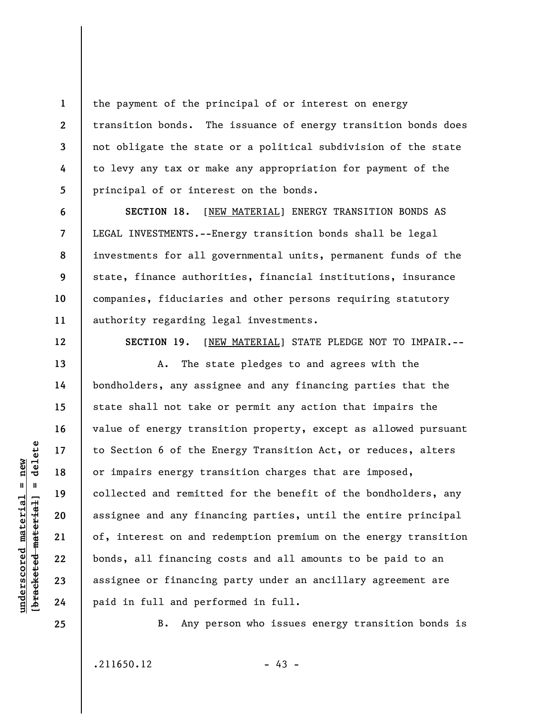the payment of the principal of or interest on energy transition bonds. The issuance of energy transition bonds does not obligate the state or a political subdivision of the state to levy any tax or make any appropriation for payment of the principal of or interest on the bonds.

SECTION 18. [NEW MATERIAL] ENERGY TRANSITION BONDS AS LEGAL INVESTMENTS.--Energy transition bonds shall be legal investments for all governmental units, permanent funds of the state, finance authorities, financial institutions, insurance companies, fiduciaries and other persons requiring statutory authority regarding legal investments.

**12** 

**13** 

**14** 

**15** 

**16** 

**17** 

**18** 

**19** 

**20** 

**21** 

**22** 

**23** 

**24** 

**11** 

**1** 

**2** 

**3** 

**4** 

**5** 

**6** 

**7** 

**8** 

**9** 

**10** 

**SECTION 19.** [NEW MATERIAL] STATE PLEDGE NOT TO IMPAIR.--

A. The state pledges to and agrees with the bondholders, any assignee and any financing parties that the state shall not take or permit any action that impairs the value of energy transition property, except as allowed pursuant to Section 6 of the Energy Transition Act, or reduces, alters or impairs energy transition charges that are imposed, collected and remitted for the benefit of the bondholders, any assignee and any financing parties, until the entire principal of, interest on and redemption premium on the energy transition bonds, all financing costs and all amounts to be paid to an assignee or financing party under an ancillary agreement are paid in full and performed in full.

**25** 

**underscored material = new [bracketed material] = delete**

 $\frac{1}{2}$  intereted material = delete  $anderscored material = new$ 

B. Any person who issues energy transition bonds is

 $.211650.12$  - 43 -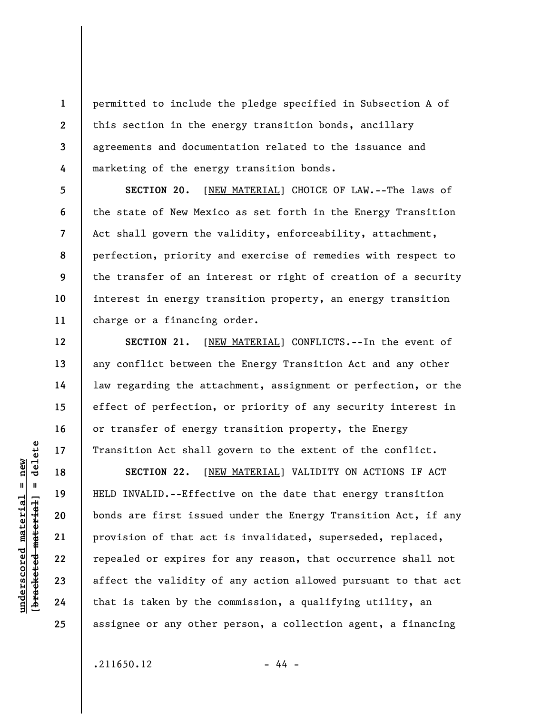**1 2 3 4**  permitted to include the pledge specified in Subsection A of this section in the energy transition bonds, ancillary agreements and documentation related to the issuance and marketing of the energy transition bonds.

**5 6 7 8 9 10 11 SECTION 20.** [NEW MATERIAL] CHOICE OF LAW.--The laws of the state of New Mexico as set forth in the Energy Transition Act shall govern the validity, enforceability, attachment, perfection, priority and exercise of remedies with respect to the transfer of an interest or right of creation of a security interest in energy transition property, an energy transition charge or a financing order.

**SECTION 21.** [NEW MATERIAL] CONFLICTS.--In the event of any conflict between the Energy Transition Act and any other law regarding the attachment, assignment or perfection, or the effect of perfection, or priority of any security interest in or transfer of energy transition property, the Energy Transition Act shall govern to the extent of the conflict.

**SECTION 22.** [NEW MATERIAL] VALIDITY ON ACTIONS IF ACT HELD INVALID.--Effective on the date that energy transition bonds are first issued under the Energy Transition Act, if any provision of that act is invalidated, superseded, replaced, repealed or expires for any reason, that occurrence shall not affect the validity of any action allowed pursuant to that act that is taken by the commission, a qualifying utility, an assignee or any other person, a collection agent, a financing

 $.211650.12$  - 44 -

 $\frac{1}{2}$  of  $\frac{1}{2}$  and  $\frac{1}{2}$  and  $\frac{1}{2}$  and  $\frac{1}{2}$  and  $\frac{1}{2}$  and  $\frac{1}{2}$  and  $\frac{1}{2}$  and  $\frac{1}{2}$  and  $\frac{1}{2}$  and  $\frac{1}{2}$  and  $\frac{1}{2}$  and  $\frac{1}{2}$  and  $\frac{1}{2}$  and  $\frac{1}{2}$  and  $\frac{1}{2}$  an **[bracketed material] = delete**  $anderscored material = new$ **underscored material = new**

**12** 

**13** 

**14** 

**15** 

**16** 

**17** 

**18** 

**19** 

**20** 

**21** 

**22** 

**23** 

**24**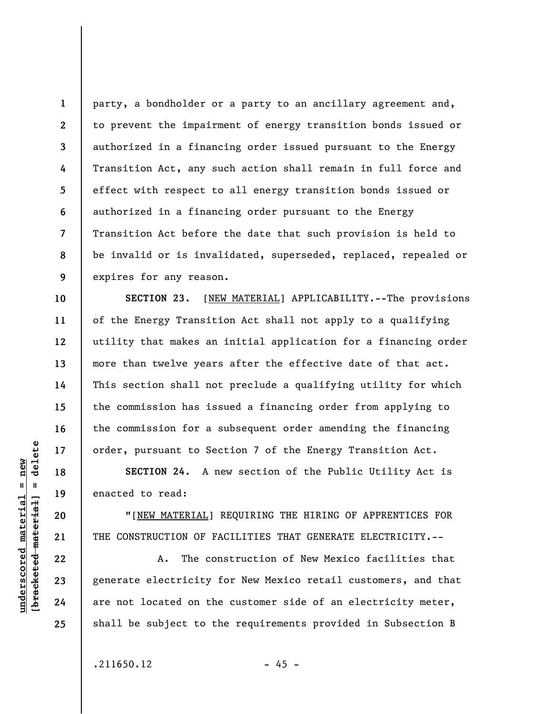**1 2 3 4 5 6 7 8 9**  party, a bondholder or a party to an ancillary agreement and, to prevent the impairment of energy transition bonds issued or authorized in a financing order issued pursuant to the Energy Transition Act, any such action shall remain in full force and effect with respect to all energy transition bonds issued or authorized in a financing order pursuant to the Energy Transition Act before the date that such provision is held to be invalid or is invalidated, superseded, replaced, repealed or expires for any reason.

**SECTION 23.** [NEW MATERIAL] APPLICABILITY.--The provisions of the Energy Transition Act shall not apply to a qualifying utility that makes an initial application for a financing order more than twelve years after the effective date of that act. This section shall not preclude a qualifying utility for which the commission has issued a financing order from applying to the commission for a subsequent order amending the financing order, pursuant to Section 7 of the Energy Transition Act.

**SECTION 24.** A new section of the Public Utility Act is enacted to read:

"[NEW MATERIAL] REQUIRING THE HIRING OF APPRENTICES FOR THE CONSTRUCTION OF FACILITIES THAT GENERATE ELECTRICITY.--

A. The construction of New Mexico facilities that generate electricity for New Mexico retail customers, and that are not located on the customer side of an electricity meter, shall be subject to the requirements provided in Subsection B

 $.211650.12$  - 45 -

 $\frac{1}{2}$  of  $\frac{1}{2}$  and  $\frac{1}{2}$  and  $\frac{1}{2}$  and  $\frac{1}{2}$  and  $\frac{1}{2}$  and  $\frac{1}{2}$  and  $\frac{1}{2}$  and  $\frac{1}{2}$  and  $\frac{1}{2}$  and  $\frac{1}{2}$  and  $\frac{1}{2}$  and  $\frac{1}{2}$  and  $\frac{1}{2}$  and  $\frac{1}{2}$  and  $\frac{1}{2}$  an **[bracketed material] = delete**  $underscored material = new$ **underscored material = new**

**10** 

**11** 

**12** 

**13** 

**14** 

**15** 

**16** 

**17** 

**18** 

**19** 

**20** 

**21** 

**22** 

**23** 

**24**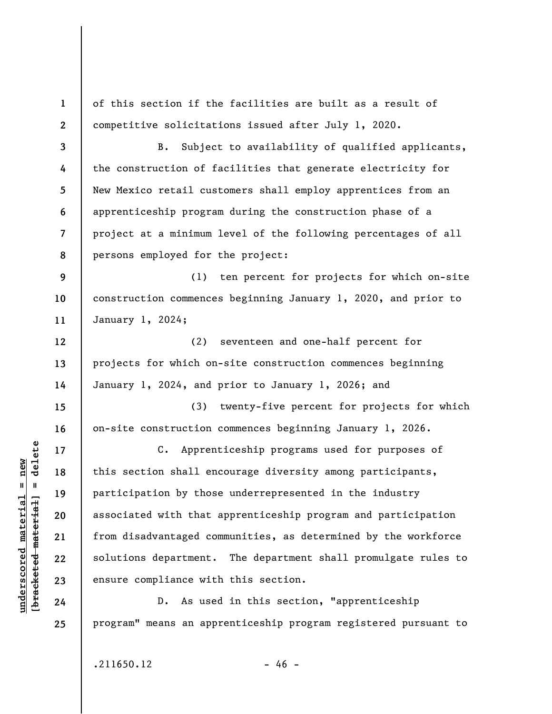**1 2 3 4 5 6 7 8 9 10 11 12 13 14 15 16 17 18 19 20 21 22 23 24 25**  of this section if the facilities are built as a result of competitive solicitations issued after July 1, 2020. B. Subject to availability of qualified applicants, the construction of facilities that generate electricity for New Mexico retail customers shall employ apprentices from an apprenticeship program during the construction phase of a project at a minimum level of the following percentages of all persons employed for the project: (1) ten percent for projects for which on-site construction commences beginning January 1, 2020, and prior to January 1, 2024; (2) seventeen and one-half percent for projects for which on-site construction commences beginning January 1, 2024, and prior to January 1, 2026; and (3) twenty-five percent for projects for which on-site construction commences beginning January 1, 2026. C. Apprenticeship programs used for purposes of this section shall encourage diversity among participants, participation by those underrepresented in the industry associated with that apprenticeship program and participation from disadvantaged communities, as determined by the workforce solutions department. The department shall promulgate rules to ensure compliance with this section. D. As used in this section, "apprenticeship program" means an apprenticeship program registered pursuant to

**underscored material = new [bracketed material] = delete**

 $\frac{1}{2}$  intereted material = delete  $anderscored material = new$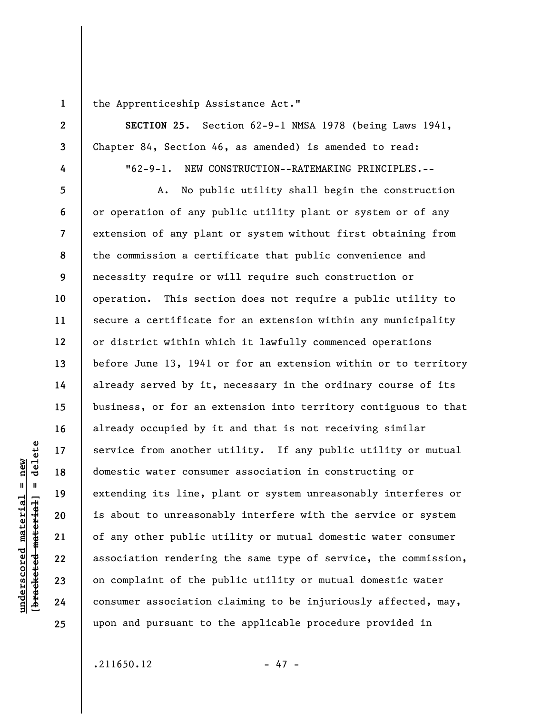**1** 

**2** 

**3** 

**4** 

the Apprenticeship Assistance Act."

**SECTION 25.** Section 62-9-1 NMSA 1978 (being Laws 1941, Chapter 84, Section 46, as amended) is amended to read:

"62-9-1. NEW CONSTRUCTION--RATEMAKING PRINCIPLES.--

**5 6 7 8 9 10 11 12 13 14 15 16 17 18 19 20 21 22 23 24 25**  A. No public utility shall begin the construction or operation of any public utility plant or system or of any extension of any plant or system without first obtaining from the commission a certificate that public convenience and necessity require or will require such construction or operation. This section does not require a public utility to secure a certificate for an extension within any municipality or district within which it lawfully commenced operations before June 13, 1941 or for an extension within or to territory already served by it, necessary in the ordinary course of its business, or for an extension into territory contiguous to that already occupied by it and that is not receiving similar service from another utility. If any public utility or mutual domestic water consumer association in constructing or extending its line, plant or system unreasonably interferes or is about to unreasonably interfere with the service or system of any other public utility or mutual domestic water consumer association rendering the same type of service, the commission, on complaint of the public utility or mutual domestic water consumer association claiming to be injuriously affected, may, upon and pursuant to the applicable procedure provided in

 $\frac{1}{2}$  of  $\frac{1}{2}$  and  $\frac{1}{2}$  and  $\frac{1}{2}$  and  $\frac{1}{2}$  and  $\frac{1}{2}$  and  $\frac{1}{2}$  and  $\frac{1}{2}$  and  $\frac{1}{2}$  and  $\frac{1}{2}$  and  $\frac{1}{2}$  and  $\frac{1}{2}$  and  $\frac{1}{2}$  and  $\frac{1}{2}$  and  $\frac{1}{2}$  and  $\frac{1}{2}$  an **[bracketed material] = delete**  $underscored material = new$ **underscored material = new**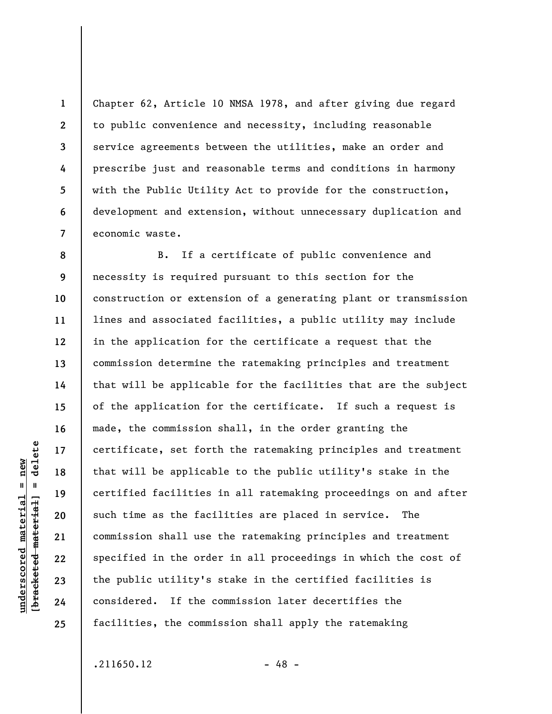Chapter 62, Article 10 NMSA 1978, and after giving due regard to public convenience and necessity, including reasonable service agreements between the utilities, make an order and prescribe just and reasonable terms and conditions in harmony with the Public Utility Act to provide for the construction, development and extension, without unnecessary duplication and economic waste.

**8 9 10 11 12 13 14 15 16 17 18 19 20 21 22 23 24 25**  B. If a certificate of public convenience and necessity is required pursuant to this section for the construction or extension of a generating plant or transmission lines and associated facilities, a public utility may include in the application for the certificate a request that the commission determine the ratemaking principles and treatment that will be applicable for the facilities that are the subject of the application for the certificate. If such a request is made, the commission shall, in the order granting the certificate, set forth the ratemaking principles and treatment that will be applicable to the public utility's stake in the certified facilities in all ratemaking proceedings on and after such time as the facilities are placed in service. The commission shall use the ratemaking principles and treatment specified in the order in all proceedings in which the cost of the public utility's stake in the certified facilities is considered. If the commission later decertifies the facilities, the commission shall apply the ratemaking

 $.211650.12$  - 48 -

delete **[bracketed material] = delete**  $anderscored material = new$ **underscored material = new**  $\frac{1}{2}$ 

**1** 

**2** 

**3** 

**4** 

**5** 

**6**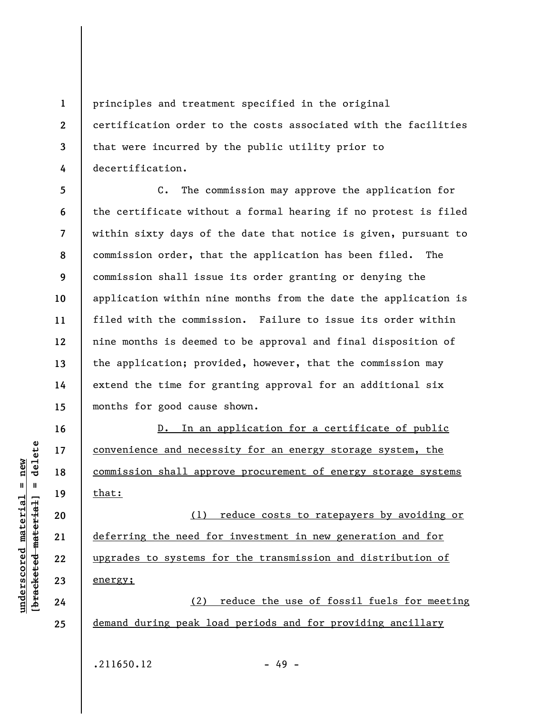**1 2 3 4**  principles and treatment specified in the original certification order to the costs associated with the facilities that were incurred by the public utility prior to decertification.

**5 6 7 8 9 10 11 12 13 14 15**  C. The commission may approve the application for the certificate without a formal hearing if no protest is filed within sixty days of the date that notice is given, pursuant to commission order, that the application has been filed. The commission shall issue its order granting or denying the application within nine months from the date the application is filed with the commission. Failure to issue its order within nine months is deemed to be approval and final disposition of the application; provided, however, that the commission may extend the time for granting approval for an additional six months for good cause shown.

D. In an application for a certificate of public convenience and necessity for an energy storage system, the commission shall approve procurement of energy storage systems that:

(1) reduce costs to ratepayers by avoiding or deferring the need for investment in new generation and for upgrades to systems for the transmission and distribution of energy;

(2) reduce the use of fossil fuels for meeting demand during peak load periods and for providing ancillary

 $.211650.12$  - 49 -

 $\frac{1}{2}$  intereted material = delete **[bracketed material] = delete**  $underscored material = new$ **underscored material = new**

**16** 

**17** 

**18** 

**19** 

**20** 

**21** 

**22** 

**23** 

**24**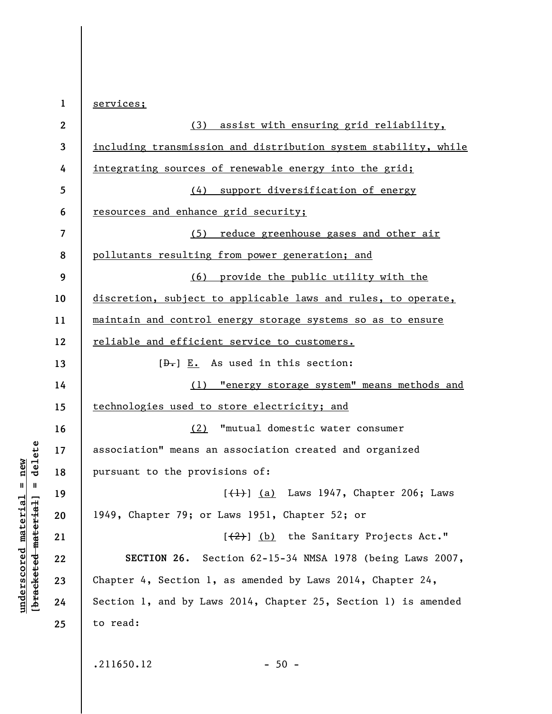| $\mathbf 1$  | services;                                                       |
|--------------|-----------------------------------------------------------------|
| $\mathbf{2}$ | (3) assist with ensuring grid reliability,                      |
| 3            | including transmission and distribution system stability, while |
| 4            | <u>integrating sources of renewable energy into the grid;</u>   |
| 5            | (4) support diversification of energy                           |
| 6            | resources and enhance grid security;                            |
| 7            | (5) reduce greenhouse gases and other air                       |
| 8            | pollutants resulting from power generation; and                 |
| 9            | (6) provide the public utility with the                         |
| 10           | discretion, subject to applicable laws and rules, to operate,   |
| 11           | maintain and control energy storage systems so as to ensure     |
| 12           | reliable and efficient service to customers.                    |
| 13           | $[\theta_{\overline{\bullet}}]$ E. As used in this section:     |
| 14           | (1) "energy storage system" means methods and                   |
| 15           | technologies used to store electricity; and                     |
| 16           | "mutual domestic water consumer<br>(2)                          |
| 17           | association" means an association created and organized         |
| 18           | pursuant to the provisions of:                                  |
| 19           | $[\frac{1}{1}]$ (a) Laws 1947, Chapter 206; Laws                |
| 20           | 1949, Chapter 79; or Laws 1951, Chapter 52; or                  |
| 21           | [(2)] (b) the Sanitary Projects Act."                           |
| 22           | SECTION 26. Section 62-15-34 NMSA 1978 (being Laws 2007,        |
| 23           | Chapter 4, Section 1, as amended by Laws 2014, Chapter 24,      |
| 24           | Section 1, and by Laws 2014, Chapter 25, Section 1) is amended  |
| 25           | to read:                                                        |
|              |                                                                 |
|              | .211650.12<br>$-50 -$                                           |

 $[**bracket**et~~eted matcherial~~] = **delete**$ **[bracketed material] = delete**  $underscored material = new$ **underscored material = new**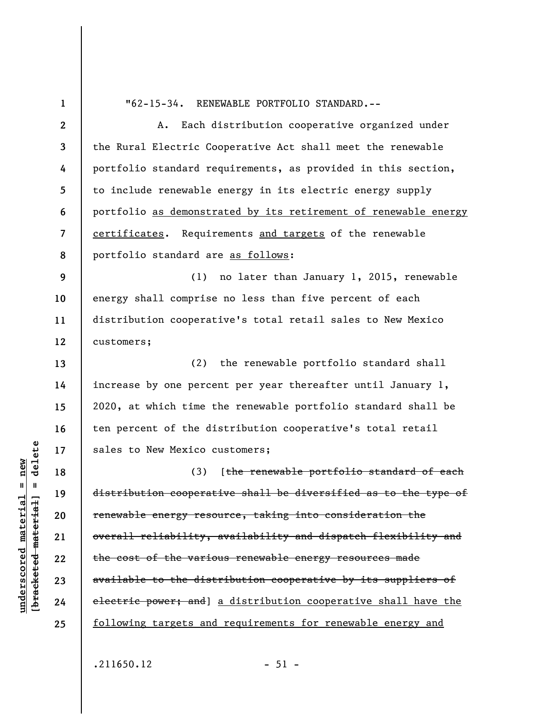**1** 

**13** 

**14** 

**15** 

**16** 

**17** 

**18** 

**19** 

**20** 

**21** 

**22** 

**23** 

**24** 

**25** 

"62-15-34. RENEWABLE PORTFOLIO STANDARD.--

**2 3 4 5 6 7 8**  A. Each distribution cooperative organized under the Rural Electric Cooperative Act shall meet the renewable portfolio standard requirements, as provided in this section, to include renewable energy in its electric energy supply portfolio as demonstrated by its retirement of renewable energy certificates. Requirements and targets of the renewable portfolio standard are as follows:

**9 10 11 12**  (1) no later than January 1, 2015, renewable energy shall comprise no less than five percent of each distribution cooperative's total retail sales to New Mexico customers;

(2) the renewable portfolio standard shall increase by one percent per year thereafter until January 1, 2020, at which time the renewable portfolio standard shall be ten percent of the distribution cooperative's total retail sales to New Mexico customers;

(3) [the renewable portfolio standard of each distribution cooperative shall be diversified as to the type of renewable energy resource, taking into consideration the overall reliability, availability and dispatch flexibility and the cost of the various renewable energy resources made available to the distribution cooperative by its suppliers of electric power; and a distribution cooperative shall have the following targets and requirements for renewable energy and

 $\frac{1}{2}$  of  $\frac{1}{2}$  and  $\frac{1}{2}$  and  $\frac{1}{2}$  and  $\frac{1}{2}$  and  $\frac{1}{2}$  and  $\frac{1}{2}$  and  $\frac{1}{2}$  and  $\frac{1}{2}$  and  $\frac{1}{2}$  and  $\frac{1}{2}$  and  $\frac{1}{2}$  and  $\frac{1}{2}$  and  $\frac{1}{2}$  and  $\frac{1}{2}$  and  $\frac{1}{2}$  an **[bracketed material] = delete**  $anderscored material = new$ **underscored material = new**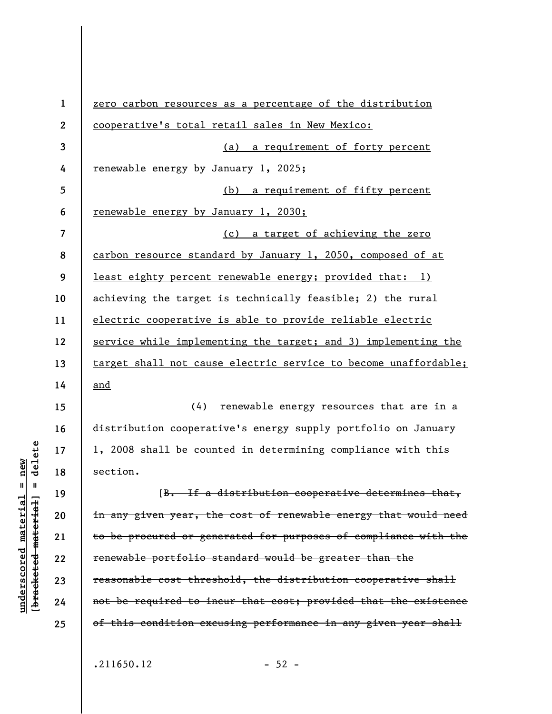**1 2 3 4 5 6 7 8 9 10 11 12 13 14 15 16 17 18 19 20 21 22 23 24**  zero carbon resources as a percentage of the distribution cooperative's total retail sales in New Mexico: (a) a requirement of forty percent renewable energy by January 1, 2025; (b) a requirement of fifty percent renewable energy by January 1, 2030; (c) a target of achieving the zero carbon resource standard by January 1, 2050, composed of at least eighty percent renewable energy; provided that: 1) achieving the target is technically feasible; 2) the rural electric cooperative is able to provide reliable electric service while implementing the target; and 3) implementing the target shall not cause electric service to become unaffordable; and (4) renewable energy resources that are in a distribution cooperative's energy supply portfolio on January 1, 2008 shall be counted in determining compliance with this section. [B. If a distribution cooperative determines that, in any given year, the cost of renewable energy that would need to be procured or generated for purposes of compliance with the renewable portfolio standard would be greater than the reasonable cost threshold, the distribution cooperative shall not be required to incur that cost; provided that the existence

**25** 

 $.211650.12$  - 52 -

of this condition excusing performance in any given year shall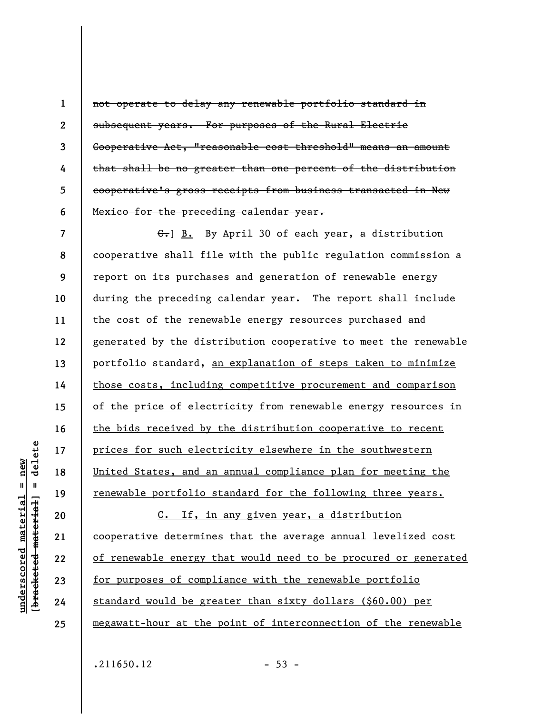not operate to delay any renewable portfolio standard in subsequent years. For purposes of the Rural Electric Cooperative Act, "reasonable cost threshold" means an amount that shall be no greater than one percent of the distribution cooperative's gross receipts from business transacted in New Mexico for the preceding calendar year.

**7 8 9 10 11 12 13 14 15 16 17 18 19**  C.] B. By April 30 of each year, a distribution cooperative shall file with the public regulation commission a report on its purchases and generation of renewable energy during the preceding calendar year. The report shall include the cost of the renewable energy resources purchased and generated by the distribution cooperative to meet the renewable portfolio standard, an explanation of steps taken to minimize those costs, including competitive procurement and comparison of the price of electricity from renewable energy resources in the bids received by the distribution cooperative to recent prices for such electricity elsewhere in the southwestern United States, and an annual compliance plan for meeting the renewable portfolio standard for the following three years.

C. If, in any given year, a distribution cooperative determines that the average annual levelized cost of renewable energy that would need to be procured or generated for purposes of compliance with the renewable portfolio standard would be greater than sixty dollars (\$60.00) per megawatt-hour at the point of interconnection of the renewable

 $.211650.12$  - 53 -

delete **[bracketed material] = delete** inderscored material = new **underscored material = new**  $\mathbf{I}$ bracketed material

**20** 

**21** 

**22** 

**23** 

**24** 

**25** 

**1** 

**2** 

**3** 

**4** 

**5**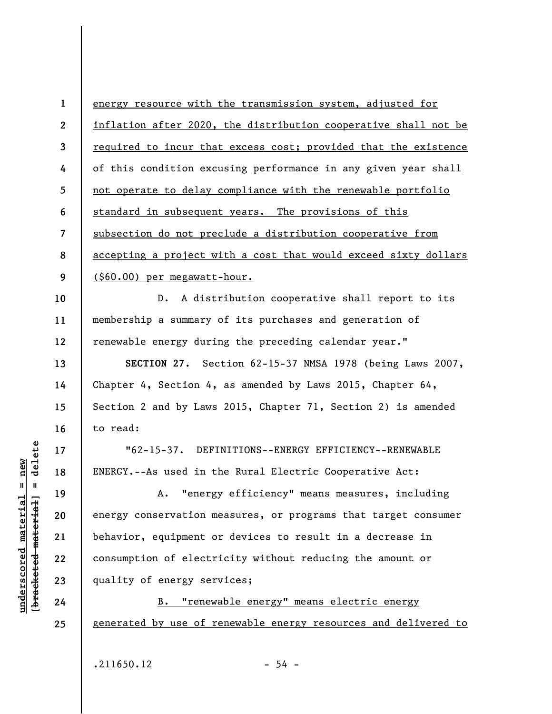**1 2 3 4 5 6 7 8 9**  energy resource with the transmission system, adjusted for inflation after 2020, the distribution cooperative shall not be required to incur that excess cost; provided that the existence of this condition excusing performance in any given year shall not operate to delay compliance with the renewable portfolio standard in subsequent years. The provisions of this subsection do not preclude a distribution cooperative from accepting a project with a cost that would exceed sixty dollars (\$60.00) per megawatt-hour.

**10 12**  D. A distribution cooperative shall report to its membership a summary of its purchases and generation of renewable energy during the preceding calendar year."

**SECTION 27.** Section 62-15-37 NMSA 1978 (being Laws 2007, Chapter 4, Section 4, as amended by Laws 2015, Chapter 64, Section 2 and by Laws 2015, Chapter 71, Section 2) is amended to read:

"62-15-37. DEFINITIONS--ENERGY EFFICIENCY--RENEWABLE ENERGY.--As used in the Rural Electric Cooperative Act:

A. "energy efficiency" means measures, including energy conservation measures, or programs that target consumer behavior, equipment or devices to result in a decrease in consumption of electricity without reducing the amount or quality of energy services;

B. "renewable energy" means electric energy generated by use of renewable energy resources and delivered to

 $.211650.12$  - 54 -

delete **[bracketed material] = delete** inderscored material = new **underscored material = new**  $\frac{1}{2}$ 

**11** 

**13** 

**14** 

**15** 

**16** 

**17** 

**18** 

**19** 

**20** 

**21** 

**22** 

**23** 

**24**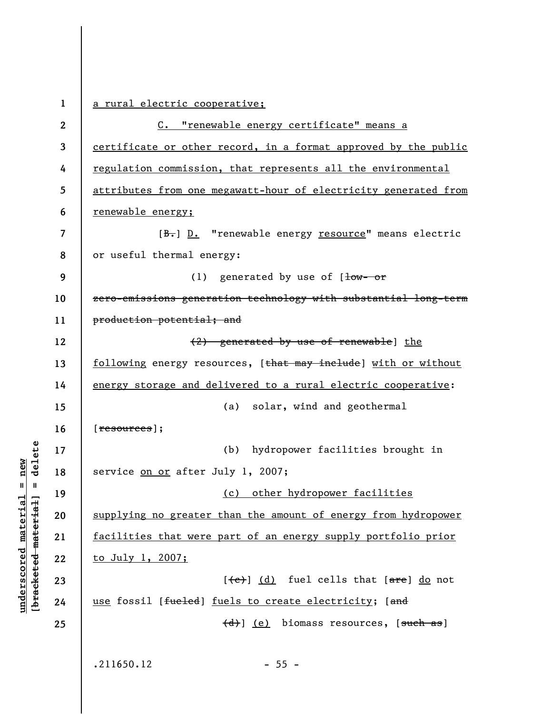**1 2 3 4 5 6 7 8 9 10 11 12 13 14 15 16 17 18 19 20 21 22 23 24 25**  a rural electric cooperative; C. "renewable energy certificate" means a certificate or other record, in a format approved by the public regulation commission, that represents all the environmental attributes from one megawatt-hour of electricity generated from renewable energy; [B.] D. "renewable energy resource" means electric or useful thermal energy: (1) generated by use of  $1 - 0r$ zero-emissions generation technology with substantial long-term production potential; and (2) generated by use of renewable] the following energy resources, [that may include] with or without energy storage and delivered to a rural electric cooperative: (a) solar, wind and geothermal [resources]; (b) hydropower facilities brought in service on or after July 1, 2007; (c) other hydropower facilities supplying no greater than the amount of energy from hydropower facilities that were part of an energy supply portfolio prior to July 1, 2007;  $[\texttt{(e)}]$  (d) fuel cells that  $[\texttt{are}]$  do not use fossil [fueled] fuels to create electricity; [and (d)] (e) biomass resources, [such as]  $.211650.12$  - 55 -

**underscored material = new [bracketed material] = delete**

 $\frac{1}{2}$  intereted material = delete  $anderscored material = new$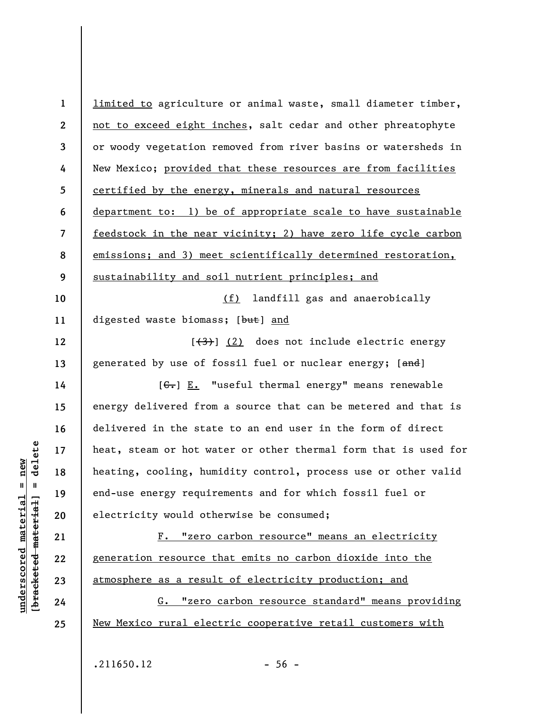| $\mathbf 1$    | limited to agriculture or animal waste, small diameter timber,   |
|----------------|------------------------------------------------------------------|
| $\mathbf{2}$   | not to exceed eight inches, salt cedar and other phreatophyte    |
| 3              | or woody vegetation removed from river basins or watersheds in   |
| 4              | New Mexico; provided that these resources are from facilities    |
| 5              | certified by the energy, minerals and natural resources          |
| 6              | department to: 1) be of appropriate scale to have sustainable    |
| $\overline{7}$ | feedstock in the near vicinity; 2) have zero life cycle carbon   |
| 8              | emissions; and 3) meet scientifically determined restoration,    |
| 9              | sustainability and soil nutrient principles; and                 |
| 10             | landfill gas and anaerobically<br>(f)                            |
| 11             | digested waste biomass; [but] and                                |
| 12             | [ <del>(3)</del> ] (2) does not include electric energy          |
| 13             | generated by use of fossil fuel or nuclear energy; [and]         |
| 14             | $[\theta - \epsilon] E.$ "useful thermal energy" means renewable |
| 15             | energy delivered from a source that can be metered and that is   |
| 16             | delivered in the state to an end user in the form of direct      |
| 17             | heat, steam or hot water or other thermal form that is used for  |
| 18             | heating, cooling, humidity control, process use or other valid   |
| 19             | end-use energy requirements and for which fossil fuel or         |
| 20             | electricity would otherwise be consumed;                         |
| 21             | F. "zero carbon resource" means an electricity                   |
| 22             | generation resource that emits no carbon dioxide into the        |
| 23             | atmosphere as a result of electricity production; and            |
| 24             | "zero carbon resource standard" means providing<br>G.            |
| 25             | New Mexico rural electric cooperative retail customers with      |
|                |                                                                  |

 $[**bracket**et~~eted matcherial~~] = **delete**$ **[bracketed material] = delete**  $underscored material = new$ **underscored material = new**

 $.211650.12$  - 56 -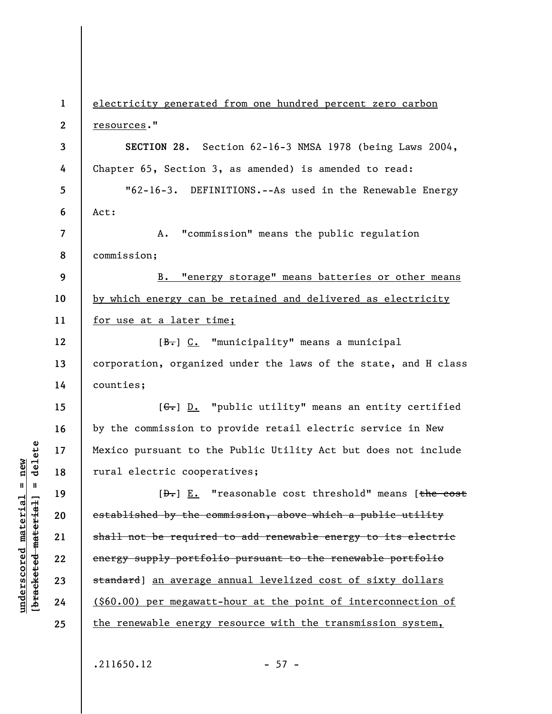**1 2 3 4 5 6 7 8 9 10 11 12 13 14 15 16 17 18 19 20 21 22 23 24 25**  electricity generated from one hundred percent zero carbon resources." **SECTION 28.** Section 62-16-3 NMSA 1978 (being Laws 2004, Chapter 65, Section 3, as amended) is amended to read: "62-16-3. DEFINITIONS.--As used in the Renewable Energy Act: A. "commission" means the public regulation commission; B. "energy storage" means batteries or other means by which energy can be retained and delivered as electricity for use at a later time; [ $B -$ ] C. "municipality" means a municipal corporation, organized under the laws of the state, and H class counties;  $[G<sub>1</sub>]$  D. "public utility" means an entity certified by the commission to provide retail electric service in New Mexico pursuant to the Public Utility Act but does not include rural electric cooperatives; [<del>D.</del>] E. "reasonable cost threshold" means [the cost established by the commission, above which a public utility shall not be required to add renewable energy to its electric energy supply portfolio pursuant to the renewable portfolio standard] an average annual levelized cost of sixty dollars (\$60.00) per megawatt-hour at the point of interconnection of the renewable energy resource with the transmission system,

 $.211650.12$  - 57 -

 $\frac{1}{2}$  intereted material = delete **[bracketed material] = delete**  $underscored material = new$ **underscored material = new**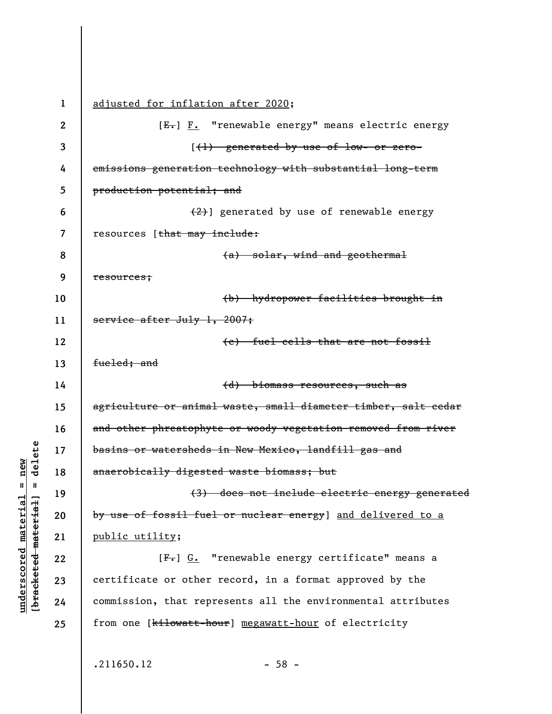**1 2 3 4 5 6 7 8 9 10 11 12 13 14 15 16 17 18 19 20 21 22 23 24 25**  adjusted for inflation after 2020;  $[E-] F.$  "renewable energy" means electric energy [(1) generated by use of low- or zeroemissions generation technology with substantial long-term production potential; and  $(2)$ ] generated by use of renewable energy resources [that may include: (a) solar, wind and geothermal resources; (b) hydropower facilities brought in service after July 1, 2007; (c) fuel cells that are not fossil fueled: and (d) biomass resources, such as agriculture or animal waste, small diameter timber, salt cedar and other phreatophyte or woody vegetation removed from river basins or watersheds in New Mexico, landfill gas and anaerobically digested waste biomass; but (3) does not include electric energy generated by use of fossil fuel or nuclear energy] and delivered to a public utility; [ $F -$ ] G. "renewable energy certificate" means a certificate or other record, in a format approved by the commission, that represents all the environmental attributes from one [kilowatt-hour] megawatt-hour of electricity

 $.211650.12$  - 58 -

**underscored material = new [bracketed material] = delete**

bracketed material

 $anderscored material = new$ 

 $=$  delete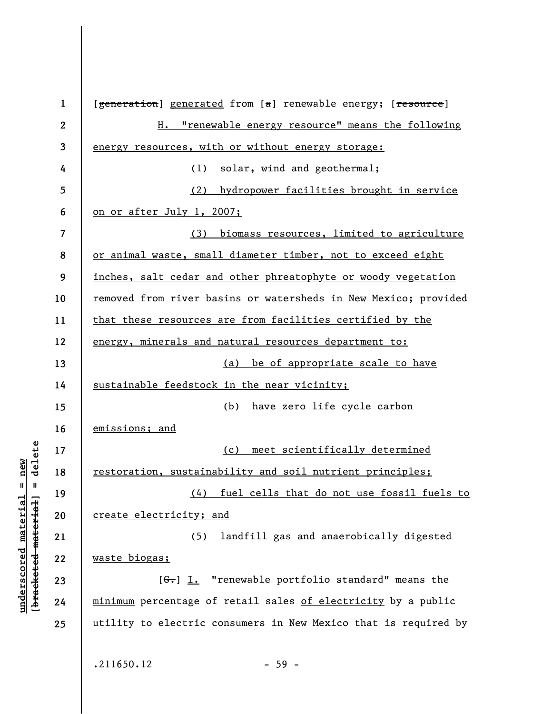**1 2 3 4 5 6 7 8 9 10 11 12 13 14 15 16 17 18 19 20 21 22 23 24 25**  [generation] generated from [a] renewable energy; [resource] H. "renewable energy resource" means the following energy resources, with or without energy storage: (1) solar, wind and geothermal; (2) hydropower facilities brought in service on or after July 1, 2007; (3) biomass resources, limited to agriculture or animal waste, small diameter timber, not to exceed eight inches, salt cedar and other phreatophyte or woody vegetation removed from river basins or watersheds in New Mexico; provided that these resources are from facilities certified by the energy, minerals and natural resources department to: (a) be of appropriate scale to have sustainable feedstock in the near vicinity; (b) have zero life cycle carbon emissions; and (c) meet scientifically determined restoration, sustainability and soil nutrient principles; (4) fuel cells that do not use fossil fuels to create electricity; and (5) landfill gas and anaerobically digested waste biogas;  $[G<sub>r</sub>]$  I. "renewable portfolio standard" means the minimum percentage of retail sales of electricity by a public utility to electric consumers in New Mexico that is required by  $.211650.12$  - 59 -

**underscored material = new [bracketed material] = delete**

 $\frac{1}{2}$  intereted material = delete  $underscored material = new$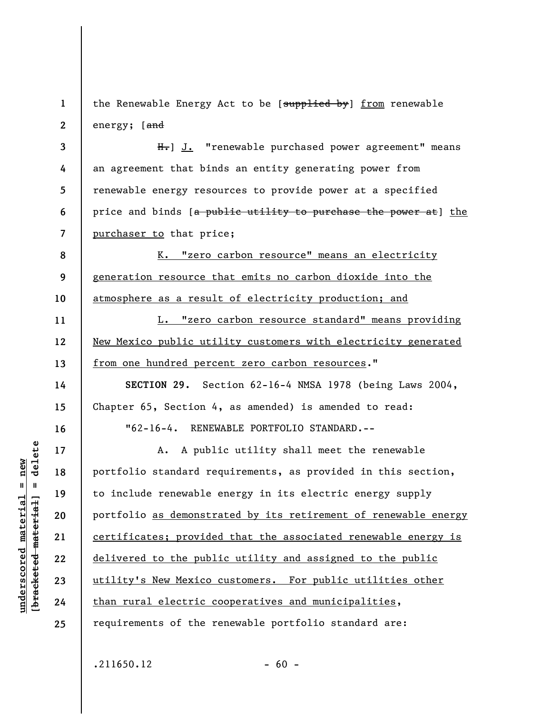**1 2**  the Renewable Energy Act to be [supplied by] from renewable energy; [and

**3 4 5 6 7**   $H_{\bullet}$ ] J. "renewable purchased power agreement" means an agreement that binds an entity generating power from renewable energy resources to provide power at a specified price and binds [a public utility to purchase the power at] the purchaser to that price;

**8 9 10**  K. "zero carbon resource" means an electricity generation resource that emits no carbon dioxide into the atmosphere as a result of electricity production; and

L. "zero carbon resource standard" means providing New Mexico public utility customers with electricity generated from one hundred percent zero carbon resources."

**SECTION 29.** Section 62-16-4 NMSA 1978 (being Laws 2004, Chapter 65, Section 4, as amended) is amended to read: "62-16-4. RENEWABLE PORTFOLIO STANDARD.--

A. A public utility shall meet the renewable portfolio standard requirements, as provided in this section, to include renewable energy in its electric energy supply portfolio as demonstrated by its retirement of renewable energy certificates; provided that the associated renewable energy is delivered to the public utility and assigned to the public utility's New Mexico customers. For public utilities other than rural electric cooperatives and municipalities, requirements of the renewable portfolio standard are:

delete **[bracketed material] = delete** inderscored material = new **underscored material = new**  $\frac{1}{2}$ 

**11** 

**12** 

**13** 

**14** 

**15** 

**16** 

**17** 

**18** 

**19** 

**20** 

**21** 

**22** 

**23** 

**24**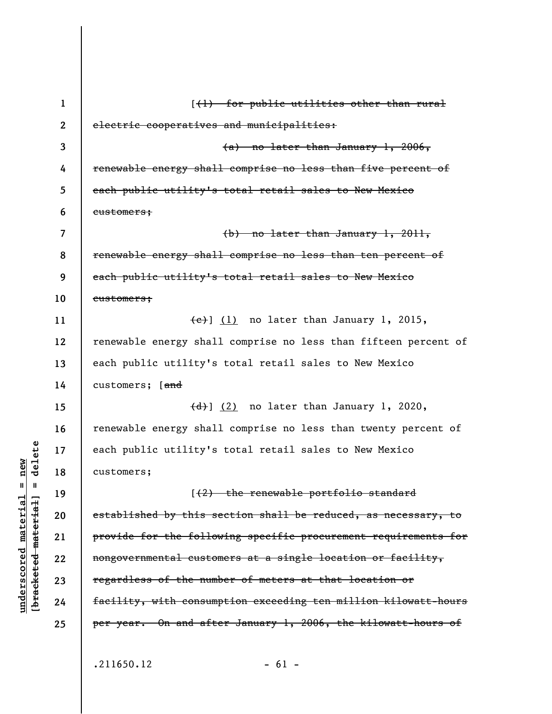| $\mathbf{1}$ | $(+)$ for public utilities other than rural                     |
|--------------|-----------------------------------------------------------------|
| $\mathbf{2}$ | electric cooperatives and municipalities:                       |
| 3            | $(a)$ no later than January 1, 2006,                            |
| 4            | renewable energy shall comprise no less than five percent of    |
| 5            | each public utility's total retail sales to New Mexico          |
| 6            | eustomers;                                                      |
| 7            | (b) no later than January 1, 2011,                              |
| 8            | renewable energy shall comprise no less than ten percent of     |
| 9            | each public utility's total retail sales to New Mexico          |
| 10           | eustomers;                                                      |
| 11           | $\overline{(e)}$ (1) no later than January 1, 2015,             |
| 12           | renewable energy shall comprise no less than fifteen percent of |
| 13           | each public utility's total retail sales to New Mexico          |
| 14           | customers; [and                                                 |
| 15           | $\overline{(d)}$ (2) no later than January 1, 2020,             |
| 16           | renewable energy shall comprise no less than twenty percent of  |
| 17           | each public utility's total retail sales to New Mexico          |
| 18           | customers;                                                      |
| 19           | [(2) the renewable portfolio standard                           |
| 20           | established by this section shall be reduced, as necessary, to  |
| 21           | provide for the following specific procurement requirements for |
| 22           | nongovernmental customers at a single location or facility,     |
| 23           | regardless of the number of meters at that location or          |
| 24           | facility, with consumption exceeding ten million kilowatt-hours |
| 25           | per year. On and after January 1, 2006, the kilowatt-hours of   |
|              |                                                                 |
|              | .211650.12<br>$-61 -$                                           |

 $[bracketeed-materiat] = delete$ **[bracketed material] = delete**  $underscored material = new$ **underscored material = new**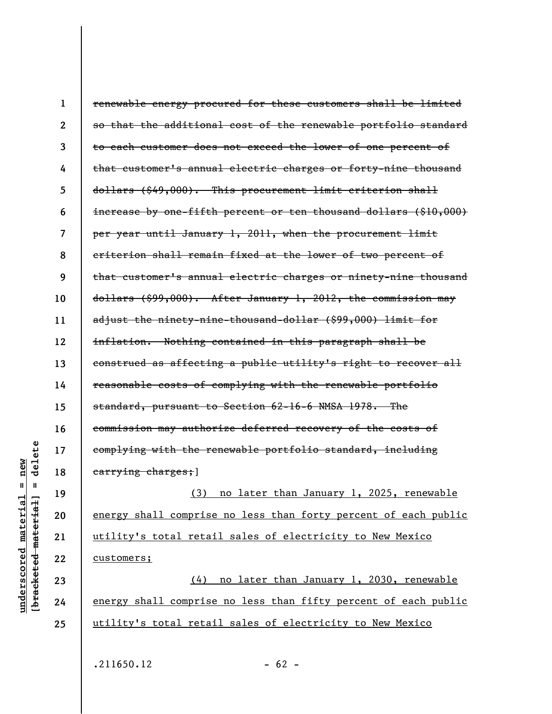| $\mathbf 1$      | renewable energy procured for these customers shall be limited     |
|------------------|--------------------------------------------------------------------|
| $\boldsymbol{2}$ | so that the additional cost of the renewable portfolio standard    |
| 3                | to each customer does not exceed the lower of one percent of       |
| 4                | that customer's annual electric charges or forty-nine thousand     |
| 5                | dollars (\$49,000). This procurement limit criterion shall         |
| 6                | increase by one-fifth percent or ten thousand dollars $(\$10,000)$ |
| 7                | per year until January 1, 2011, when the procurement limit         |
| 8                | criterion shall remain fixed at the lower of two percent of        |
| 9                | that customer's annual electric charges or ninety-nine thousand    |
| 10               | dollars (\$99,000). After January 1, 2012, the commission may      |
| 11               | adjust the ninety-nine-thousand-dollar (\$99,000) limit for        |
| 12               | inflation. Nothing contained in this paragraph shall be            |
| 13               | construed as affecting a public utility's right to recover all     |
| 14               | reasonable costs of complying with the renewable portfolio         |
| 15               | standard, pursuant to Section 62-16-6 NMSA 1978. The               |
| 16               | commission may authorize deferred recovery of the costs of         |
| 17               | complying with the renewable portfolio standard, including         |
| 18               | earrying charges; ]                                                |
| 19               | (3) no later than January 1, 2025, renewable                       |
| 20               | energy shall comprise no less than forty percent of each public    |
| 21               | utility's total retail sales of electricity to New Mexico          |
| 22               | customers;                                                         |
| 23               | (4) no later than January 1, 2030, renewable                       |
| 24               | energy shall comprise no less than fifty percent of each public    |

 $[$ bracketed material] = delete **[bracketed material] = delete**  $underscored material = new$ **underscored material = new 25** 

 $.211650.12$  - 62 -

utility's total retail sales of electricity to New Mexico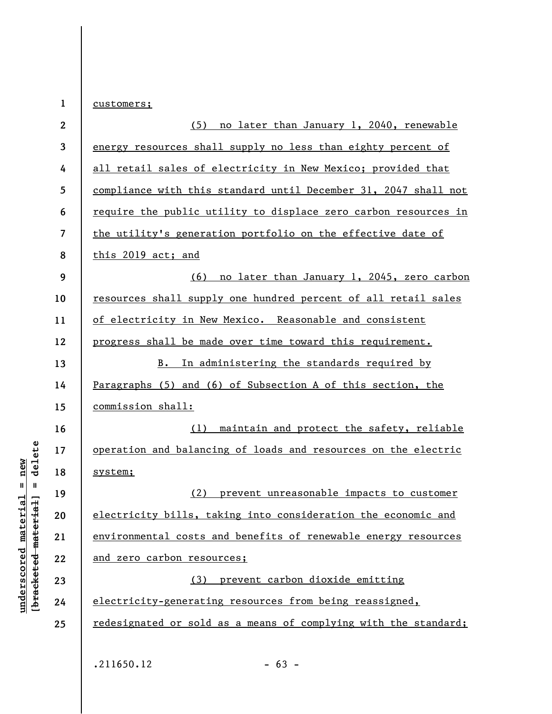**1 2 3 4 5 6 7 8 9 10 11 12 13 14 15 16 17 18 19 20 21 22 23 24 25**  customers; (5) no later than January 1, 2040, renewable energy resources shall supply no less than eighty percent of all retail sales of electricity in New Mexico; provided that compliance with this standard until December 31, 2047 shall not require the public utility to displace zero carbon resources in the utility's generation portfolio on the effective date of this 2019 act; and (6) no later than January 1, 2045, zero carbon resources shall supply one hundred percent of all retail sales of electricity in New Mexico. Reasonable and consistent progress shall be made over time toward this requirement. B. In administering the standards required by Paragraphs (5) and (6) of Subsection A of this section, the commission shall: (1) maintain and protect the safety, reliable operation and balancing of loads and resources on the electric system; (2) prevent unreasonable impacts to customer electricity bills, taking into consideration the economic and environmental costs and benefits of renewable energy resources and zero carbon resources; (3) prevent carbon dioxide emitting electricity-generating resources from being reassigned, redesignated or sold as a means of complying with the standard;  $.211650.12$  - 63 -

**underscored material = new [bracketed material] = delete**

 $anderscored material = new$ 

delete

 $\mathbf{I}$ 

bracketed material]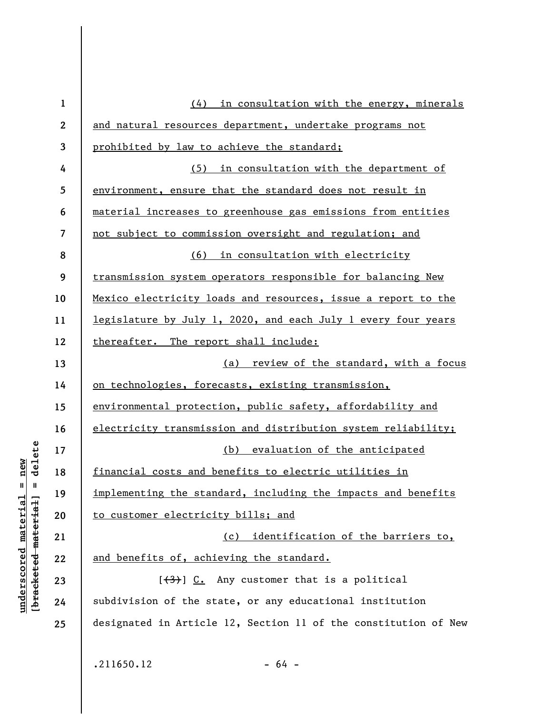| $\mathbf 1$             | (4) in consultation with the energy, minerals                   |
|-------------------------|-----------------------------------------------------------------|
| $\boldsymbol{2}$        | and natural resources department, undertake programs not        |
| 3                       | prohibited by law to achieve the standard;                      |
| 4                       | (5) in consultation with the department of                      |
| 5                       | environment, ensure that the standard does not result in        |
| 6                       | material increases to greenhouse gas emissions from entities    |
| $\overline{\mathbf{z}}$ | not subject to commission oversight and regulation; and         |
| 8                       | (6) in consultation with electricity                            |
| 9                       | transmission system operators responsible for balancing New     |
| 10                      | Mexico electricity loads and resources, issue a report to the   |
| 11                      | legislature by July 1, 2020, and each July 1 every four years   |
| 12                      | thereafter. The report shall include:                           |
| 13                      | (a) review of the standard, with a focus                        |
| 14                      | on technologies, forecasts, existing transmission,              |
| 15                      | environmental protection, public safety, affordability and      |
| 16                      | electricity transmission and distribution system reliability;   |
| 17                      | (b) evaluation of the anticipated                               |
| 18                      | financial costs and benefits to electric utilities in           |
| 19                      | implementing the standard, including the impacts and benefits   |
| 20                      | to customer electricity bills; and                              |
| 21                      | (c) identification of the barriers to,                          |
| 22                      | and benefits of, achieving the standard.                        |
| 23                      | $[\frac{1}{3}]$ C. Any customer that is a political             |
| 24                      | subdivision of the state, or any educational institution        |
| 25                      | designated in Article 12, Section 11 of the constitution of New |
|                         |                                                                 |
|                         | .211650.12<br>$-64 -$                                           |

**underscored material = new [bracketed material] = delete**

 $[**bracket**et~~eted matcherial~~] = **delete**$  $underscored material = new$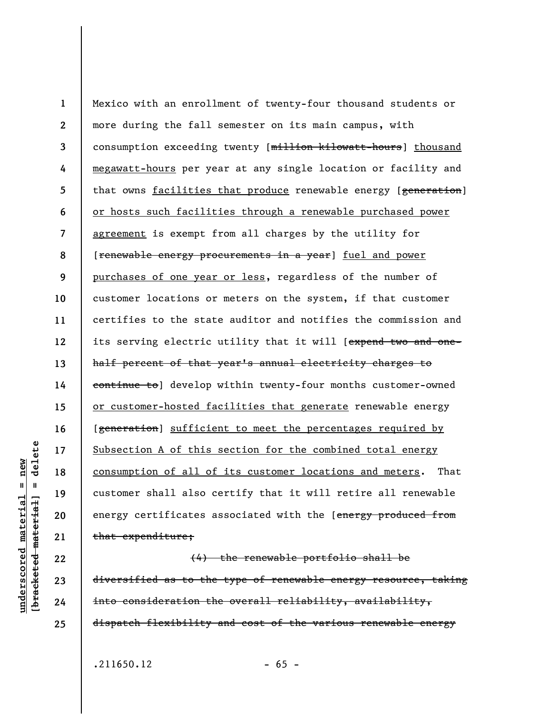**1 2 3 4 5 6 7 8 9 10 11 12 13 14 15 16 17 18 19 20 21**  Mexico with an enrollment of twenty-four thousand students or more during the fall semester on its main campus, with consumption exceeding twenty [million kilowatt-hours] thousand megawatt-hours per year at any single location or facility and that owns facilities that produce renewable energy [generation] or hosts such facilities through a renewable purchased power agreement is exempt from all charges by the utility for [renewable energy procurements in a year] fuel and power purchases of one year or less, regardless of the number of customer locations or meters on the system, if that customer certifies to the state auditor and notifies the commission and its serving electric utility that it will [expend two and onehalf percent of that year's annual electricity charges to continue to] develop within twenty-four months customer-owned or customer-hosted facilities that generate renewable energy [generation] sufficient to meet the percentages required by Subsection A of this section for the combined total energy consumption of all of its customer locations and meters. That customer shall also certify that it will retire all renewable energy certificates associated with the [energy produced from that expenditure;

(4) the renewable portfolio shall be diversified as to the type of renewable energy resource, taking into consideration the overall reliability, availability, dispatch flexibility and cost of the various renewable energy

delete **[bracketed material] = delete**  $anderscored material = new$ **underscored material = new**  $\mathbf{I}$ bracketed material

**22** 

**23** 

**24** 

**25** 

 $.211650.12$  - 65 -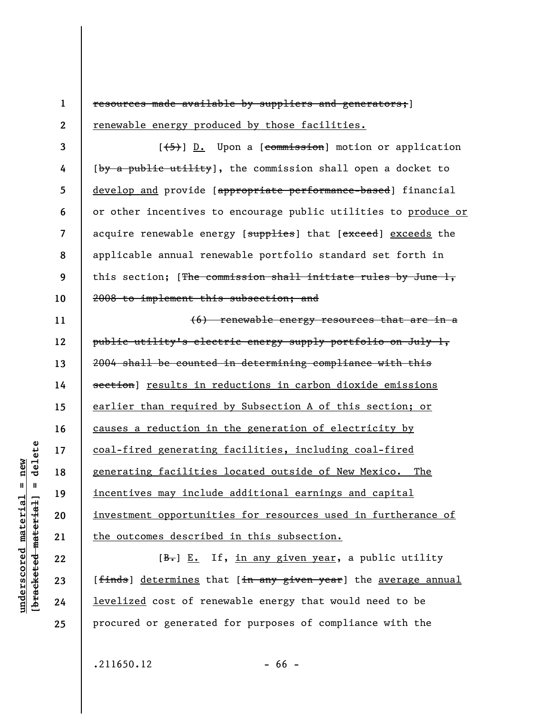**1 2**  resources made available by suppliers and generators;] renewable energy produced by those facilities.

**3 8 10**   $[\frac{1}{5}]$  D. Upon a  $[*commission*]$  motion or application [by a public utility], the commission shall open a docket to develop and provide [appropriate performance-based] financial or other incentives to encourage public utilities to produce or acquire renewable energy [supplies] that [exceed] exceeds the applicable annual renewable portfolio standard set forth in this section; [The commission shall initiate rules by June  $l,$ 2008 to implement this subsection; and

**11 12 13 14 15 16 17 18 19 20 21**  (6) renewable energy resources that are in a public utility's electric energy supply portfolio on July 1, 2004 shall be counted in determining compliance with this section] results in reductions in carbon dioxide emissions earlier than required by Subsection A of this section; or causes a reduction in the generation of electricity by coal-fired generating facilities, including coal-fired generating facilities located outside of New Mexico. The incentives may include additional earnings and capital investment opportunities for resources used in furtherance of the outcomes described in this subsection.

 $[B<sub>1</sub>]$  E. If, in any given year, a public utility [finds] determines that [in any given year] the average annual levelized cost of renewable energy that would need to be procured or generated for purposes of compliance with the

 $.211650.12$  - 66 -

delete **[bracketed material] = delete**  $anderscored material = new$ **underscored material = new**  $\mathbf{u}$ bracketed material

**22** 

**23** 

**24** 

**25** 

**4** 

**5** 

**6** 

**7**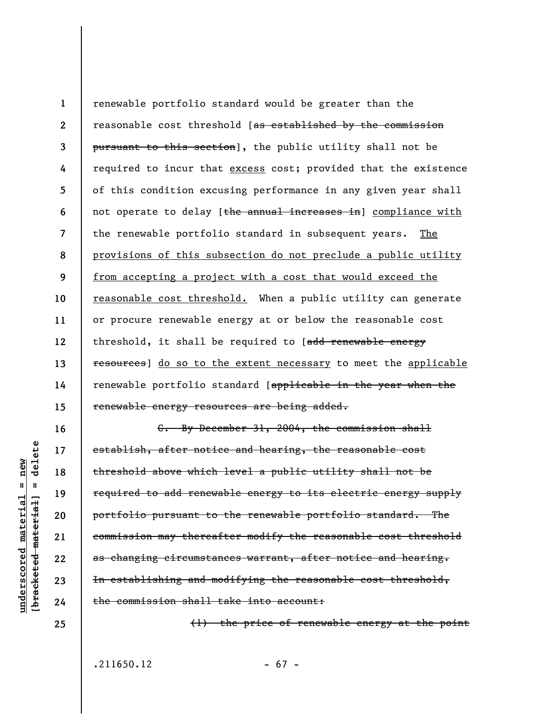**1 2 3 4 5 6 7 8 9 10 11 12 13 14 15**  renewable portfolio standard would be greater than the reasonable cost threshold [as established by the commission pursuant to this section], the public utility shall not be required to incur that excess cost; provided that the existence of this condition excusing performance in any given year shall not operate to delay [the annual increases in] compliance with the renewable portfolio standard in subsequent years. The provisions of this subsection do not preclude a public utility from accepting a project with a cost that would exceed the reasonable cost threshold. When a public utility can generate or procure renewable energy at or below the reasonable cost threshold, it shall be required to [add renewable energy resources] do so to the extent necessary to meet the applicable renewable portfolio standard [applicable in the year when the renewable energy resources are being added.

C. By December 31, 2004, the commission shall establish, after notice and hearing, the reasonable cost threshold above which level a public utility shall not be required to add renewable energy to its electric energy supply portfolio pursuant to the renewable portfolio standard. The commission may thereafter modify the reasonable cost threshold as changing circumstances warrant, after notice and hearing. In establishing and modifying the reasonable cost threshold, the commission shall take into account:

**24 25** 

**16** 

**17** 

**18** 

**19** 

**20** 

**21** 

**22** 

**23** 

**underscored material = new [bracketed material] = delete**

 $anderscored material = new$ 

delete

 $\mathbf{I}$ 

bracketed material

(1) the price of renewable energy at the point

 $.211650.12$  - 67 -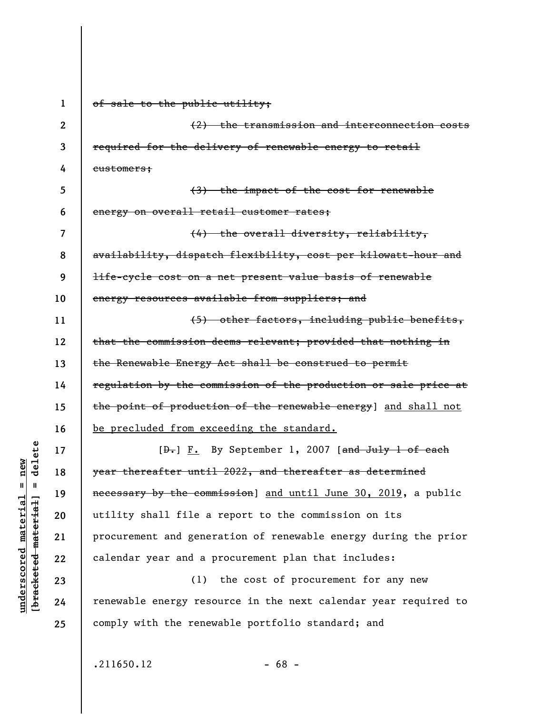**1 2 3 4 5 6 7 8 9 10 11 12 13 14 15 16 17 18 19 20 21 22 23 24 25**  of sale to the public utility; (2) the transmission and interconnection costs required for the delivery of renewable energy to retail customers; (3) the impact of the cost for renewable energy on overall retail customer rates; (4) the overall diversity, reliability, availability, dispatch flexibility, cost per kilowatt-hour and life-cycle cost on a net present value basis of renewable energy resources available from suppliers; and (5) other factors, including public benefits, that the commission deems relevant; provided that nothing in the Renewable Energy Act shall be construed to permit regulation by the commission of the production or sale price at the point of production of the renewable energy] and shall not be precluded from exceeding the standard. [D.] F. By September 1, 2007 [and July 1 of each year thereafter until 2022, and thereafter as determined necessary by the commission] and until June 30, 2019, a public utility shall file a report to the commission on its procurement and generation of renewable energy during the prior calendar year and a procurement plan that includes: (1) the cost of procurement for any new renewable energy resource in the next calendar year required to comply with the renewable portfolio standard; and

**underscored material = new**

 $anderscored material = new$ 

delete

 $\mathbf{I}$ 

bracketed material

 $.211650.12$  - 68 -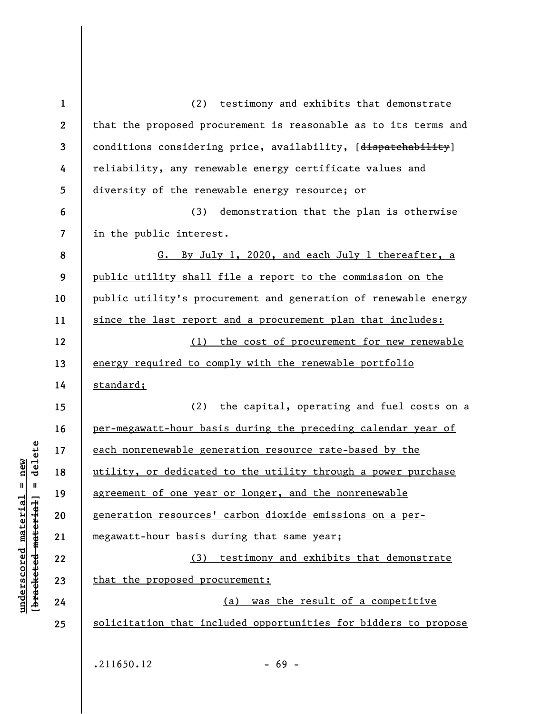| $\mathbf{1}$             | (2) testimony and exhibits that demonstrate                     |
|--------------------------|-----------------------------------------------------------------|
| $\boldsymbol{2}$         | that the proposed procurement is reasonable as to its terms and |
| $\mathbf{3}$             | conditions considering price, availability, [dispatchability]   |
| 4                        | reliability, any renewable energy certificate values and        |
| 5                        | diversity of the renewable energy resource; or                  |
| 6                        | (3) demonstration that the plan is otherwise                    |
| $\overline{\mathcal{L}}$ | in the public interest.                                         |
| 8                        | G. By July 1, 2020, and each July 1 thereafter, a               |
| 9                        | public utility shall file a report to the commission on the     |
| 10                       | public utility's procurement and generation of renewable energy |
| 11                       | since the last report and a procurement plan that includes:     |
| 12                       | (1) the cost of procurement for new renewable                   |
| 13                       | energy required to comply with the renewable portfolio          |
| 14                       | standard;                                                       |
| 15                       | (2) the capital, operating and fuel costs on a                  |
| 16                       | per-megawatt-hour basis during the preceding calendar year of   |
| 17                       | each nonrenewable generation resource rate-based by the         |
| 18                       | utility, or dedicated to the utility through a power purchase   |
| 19                       | agreement of one year or longer, and the nonrenewable           |
| 20                       | generation resources' carbon dioxide emissions on a per-        |
| 21                       | megawatt-hour basis during that same year;                      |
| 22                       | (3) testimony and exhibits that demonstrate                     |
| 23                       | that the proposed procurement:                                  |
| 24                       | (a) was the result of a competitive                             |
| 25                       | solicitation that included opportunities for bidders to propose |
|                          |                                                                 |
|                          | .211650.12<br>$-69 -$                                           |

 $[**bracket**et~~eted matcherial~~] = **delete**$ **[bracketed material] = delete**  $underscored material = new$ **underscored material = new**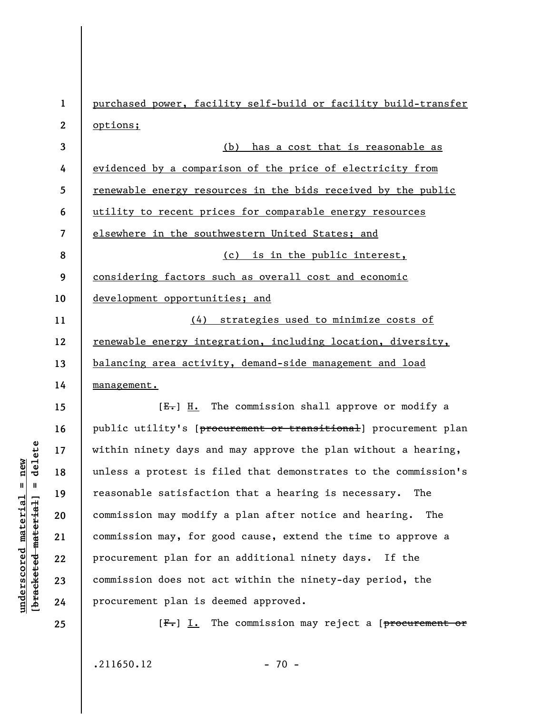**1 2 3 4 5 6 7 8 9 10 11 12 13 14 15 16 17 18 19 20 21 22 23 24 25**  purchased power, facility self-build or facility build-transfer options; (b) has a cost that is reasonable as evidenced by a comparison of the price of electricity from renewable energy resources in the bids received by the public utility to recent prices for comparable energy resources elsewhere in the southwestern United States; and (c) is in the public interest, considering factors such as overall cost and economic development opportunities; and (4) strategies used to minimize costs of renewable energy integration, including location, diversity, balancing area activity, demand-side management and load management.  $[E-]$  H. The commission shall approve or modify a public utility's [procurement or transitional] procurement plan within ninety days and may approve the plan without a hearing, unless a protest is filed that demonstrates to the commission's reasonable satisfaction that a hearing is necessary. The commission may modify a plan after notice and hearing. The commission may, for good cause, extend the time to approve a procurement plan for an additional ninety days. If the commission does not act within the ninety-day period, the procurement plan is deemed approved.  $[F_r] I.$  The commission may reject a [ $precurrent$  or

 $.211650.12$  - 70 -

delete **[bracketed material] = delete**  $anderscored material = new$ **underscored material = new**  $\frac{1}{2}$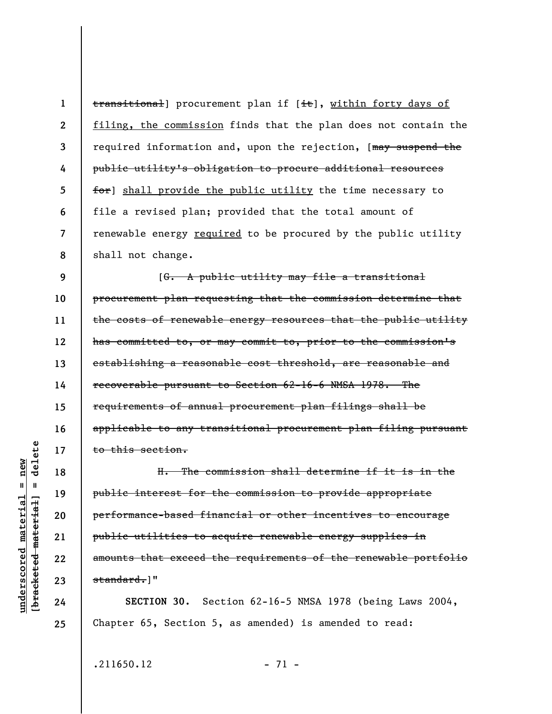**1 2 3 4 5 6 7 8**  transitional] procurement plan if [it], within forty days of filing, the commission finds that the plan does not contain the required information and, upon the rejection, [may suspend the public utility's obligation to procure additional resources for] shall provide the public utility the time necessary to file a revised plan; provided that the total amount of renewable energy required to be procured by the public utility shall not change.

**9 10 11 12 13 14 15 16 17**  [G. A public utility may file a transitional procurement plan requesting that the commission determine that the costs of renewable energy resources that the public utility has committed to, or may commit to, prior to the commission's establishing a reasonable cost threshold, are reasonable and recoverable pursuant to Section 62-16-6 NMSA 1978. The requirements of annual procurement plan filings shall be applicable to any transitional procurement plan filing pursuant to this section.

H. The commission shall determine if it is in the public interest for the commission to provide appropriate performance-based financial or other incentives to encourage public utilities to acquire renewable energy supplies in amounts that exceed the requirements of the renewable portfolio standard.]"

**SECTION 30.** Section 62-16-5 NMSA 1978 (being Laws 2004, Chapter 65, Section 5, as amended) is amended to read:

 $.211650.12$  - 71 -

delete **[bracketed material] = delete**  $anderscored material = new$ **underscored material = new**  $\mathbf{I}$ bracketed material

**18** 

**19** 

**20** 

**21** 

**22** 

**23** 

**24**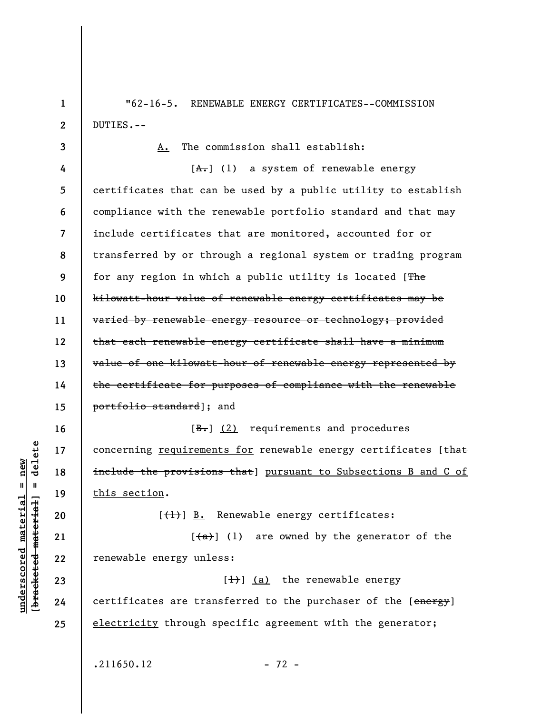"62-16-5. RENEWABLE ENERGY CERTIFICATES--COMMISSION DUTIES.--

**3 4 5 6 7 8 9 10 11 12 13 14 15**  A. The commission shall establish:  $[A,-]$  (1) a system of renewable energy certificates that can be used by a public utility to establish compliance with the renewable portfolio standard and that may include certificates that are monitored, accounted for or transferred by or through a regional system or trading program for any region in which a public utility is located [The kilowatt-hour value of renewable energy certificates may be varied by renewable energy resource or technology; provided that each renewable energy certificate shall have a minimum value of one kilowatt-hour of renewable energy represented by the certificate for purposes of compliance with the renewable portfolio standard]; and

 $[\frac{B-}{C}]$  (2) requirements and procedures concerning requirements for renewable energy certificates [that include the provisions that] pursuant to Subsections B and C of this section.

 $[\frac{1}{1}]$  B. Renewable energy certificates:

 $\left[\frac{a}{a}\right]$  (1) are owned by the generator of the renewable energy unless:

 $[\frac{1}{1}]$  (a) the renewable energy certificates are transferred to the purchaser of the [energy] electricity through specific agreement with the generator;

 $.211650.12$  - 72 -

 $\frac{1}{2}$  of  $\frac{1}{2}$  and  $\frac{1}{2}$  and  $\frac{1}{2}$  and  $\frac{1}{2}$  and  $\frac{1}{2}$  and  $\frac{1}{2}$  and  $\frac{1}{2}$  and  $\frac{1}{2}$  and  $\frac{1}{2}$  and  $\frac{1}{2}$  and  $\frac{1}{2}$  and  $\frac{1}{2}$  and  $\frac{1}{2}$  and  $\frac{1}{2}$  and  $\frac{1}{2}$  an **[bracketed material] = delete** inderscored material = new **underscored material = new**

**16** 

**17** 

**18** 

**19** 

**20** 

**21** 

**22** 

**23** 

**24** 

**25** 

**1**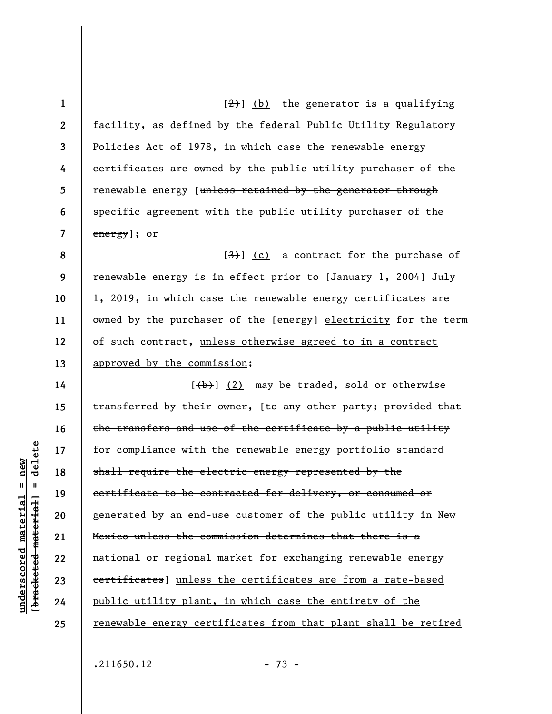**1 2 3 4 5 6 7**   $[\frac{2}{2}]$  (b) the generator is a qualifying facility, as defined by the federal Public Utility Regulatory Policies Act of 1978, in which case the renewable energy certificates are owned by the public utility purchaser of the renewable energy [unless retained by the generator through specific agreement with the public utility purchaser of the energy]; or

**8 9 10 11 12 13**   $[3]$  (c) a contract for the purchase of renewable energy is in effect prior to [January 1, 2004] July 1, 2019, in which case the renewable energy certificates are owned by the purchaser of the [energy] electricity for the term of such contract, unless otherwise agreed to in a contract approved by the commission;

**14 15 16 17 18 19 20 21 22 23 24 25**   $[\frac{1}{b}]$  (2) may be traded, sold or otherwise transferred by their owner, [to any other party; provided that the transfers and use of the certificate by a public utility for compliance with the renewable energy portfolio standard shall require the electric energy represented by the certificate to be contracted for delivery, or consumed or generated by an end-use customer of the public utility in New Mexico unless the commission determines that there is a national or regional market for exchanging renewable energy certificates] unless the certificates are from a rate-based public utility plant, in which case the entirety of the renewable energy certificates from that plant shall be retired

 $.211650.12$  - 73 -

delete **[bracketed material] = delete**  $anderscored material = new$ **underscored material = new**  $\mathbf{I}$ bracketed material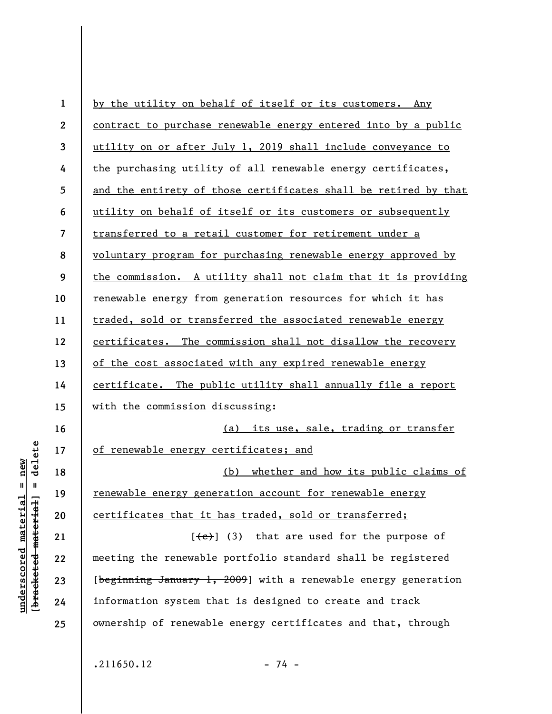| $\mathbf{1}$     | by the utility on behalf of itself or its customers. Any        |
|------------------|-----------------------------------------------------------------|
| $\boldsymbol{2}$ | contract to purchase renewable energy entered into by a public  |
| 3                | utility on or after July 1, 2019 shall include conveyance to    |
| 4                | the purchasing utility of all renewable energy certificates,    |
| 5                | and the entirety of those certificates shall be retired by that |
| 6                | utility on behalf of itself or its customers or subsequently    |
| $\overline{7}$   | transferred to a retail customer for retirement under a         |
| 8                | voluntary program for purchasing renewable energy approved by   |
| 9                | the commission. A utility shall not claim that it is providing  |
| 10               | renewable energy from generation resources for which it has     |
| 11               | traded, sold or transferred the associated renewable energy     |
| 12               | certificates. The commission shall not disallow the recovery    |
| 13               | of the cost associated with any expired renewable energy        |
| 14               | certificate. The public utility shall annually file a report    |
| 15               | with the commission discussing:                                 |
| 16               | (a) its use, sale, trading or transfer                          |
| 17               | of renewable energy certificates; and                           |
| 18               | whether and how its public claims of<br>(b)                     |
| 19               | renewable energy generation account for renewable energy        |
| 20               | certificates that it has traded, sold or transferred;           |
| 21               | $[\leftarrow]$ (3) that are used for the purpose of             |
| 22               | meeting the renewable portfolio standard shall be registered    |
| 23               | [beginning January 1, 2009] with a renewable energy generation  |
| 24               | information system that is designed to create and track         |
| 25               | ownership of renewable energy certificates and that, through    |

 $[**bracket**et~~eted matcherial~~] = **delete**$ **[bracketed material] = delete**  $underscored material = new$ **underscored material = new**

 $.211650.12$  - 74 -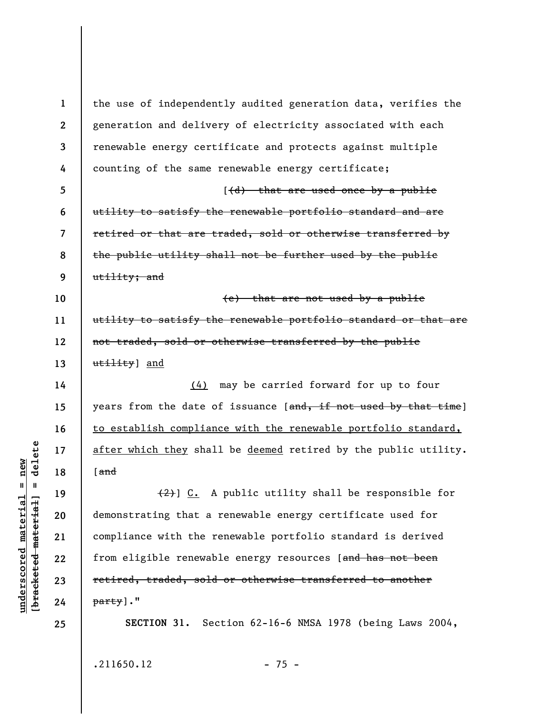**1 2 3 4 5 6 7 8 9 10 11 12 13 14 15 16 17 18 19 20 21 22 23 24 25**  the use of independently audited generation data, verifies the generation and delivery of electricity associated with each renewable energy certificate and protects against multiple counting of the same renewable energy certificate;  $(d)$  that are used once by a public utility to satisfy the renewable portfolio standard and are retired or that are traded, sold or otherwise transferred by the public utility shall not be further used by the public utility; and (e) that are not used by a public utility to satisfy the renewable portfolio standard or that are not traded, sold or otherwise transferred by the public utility] and (4) may be carried forward for up to four years from the date of issuance [and, if not used by that time] to establish compliance with the renewable portfolio standard, after which they shall be deemed retired by the public utility. [and  $(2)$ ] C. A public utility shall be responsible for demonstrating that a renewable energy certificate used for compliance with the renewable portfolio standard is derived from eligible renewable energy resources [and has not been retired, traded, sold or otherwise transferred to another party]." **SECTION 31.** Section 62-16-6 NMSA 1978 (being Laws 2004,

 $.211650.12$  - 75 -

 $b$ racketed material] = delete **[bracketed material] = delete**  $underscored material = new$ **underscored material = new**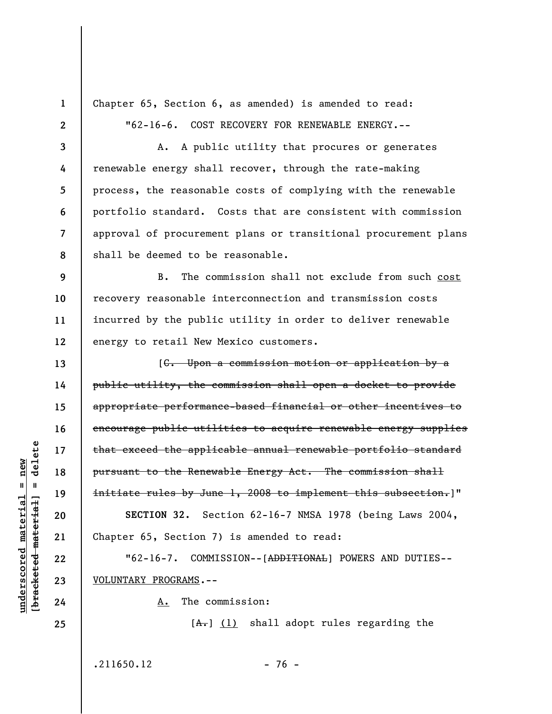**1 2** 

**3** 

**4** 

**5** 

**6** 

**7** 

**8** 

**13** 

**14** 

**15** 

**16** 

**17** 

**18** 

**19** 

**20** 

**21** 

**22** 

**23** 

**24** 

**25** 

Chapter 65, Section 6, as amended) is amended to read: "62-16-6. COST RECOVERY FOR RENEWABLE ENERGY.--

A. A public utility that procures or generates renewable energy shall recover, through the rate-making process, the reasonable costs of complying with the renewable portfolio standard. Costs that are consistent with commission approval of procurement plans or transitional procurement plans shall be deemed to be reasonable.

**9 10 11 12**  B. The commission shall not exclude from such cost recovery reasonable interconnection and transmission costs incurred by the public utility in order to deliver renewable energy to retail New Mexico customers.

[C. Upon a commission motion or application by a public utility, the commission shall open a docket to provide appropriate performance-based financial or other incentives to encourage public utilities to acquire renewable energy supplies that exceed the applicable annual renewable portfolio standard pursuant to the Renewable Energy Act. The commission shall initiate rules by June 1, 2008 to implement this subsection.]" **SECTION 32.** Section 62-16-7 NMSA 1978 (being Laws 2004, Chapter 65, Section 7) is amended to read:

"62-16-7. COMMISSION--[ADDITIONAL] POWERS AND DUTIES-- VOLUNTARY PROGRAMS.--

A. The commission:

 $[A<sub>1</sub>]$  (1) shall adopt rules regarding the

 $.211650.12$  - 76 -

delete **[bracketed material] = delete**  $anderscored material = new$ **underscored material = new**  $\mathbf{I}$ bracketed material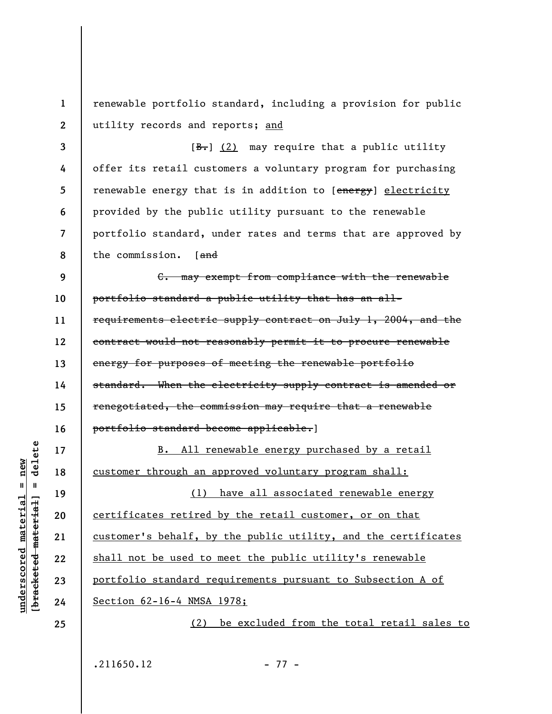**2**  renewable portfolio standard, including a provision for public utility records and reports; and

**3 4 5 6 7 8**   $[\frac{B-}{C}]$  (2) may require that a public utility offer its retail customers a voluntary program for purchasing renewable energy that is in addition to [energy] electricity provided by the public utility pursuant to the renewable portfolio standard, under rates and terms that are approved by the commission. [and

**9 10 11 12 13 14 15 16**  C. may exempt from compliance with the renewable portfolio standard a public utility that has an allrequirements electric supply contract on July 1, 2004, and the contract would not reasonably permit it to procure renewable energy for purposes of meeting the renewable portfolio standard. When the electricity supply contract is amended or renegotiated, the commission may require that a renewable portfolio standard become applicable.]

B. All renewable energy purchased by a retail customer through an approved voluntary program shall: (1) have all associated renewable energy certificates retired by the retail customer, or on that customer's behalf, by the public utility, and the certificates shall not be used to meet the public utility's renewable portfolio standard requirements pursuant to Subsection A of Section 62-16-4 NMSA 1978; (2) be excluded from the total retail sales to

 $.211650.12$  - 77 -

delete **[bracketed material] = delete** inderscored material = new **underscored material = new**  $\mathbf{I}$ bracketed material

**17** 

**18** 

**19** 

**20** 

**21** 

**22** 

**23** 

**24** 

**25** 

**1**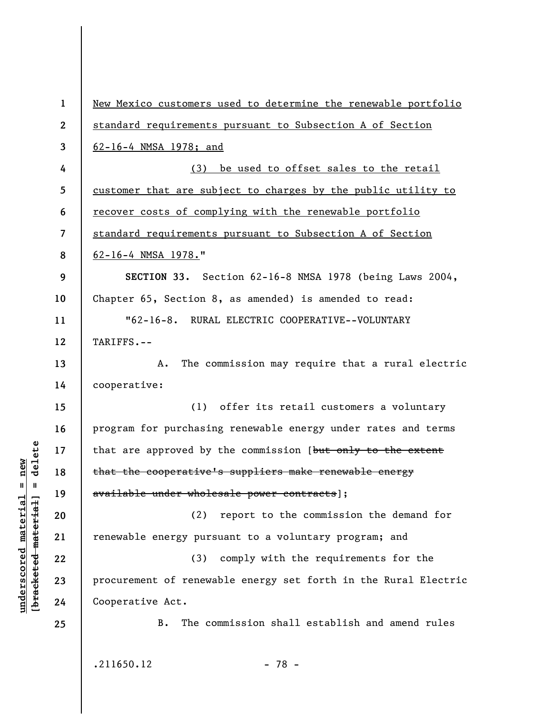**1 2 3 4 5 6 7 8 9 10 11 12 13 14 15 16 17 18 19 20 21 22 23 24 25**  New Mexico customers used to determine the renewable portfolio standard requirements pursuant to Subsection A of Section 62-16-4 NMSA 1978; and (3) be used to offset sales to the retail customer that are subject to charges by the public utility to recover costs of complying with the renewable portfolio standard requirements pursuant to Subsection A of Section 62-16-4 NMSA 1978." **SECTION 33.** Section 62-16-8 NMSA 1978 (being Laws 2004, Chapter 65, Section 8, as amended) is amended to read: "62-16-8. RURAL ELECTRIC COOPERATIVE--VOLUNTARY TARIFFS.-- A. The commission may require that a rural electric cooperative: (1) offer its retail customers a voluntary program for purchasing renewable energy under rates and terms that are approved by the commission [but only to the extent that the cooperative's suppliers make renewable energy available under wholesale power contracts]; (2) report to the commission the demand for renewable energy pursuant to a voluntary program; and (3) comply with the requirements for the procurement of renewable energy set forth in the Rural Electric Cooperative Act. B. The commission shall establish and amend rules

**underscored material = new [bracketed material] = delete**

 $b$ racketed material] = delete  $underscored material = new$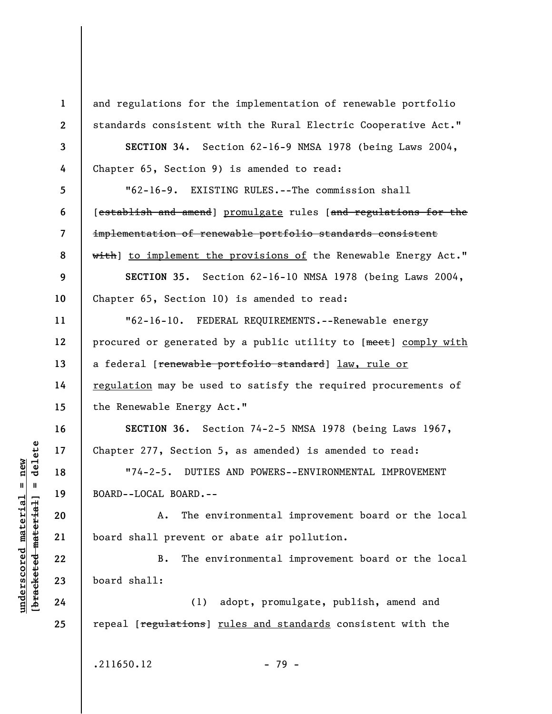**1 2 3 4 5 6 7 8 9 10 11 12 13 14 15 16 17 18 19 20 21 22 23 24 25**  and regulations for the implementation of renewable portfolio standards consistent with the Rural Electric Cooperative Act." **SECTION 34.** Section 62-16-9 NMSA 1978 (being Laws 2004, Chapter 65, Section 9) is amended to read: "62-16-9. EXISTING RULES.--The commission shall [establish and amend] promulgate rules [and regulations for the implementation of renewable portfolio standards consistent with] to implement the provisions of the Renewable Energy Act." **SECTION 35.** Section 62-16-10 NMSA 1978 (being Laws 2004, Chapter 65, Section 10) is amended to read: "62-16-10. FEDERAL REQUIREMENTS.--Renewable energy procured or generated by a public utility to [meet] comply with a federal [renewable portfolio standard] law, rule or regulation may be used to satisfy the required procurements of the Renewable Energy Act." **SECTION 36.** Section 74-2-5 NMSA 1978 (being Laws 1967, Chapter 277, Section 5, as amended) is amended to read: "74-2-5. DUTIES AND POWERS--ENVIRONMENTAL IMPROVEMENT BOARD--LOCAL BOARD.-- A. The environmental improvement board or the local board shall prevent or abate air pollution. B. The environmental improvement board or the local board shall: (1) adopt, promulgate, publish, amend and repeal [regulations] rules and standards consistent with the

 $\frac{1}{2}$  intereted material = delete **[bracketed material] = delete**  $underscored material = new$ **underscored material = new**

 $.211650.12$  - 79 -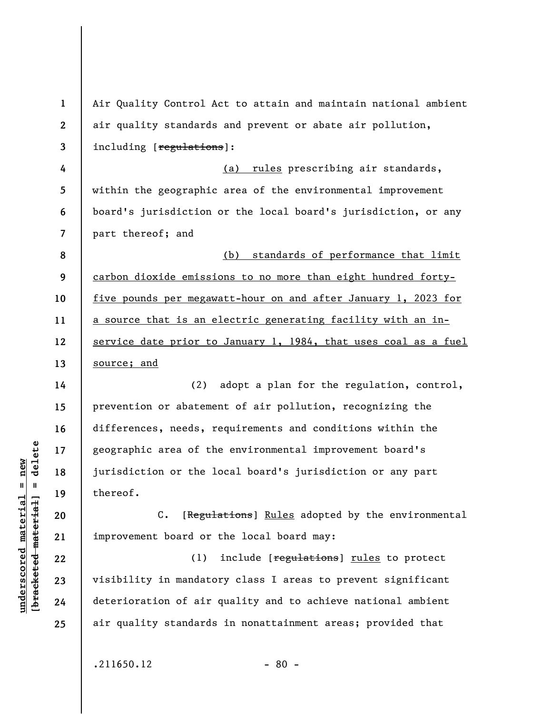| $\mathbf{1}$             | Air Quality Control Act to attain and maintain national ambient   |
|--------------------------|-------------------------------------------------------------------|
| $\boldsymbol{2}$         | air quality standards and prevent or abate air pollution,         |
| 3                        | including [regulations]:                                          |
| 4                        | (a) rules prescribing air standards,                              |
| 5                        | within the geographic area of the environmental improvement       |
| 6                        | board's jurisdiction or the local board's jurisdiction, or any    |
| $\overline{\mathcal{L}}$ | part thereof; and                                                 |
| 8                        | (b) standards of performance that limit                           |
| 9                        | carbon dioxide emissions to no more than eight hundred forty-     |
| 10                       | five pounds per megawatt-hour on and after January 1, 2023 for    |
| 11                       | a source that is an electric generating facility with an in-      |
| 12                       | service date prior to January 1, 1984, that uses coal as a fuel   |
| 13                       | source; and                                                       |
| 14                       | (2) adopt a plan for the regulation, control,                     |
| 15                       | prevention or abatement of air pollution, recognizing the         |
| 16                       | differences, needs, requirements and conditions within the        |
| 17                       | geographic area of the environmental improvement board's          |
| 18                       | jurisdiction or the local board's jurisdiction or any part        |
| 19                       | thereof.                                                          |
| 20                       | [Regulations] Rules adopted by the environmental<br>$C_{\bullet}$ |
| 21                       | improvement board or the local board may:                         |
| 22                       | include [regulations] rules to protect<br>(1)                     |
| 23                       | visibility in mandatory class I areas to prevent significant      |
| 24                       | deterioration of air quality and to achieve national ambient      |
| 25                       | air quality standards in nonattainment areas; provided that       |
|                          |                                                                   |
|                          | .211650.12<br>$-80 -$                                             |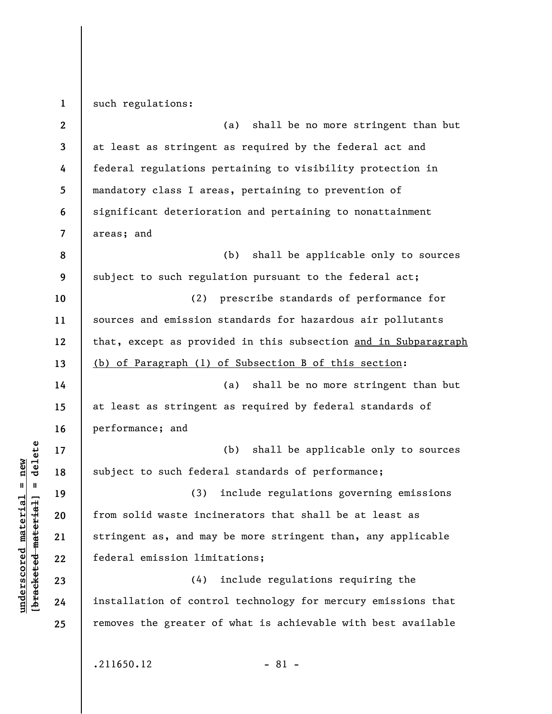**1 2 3 4 5 6 7 8 9 10 11 12 13 14 15 16 17 18 19 20 21 22 23 24 25**  such regulations: (a) shall be no more stringent than but at least as stringent as required by the federal act and federal regulations pertaining to visibility protection in mandatory class I areas, pertaining to prevention of significant deterioration and pertaining to nonattainment areas; and (b) shall be applicable only to sources subject to such regulation pursuant to the federal act; (2) prescribe standards of performance for sources and emission standards for hazardous air pollutants that, except as provided in this subsection and in Subparagraph (b) of Paragraph (1) of Subsection B of this section: (a) shall be no more stringent than but at least as stringent as required by federal standards of performance; and (b) shall be applicable only to sources subject to such federal standards of performance; (3) include regulations governing emissions from solid waste incinerators that shall be at least as stringent as, and may be more stringent than, any applicable federal emission limitations; (4) include regulations requiring the installation of control technology for mercury emissions that removes the greater of what is achievable with best available  $.211650.12$  - 81 -

**underscored material = new [bracketed material] = delete**

 $\frac{1}{2}$  intereted material = delete  $underscored material = new$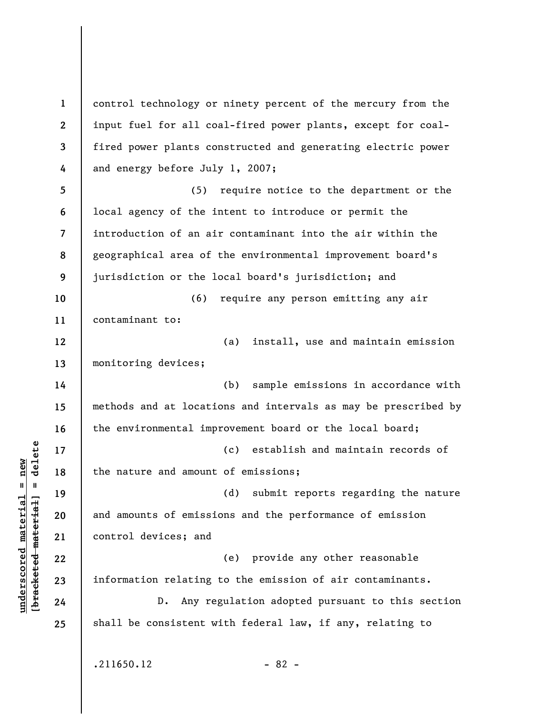**1 2 3 4 5 6 7 8 9 10 11 12 13 14 15 16 17 18 19 20 21 22 23 24 25**  control technology or ninety percent of the mercury from the input fuel for all coal-fired power plants, except for coalfired power plants constructed and generating electric power and energy before July 1, 2007; (5) require notice to the department or the local agency of the intent to introduce or permit the introduction of an air contaminant into the air within the geographical area of the environmental improvement board's jurisdiction or the local board's jurisdiction; and (6) require any person emitting any air contaminant to: (a) install, use and maintain emission monitoring devices; (b) sample emissions in accordance with methods and at locations and intervals as may be prescribed by the environmental improvement board or the local board; (c) establish and maintain records of the nature and amount of emissions; (d) submit reports regarding the nature and amounts of emissions and the performance of emission control devices; and (e) provide any other reasonable information relating to the emission of air contaminants. D. Any regulation adopted pursuant to this section shall be consistent with federal law, if any, relating to  $.211650.12$  - 82 -

**underscored material = new [bracketed material] = delete**

 $\frac{1}{2}$  intereted material = delete  $underscored material = new$